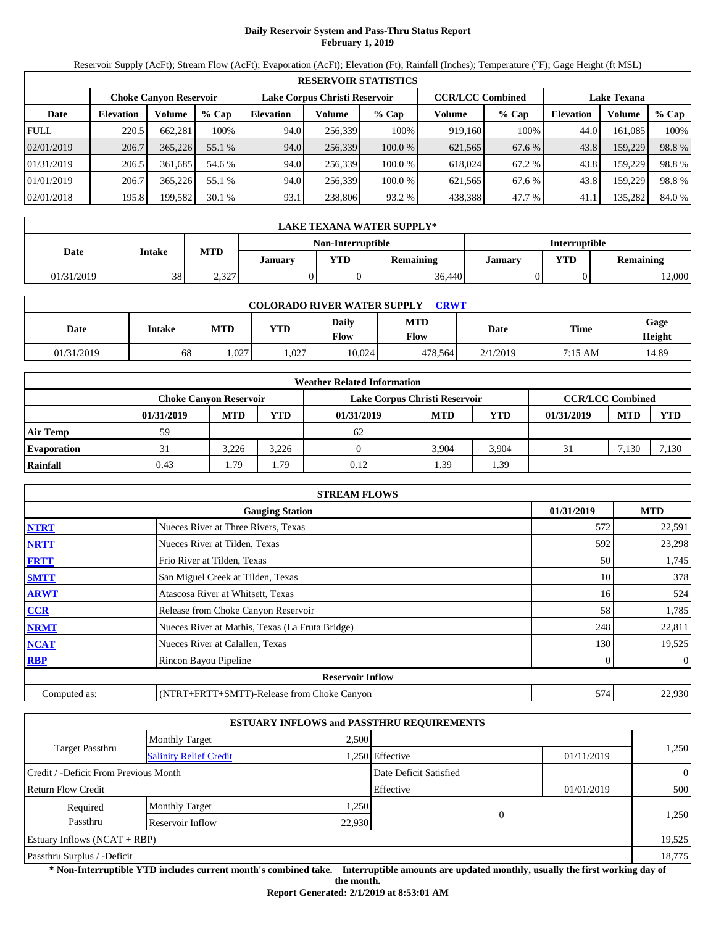# **Daily Reservoir System and Pass-Thru Status Report February 1, 2019**

Reservoir Supply (AcFt); Stream Flow (AcFt); Evaporation (AcFt); Elevation (Ft); Rainfall (Inches); Temperature (°F); Gage Height (ft MSL)

|             | <b>RESERVOIR STATISTICS</b>   |         |         |                  |         |                                                          |         |         |                  |                    |       |  |
|-------------|-------------------------------|---------|---------|------------------|---------|----------------------------------------------------------|---------|---------|------------------|--------------------|-------|--|
|             | <b>Choke Canyon Reservoir</b> |         |         |                  |         | <b>CCR/LCC Combined</b><br>Lake Corpus Christi Reservoir |         |         |                  | <b>Lake Texana</b> |       |  |
| Date        | <b>Elevation</b>              | Volume  | $%$ Cap | <b>Elevation</b> | Volume  | $%$ Cap                                                  | Volume  | $%$ Cap | <b>Elevation</b> | Volume             | % Cap |  |
| <b>FULL</b> | 220.5                         | 662.281 | 100%    | 94.0             | 256.339 | 100%                                                     | 919.160 | 100%    | 44.0             | 161.085            | 100%  |  |
| 02/01/2019  | 206.7                         | 365,226 | 55.1 %  | 94.0             | 256,339 | 100.0%                                                   | 621,565 | 67.6 %  | 43.8             | 159,229            | 98.8% |  |
| 01/31/2019  | 206.5                         | 361.685 | 54.6 %  | 94.0             | 256.339 | 100.0 %                                                  | 618.024 | 67.2 %  | 43.8             | 159.229            | 98.8% |  |
| 01/01/2019  | 206.7                         | 365,226 | 55.1 %  | 94.0             | 256.339 | 100.0 %                                                  | 621.565 | 67.6 %  | 43.8             | 159.229            | 98.8% |  |
| 02/01/2018  | 195.8                         | 199,582 | 30.1%   | 93.1             | 238,806 | 93.2 %                                                   | 438,388 | 47.7 %  | 41.1             | 135,282            | 84.0% |  |

|                   | LAKE TEXANA WATER SUPPLY* |            |         |     |                  |         |                         |                      |  |  |  |
|-------------------|---------------------------|------------|---------|-----|------------------|---------|-------------------------|----------------------|--|--|--|
| Non-Interruptible |                           |            |         |     |                  |         |                         | <b>Interruptible</b> |  |  |  |
| Date              | <b>Intake</b>             | <b>MTD</b> | Januarv | VTD | <b>Remaining</b> | January | YTD<br><b>Remaining</b> |                      |  |  |  |
| 01/31/2019        | 38                        | 2,327      |         |     | 36,440           |         |                         | 12,000               |  |  |  |

| <b>COLORADO RIVER WATER SUPPLY</b><br>CRWT |               |            |            |                      |                           |          |         |                |  |  |
|--------------------------------------------|---------------|------------|------------|----------------------|---------------------------|----------|---------|----------------|--|--|
| Date                                       | <b>Intake</b> | <b>MTD</b> | <b>YTD</b> | <b>Daily</b><br>Flow | <b>MTD</b><br><b>Flow</b> | Date     | Time    | Gage<br>Height |  |  |
| 01/31/2019                                 | 68            | .027       | 1,027      | 10,024               | 478.564                   | 2/1/2019 | 7:15 AM | 14.89          |  |  |

|                    |                               |            |       | <b>Weather Related Information</b> |            |       |                         |            |            |
|--------------------|-------------------------------|------------|-------|------------------------------------|------------|-------|-------------------------|------------|------------|
|                    | <b>Choke Canvon Reservoir</b> |            |       | Lake Corpus Christi Reservoir      |            |       | <b>CCR/LCC Combined</b> |            |            |
|                    | 01/31/2019                    | <b>MTD</b> | YTD   | 01/31/2019                         | <b>MTD</b> | YTD   | 01/31/2019              | <b>MTD</b> | <b>YTD</b> |
| <b>Air Temp</b>    | 59                            |            |       | 62                                 |            |       |                         |            |            |
| <b>Evaporation</b> | 31                            | 3.226      | 3,226 |                                    | 3.904      | 3,904 | 31                      | 7,130      | 2.130      |
| Rainfall           | 0.43                          | ۔ 79       | 1.79  | 0.12                               | .39        | 1.39  |                         |            |            |

|              | <b>STREAM FLOWS</b>                             |            |                |
|--------------|-------------------------------------------------|------------|----------------|
|              | <b>Gauging Station</b>                          | 01/31/2019 | <b>MTD</b>     |
| <b>NTRT</b>  | Nueces River at Three Rivers, Texas             | 572        | 22,591         |
| <b>NRTT</b>  | Nueces River at Tilden, Texas                   | 592        | 23,298         |
| <b>FRTT</b>  | Frio River at Tilden, Texas                     | 50         | 1,745          |
| <b>SMTT</b>  | San Miguel Creek at Tilden, Texas               | 10         | 378            |
| <b>ARWT</b>  | Atascosa River at Whitsett, Texas               | 16         | 524            |
| <b>CCR</b>   | Release from Choke Canyon Reservoir             | 58         | 1,785          |
| <b>NRMT</b>  | Nueces River at Mathis, Texas (La Fruta Bridge) | 248        | 22,811         |
| <b>NCAT</b>  | Nueces River at Calallen, Texas                 | 130        | 19,525         |
| <b>RBP</b>   | Rincon Bayou Pipeline                           |            | $\overline{0}$ |
|              | <b>Reservoir Inflow</b>                         |            |                |
| Computed as: | (NTRT+FRTT+SMTT)-Release from Choke Canyon      | 574        | 22,930         |

|                                       |                               |        | <b>ESTUARY INFLOWS and PASSTHRU REQUIREMENTS</b> |            |                |
|---------------------------------------|-------------------------------|--------|--------------------------------------------------|------------|----------------|
|                                       | <b>Monthly Target</b>         | 2,500  |                                                  |            |                |
| Target Passthru                       | <b>Salinity Relief Credit</b> |        | .250 Effective                                   | 01/11/2019 | 1,250          |
| Credit / -Deficit From Previous Month |                               |        | Date Deficit Satisfied                           |            | $\overline{0}$ |
| <b>Return Flow Credit</b>             |                               |        | Effective                                        | 01/01/2019 | 500            |
| Required                              | <b>Monthly Target</b>         | 1,250  |                                                  |            |                |
| Passthru                              | Reservoir Inflow              | 22,930 | $\mathbf{0}$                                     |            | 1,250          |
| Estuary Inflows $(NCAT + RBP)$        |                               |        |                                                  |            | 19,525         |
| Passthru Surplus / -Deficit           |                               |        |                                                  |            | 18,775         |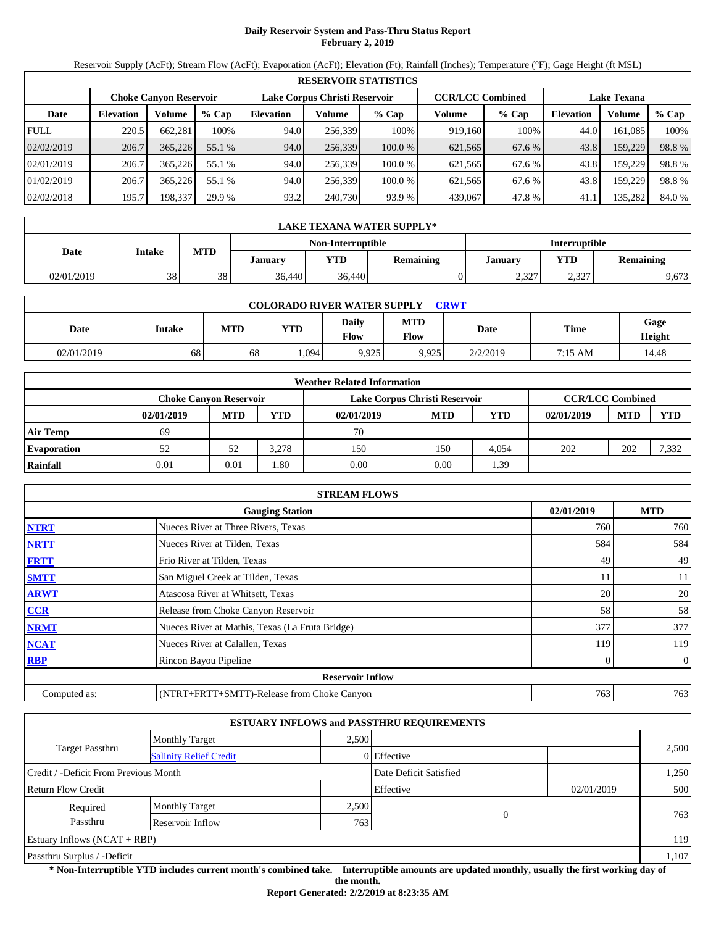# **Daily Reservoir System and Pass-Thru Status Report February 2, 2019**

Reservoir Supply (AcFt); Stream Flow (AcFt); Evaporation (AcFt); Elevation (Ft); Rainfall (Inches); Temperature (°F); Gage Height (ft MSL)

|             |                                                                                           |         |         |                  |         | <b>RESERVOIR STATISTICS</b> |                    |         |                  |         |        |
|-------------|-------------------------------------------------------------------------------------------|---------|---------|------------------|---------|-----------------------------|--------------------|---------|------------------|---------|--------|
|             | Lake Corpus Christi Reservoir<br><b>CCR/LCC Combined</b><br><b>Choke Canvon Reservoir</b> |         |         |                  |         |                             | <b>Lake Texana</b> |         |                  |         |        |
| Date        | <b>Elevation</b>                                                                          | Volume  | $%$ Cap | <b>Elevation</b> | Volume  | $%$ Cap                     | Volume             | $%$ Cap | <b>Elevation</b> | Volume  | % Cap  |
| <b>FULL</b> | 220.5                                                                                     | 662,281 | 100%    | 94.0             | 256,339 | 100%                        | 919,160            | 100%    | 44.0             | 161.085 | 100%   |
| 02/02/2019  | 206.7                                                                                     | 365,226 | 55.1 %  | 94.0             | 256,339 | 100.0 %                     | 621,565            | 67.6 %  | 43.8             | 159,229 | 98.8%  |
| 02/01/2019  | 206.7                                                                                     | 365.226 | 55.1 %  | 94.0             | 256.339 | 100.0%                      | 621,565            | 67.6 %  | 43.8             | 159.229 | 98.8%  |
| 01/02/2019  | 206.7                                                                                     | 365,226 | 55.1 %  | 94.0             | 256,339 | 100.0%                      | 621,565            | 67.6 %  | 43.8             | 159.229 | 98.8%  |
| 02/02/2018  | 195.7                                                                                     | 198,337 | 29.9 %  | 93.2             | 240,730 | 93.9 %                      | 439,067            | 47.8%   | 41.1             | 135,282 | 84.0 % |

|            | LAKE TEXANA WATER SUPPLY* |            |                |                   |                  |         |                      |                  |  |  |  |
|------------|---------------------------|------------|----------------|-------------------|------------------|---------|----------------------|------------------|--|--|--|
|            |                           |            |                | Non-Interruptible |                  |         | <b>Interruptible</b> |                  |  |  |  |
| Date       | Intake                    | <b>MTD</b> | <b>January</b> | YTD               | <b>Remaining</b> | January | <b>YTD</b>           | <b>Remaining</b> |  |  |  |
| 02/01/2019 | 38                        | 38         | 36.440         | 36.440            |                  | 2,327   | 2,327                | 9,673            |  |  |  |

| <b>COLORADO RIVER WATER SUPPLY</b><br><b>CRWT</b> |        |     |            |                      |                    |          |         |                |  |  |
|---------------------------------------------------|--------|-----|------------|----------------------|--------------------|----------|---------|----------------|--|--|
| Date                                              | Intake | MTD | <b>YTD</b> | <b>Daily</b><br>Flow | MTD<br><b>Flow</b> | Date     | Time    | Gage<br>Height |  |  |
| 02/01/2019                                        | 68     | 68  | .094       | 9,925                | 9,925              | 2/2/2019 | 7:15 AM | 14.48          |  |  |

|                    |                               |            |            | <b>Weather Related Information</b> |            |       |                         |            |       |
|--------------------|-------------------------------|------------|------------|------------------------------------|------------|-------|-------------------------|------------|-------|
|                    | <b>Choke Canyon Reservoir</b> |            |            | Lake Corpus Christi Reservoir      |            |       | <b>CCR/LCC Combined</b> |            |       |
|                    | 02/01/2019                    | <b>MTD</b> | <b>YTD</b> | 02/01/2019                         | <b>MTD</b> | YTD   | 02/01/2019              | <b>MTD</b> | YTD   |
| <b>Air Temp</b>    | 69                            |            |            | 70                                 |            |       |                         |            |       |
| <b>Evaporation</b> |                               | 52         | 3.278      | 150                                | 150        | 4.054 | 202                     | 202        | 7,332 |
| Rainfall           | 0.01                          | 0.01       | l.80       | 0.00                               | 0.00       | . 39  |                         |            |       |

|              | <b>STREAM FLOWS</b>                             |            |                |
|--------------|-------------------------------------------------|------------|----------------|
|              | <b>Gauging Station</b>                          | 02/01/2019 | <b>MTD</b>     |
| <b>NTRT</b>  | Nueces River at Three Rivers, Texas             | 760        | 760            |
| <b>NRTT</b>  | Nueces River at Tilden, Texas                   | 584        | 584            |
| <b>FRTT</b>  | Frio River at Tilden, Texas                     | 49         | 49             |
| <b>SMTT</b>  | San Miguel Creek at Tilden, Texas               | 11         | 11             |
| <b>ARWT</b>  | Atascosa River at Whitsett, Texas               | 20         | 20             |
| CCR          | Release from Choke Canyon Reservoir             | 58         | 58             |
| <b>NRMT</b>  | Nueces River at Mathis, Texas (La Fruta Bridge) | 377        | 377            |
| <b>NCAT</b>  | Nueces River at Calallen, Texas                 | 119        | 119            |
| <b>RBP</b>   | Rincon Bayou Pipeline                           | 0          | $\overline{0}$ |
|              | <b>Reservoir Inflow</b>                         |            |                |
| Computed as: | (NTRT+FRTT+SMTT)-Release from Choke Canyon      | 763        | 763            |

|                                                         |                       |       | <b>ESTUARY INFLOWS and PASSTHRU REQUIREMENTS</b> |            |       |
|---------------------------------------------------------|-----------------------|-------|--------------------------------------------------|------------|-------|
|                                                         | <b>Monthly Target</b> | 2.500 |                                                  |            |       |
| <b>Target Passthru</b><br><b>Salinity Relief Credit</b> |                       |       | 0 Effective                                      |            | 2,500 |
| Credit / -Deficit From Previous Month                   |                       |       | Date Deficit Satisfied                           |            | 1,250 |
| Return Flow Credit                                      |                       |       | Effective                                        | 02/01/2019 | 500   |
| Required                                                | <b>Monthly Target</b> | 2,500 |                                                  |            |       |
| Passthru                                                | Reservoir Inflow      | 763   | $\mathbf{0}$                                     |            | 763   |
| Estuary Inflows $(NCAT + RBP)$                          |                       |       |                                                  |            | 119   |
| Passthru Surplus / -Deficit                             |                       |       |                                                  |            | 1,107 |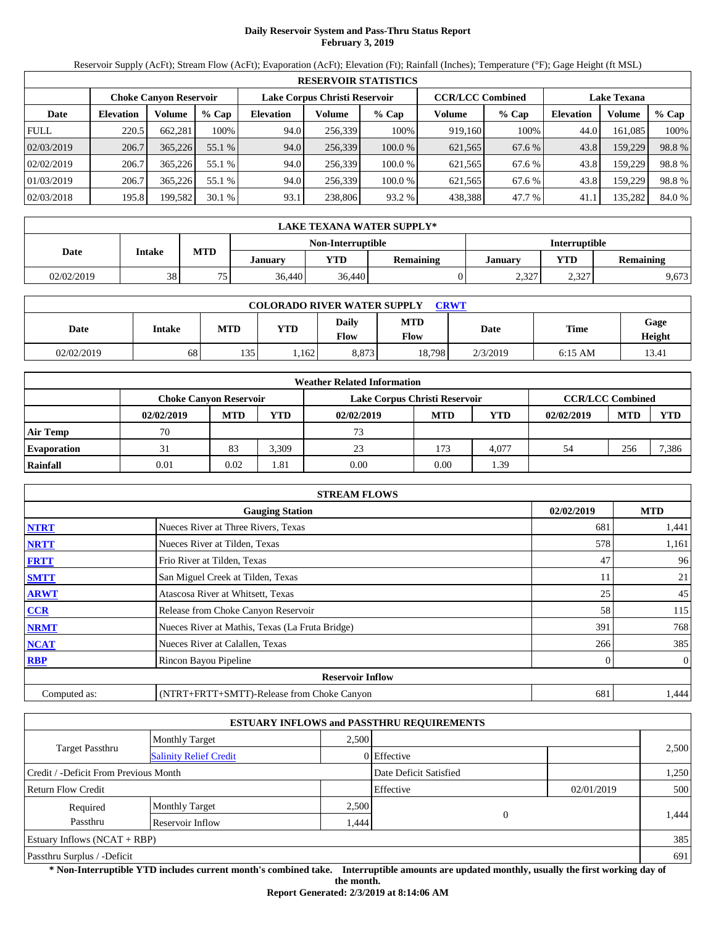# **Daily Reservoir System and Pass-Thru Status Report February 3, 2019**

Reservoir Supply (AcFt); Stream Flow (AcFt); Evaporation (AcFt); Elevation (Ft); Rainfall (Inches); Temperature (°F); Gage Height (ft MSL)

|             | <b>RESERVOIR STATISTICS</b> |                               |         |                  |                               |         |                         |         |                    |         |        |
|-------------|-----------------------------|-------------------------------|---------|------------------|-------------------------------|---------|-------------------------|---------|--------------------|---------|--------|
|             |                             | <b>Choke Canyon Reservoir</b> |         |                  | Lake Corpus Christi Reservoir |         | <b>CCR/LCC Combined</b> |         | <b>Lake Texana</b> |         |        |
| Date        | <b>Elevation</b>            | Volume                        | $%$ Cap | <b>Elevation</b> | Volume                        | $%$ Cap | Volume                  | $%$ Cap | <b>Elevation</b>   | Volume  | % Cap  |
| <b>FULL</b> | 220.5                       | 662.281                       | 100%    | 94.0             | 256.339                       | 100%    | 919.160                 | 100%    | 44.0               | 161.085 | 100%   |
| 02/03/2019  | 206.7                       | 365,226                       | 55.1 %  | 94.0             | 256,339                       | 100.0%  | 621,565                 | 67.6 %  | 43.8               | 159,229 | 98.8%  |
| 02/02/2019  | 206.7                       | 365,226                       | 55.1 %  | 94.0             | 256.339                       | 100.0 % | 621.565                 | 67.6 %  | 43.8               | 159.229 | 98.8%  |
| 01/03/2019  | 206.7                       | 365,226                       | 55.1 %  | 94.0             | 256.339                       | 100.0 % | 621.565                 | 67.6 %  | 43.8               | 159.229 | 98.8%  |
| 02/03/2018  | 195.8                       | 199,582                       | 30.1%   | 93.1             | 238,806                       | 93.2 %  | 438,388                 | 47.7 %  | 41.1               | 135,282 | 84.0 % |

|            | LAKE TEXANA WATER SUPPLY* |            |                |            |                                           |                |              |                  |  |  |  |
|------------|---------------------------|------------|----------------|------------|-------------------------------------------|----------------|--------------|------------------|--|--|--|
|            |                           |            |                |            | Non-Interruptible<br><b>Interruptible</b> |                |              |                  |  |  |  |
| Date       | Intake                    | <b>MTD</b> | <b>January</b> | <b>YTD</b> | Remaining                                 | <b>January</b> | VTD          | <b>Remaining</b> |  |  |  |
| 02/02/2019 | 38                        | 75         | 36.440         | 36,440     |                                           | 2,327          | 227<br>ے دون | 9,673            |  |  |  |

| <b>COLORADO RIVER WATER SUPPLY</b><br><b>CRWT</b> |        |            |      |               |                    |          |             |                |  |  |
|---------------------------------------------------|--------|------------|------|---------------|--------------------|----------|-------------|----------------|--|--|
| Date                                              | Intake | <b>MTD</b> | YTD  | Daily<br>Flow | MTD<br><b>Flow</b> | Date     | <b>Time</b> | Gage<br>Height |  |  |
| 02/02/2019                                        | 68     | 135        | .162 | 8,873         | 18,798             | 2/3/2019 | $6:15$ AM   | 13.41          |  |  |

|                    |                               |            |            | <b>Weather Related Information</b> |            |            |                         |            |            |
|--------------------|-------------------------------|------------|------------|------------------------------------|------------|------------|-------------------------|------------|------------|
|                    | <b>Choke Canvon Reservoir</b> |            |            | Lake Corpus Christi Reservoir      |            |            | <b>CCR/LCC Combined</b> |            |            |
|                    | 02/02/2019                    | <b>MTD</b> | <b>YTD</b> | 02/02/2019                         | <b>MTD</b> | <b>YTD</b> | 02/02/2019              | <b>MTD</b> | <b>YTD</b> |
| <b>Air Temp</b>    | 70                            |            |            | 73                                 |            |            |                         |            |            |
| <b>Evaporation</b> | 31                            | 83         | 3.309      | 23                                 | 173        | 4.077      | 54                      | 256        | 7,386      |
| Rainfall           | 0.01                          | 0.02       | 1.81       | 0.00                               | 0.00       | . 39       |                         |            |            |

|              | <b>STREAM FLOWS</b>                             |            |                |
|--------------|-------------------------------------------------|------------|----------------|
|              | <b>Gauging Station</b>                          | 02/02/2019 | <b>MTD</b>     |
| <b>NTRT</b>  | Nueces River at Three Rivers, Texas             | 681        | 1,441          |
| <b>NRTT</b>  | Nueces River at Tilden, Texas                   | 578        | 1,161          |
| <b>FRTT</b>  | Frio River at Tilden, Texas                     | 47         | 96             |
| <b>SMTT</b>  | San Miguel Creek at Tilden, Texas               | 11         | 21             |
| <b>ARWT</b>  | Atascosa River at Whitsett, Texas               | 25         | 45             |
| CCR          | Release from Choke Canyon Reservoir             | 58         | 115            |
| <b>NRMT</b>  | Nueces River at Mathis, Texas (La Fruta Bridge) | 391        | 768            |
| <b>NCAT</b>  | Nueces River at Calallen, Texas                 | 266        | 385            |
| <b>RBP</b>   | Rincon Bayou Pipeline                           |            | $\overline{0}$ |
|              | <b>Reservoir Inflow</b>                         |            |                |
| Computed as: | (NTRT+FRTT+SMTT)-Release from Choke Canyon      | 681        | 1.444          |

|                                                         |                       |       | <b>ESTUARY INFLOWS and PASSTHRU REQUIREMENTS</b> |            |       |
|---------------------------------------------------------|-----------------------|-------|--------------------------------------------------|------------|-------|
|                                                         | <b>Monthly Target</b> | 2.500 |                                                  |            |       |
| <b>Target Passthru</b><br><b>Salinity Relief Credit</b> |                       |       | $0$ Effective                                    |            | 2,500 |
| Credit / -Deficit From Previous Month                   |                       |       | Date Deficit Satisfied                           |            | 1,250 |
| <b>Return Flow Credit</b>                               |                       |       | Effective                                        | 02/01/2019 | 500   |
| Required                                                | <b>Monthly Target</b> | 2,500 |                                                  |            |       |
| Passthru                                                | Reservoir Inflow      | .444  | $\mathbf{0}$                                     |            | 1,444 |
| Estuary Inflows $(NCAT + RBP)$                          |                       |       |                                                  |            | 385   |
| Passthru Surplus / -Deficit                             |                       |       |                                                  |            | 691   |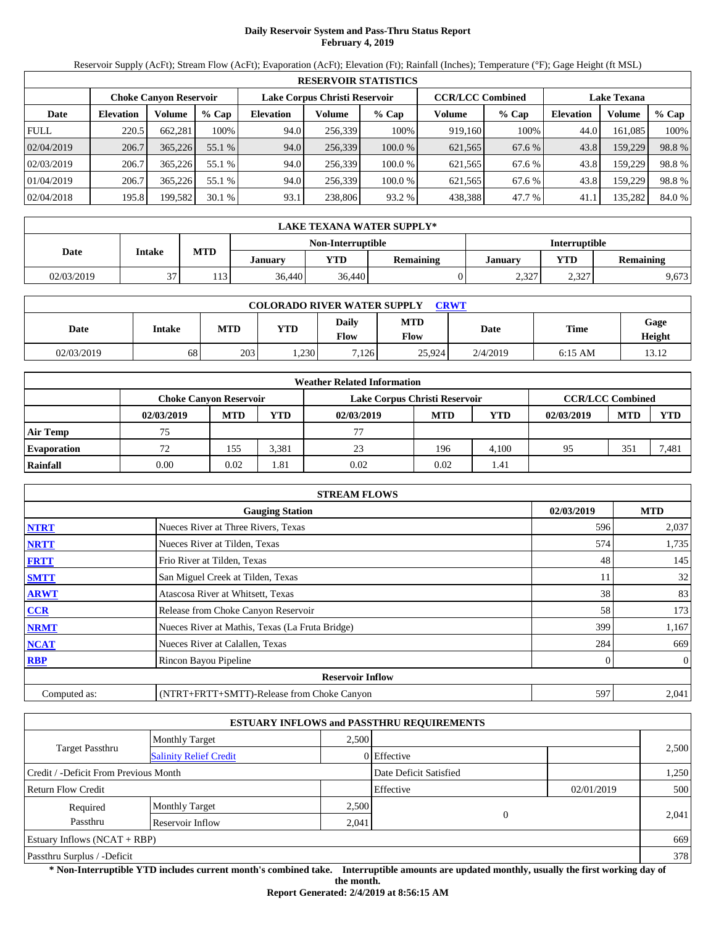# **Daily Reservoir System and Pass-Thru Status Report February 4, 2019**

Reservoir Supply (AcFt); Stream Flow (AcFt); Evaporation (AcFt); Elevation (Ft); Rainfall (Inches); Temperature (°F); Gage Height (ft MSL)

|             | <b>RESERVOIR STATISTICS</b> |                               |         |                  |                               |         |                         |         |                    |         |        |
|-------------|-----------------------------|-------------------------------|---------|------------------|-------------------------------|---------|-------------------------|---------|--------------------|---------|--------|
|             |                             | <b>Choke Canyon Reservoir</b> |         |                  | Lake Corpus Christi Reservoir |         | <b>CCR/LCC Combined</b> |         | <b>Lake Texana</b> |         |        |
| Date        | <b>Elevation</b>            | Volume                        | $%$ Cap | <b>Elevation</b> | Volume                        | $%$ Cap | Volume                  | $%$ Cap | <b>Elevation</b>   | Volume  | % Cap  |
| <b>FULL</b> | 220.5                       | 662.281                       | 100%    | 94.0             | 256.339                       | 100%    | 919.160                 | 100%    | 44.0               | 161.085 | 100%   |
| 02/04/2019  | 206.7                       | 365,226                       | 55.1 %  | 94.0             | 256,339                       | 100.0%  | 621,565                 | 67.6 %  | 43.8               | 159,229 | 98.8%  |
| 02/03/2019  | 206.7                       | 365,226                       | 55.1 %  | 94.0             | 256.339                       | 100.0 % | 621.565                 | 67.6 %  | 43.8               | 159.229 | 98.8%  |
| 01/04/2019  | 206.7                       | 365,226                       | 55.1 %  | 94.0             | 256.339                       | 100.0 % | 621.565                 | 67.6 %  | 43.8               | 159.229 | 98.8%  |
| 02/04/2018  | 195.8                       | 199,582                       | 30.1%   | 93.1             | 238,806                       | 93.2 %  | 438,388                 | 47.7 %  | 41.1               | 135,282 | 84.0 % |

|            | LAKE TEXANA WATER SUPPLY* |            |                                           |            |                  |         |             |                  |  |  |  |
|------------|---------------------------|------------|-------------------------------------------|------------|------------------|---------|-------------|------------------|--|--|--|
|            |                           |            | Non-Interruptible<br><b>Interruptible</b> |            |                  |         |             |                  |  |  |  |
| Date       | Intake                    | <b>MTD</b> | <b>January</b>                            | <b>YTD</b> | <b>Remaining</b> | January | VTD         | <b>Remaining</b> |  |  |  |
| 02/03/2019 | 27                        | 113        | 36.440                                    | 36,440     |                  | 2,327   | 227<br>2.32 | 9,673            |  |  |  |

| <b>COLORADO RIVER WATER SUPPLY</b><br><b>CRWT</b> |        |            |      |               |                    |          |             |                |  |  |
|---------------------------------------------------|--------|------------|------|---------------|--------------------|----------|-------------|----------------|--|--|
| Date                                              | Intake | <b>MTD</b> | YTD  | Daily<br>Flow | MTD<br><b>Flow</b> | Date     | <b>Time</b> | Gage<br>Height |  |  |
| 02/03/2019                                        | 68     | 203        | .230 | 7,126         | 25.924             | 2/4/2019 | $6:15$ AM   | 13.12          |  |  |

|                    |                               |            |       | <b>Weather Related Information</b> |            |            |                         |            |            |
|--------------------|-------------------------------|------------|-------|------------------------------------|------------|------------|-------------------------|------------|------------|
|                    | <b>Choke Canyon Reservoir</b> |            |       | Lake Corpus Christi Reservoir      |            |            | <b>CCR/LCC Combined</b> |            |            |
|                    | 02/03/2019                    | <b>MTD</b> | YTD   | 02/03/2019                         | <b>MTD</b> | <b>YTD</b> | 02/03/2019              | <b>MTD</b> | <b>YTD</b> |
| <b>Air Temp</b>    | 75                            |            |       | 77                                 |            |            |                         |            |            |
| <b>Evaporation</b> |                               | 155        | 3,381 | 23                                 | 196        | 4.100      | 95                      | 351        | 7,481      |
| Rainfall           | 0.00                          | 0.02       | 1.81  | 0.02                               | 0.02       | 1.41       |                         |            |            |

|              | <b>STREAM FLOWS</b>                             |            |              |
|--------------|-------------------------------------------------|------------|--------------|
|              | <b>Gauging Station</b>                          | 02/03/2019 | <b>MTD</b>   |
| <b>NTRT</b>  | Nueces River at Three Rivers, Texas             | 596        | 2,037        |
| <b>NRTT</b>  | Nueces River at Tilden, Texas                   | 574        | 1,735        |
| <b>FRTT</b>  | Frio River at Tilden, Texas                     | 48         | 145          |
| <b>SMTT</b>  | San Miguel Creek at Tilden, Texas               | 11         | 32           |
| <b>ARWT</b>  | Atascosa River at Whitsett, Texas               | 38         | 83           |
| CCR          | Release from Choke Canyon Reservoir             | 58         | 173          |
| <b>NRMT</b>  | Nueces River at Mathis, Texas (La Fruta Bridge) | 399        | 1,167        |
| <b>NCAT</b>  | Nueces River at Calallen, Texas                 | 284        | 669          |
| <b>RBP</b>   | Rincon Bayou Pipeline                           | $\Omega$   | $\mathbf{0}$ |
|              | <b>Reservoir Inflow</b>                         |            |              |
| Computed as: | (NTRT+FRTT+SMTT)-Release from Choke Canyon      | 597        | 2,041        |

|                                       |                               |       | <b>ESTUARY INFLOWS and PASSTHRU REQUIREMENTS</b> |            |       |
|---------------------------------------|-------------------------------|-------|--------------------------------------------------|------------|-------|
|                                       | <b>Monthly Target</b>         | 2.500 |                                                  |            |       |
| <b>Target Passthru</b>                | <b>Salinity Relief Credit</b> |       | 0 Effective                                      |            | 2,500 |
| Credit / -Deficit From Previous Month |                               |       | Date Deficit Satisfied                           |            | 1,250 |
| <b>Return Flow Credit</b>             |                               |       | Effective                                        | 02/01/2019 | 500   |
| Required                              | <b>Monthly Target</b>         | 2,500 |                                                  |            |       |
| Passthru                              | Reservoir Inflow              | 2,041 | $\mathbf{0}$                                     |            | 2,041 |
| Estuary Inflows $(NCAT + RBP)$        |                               |       |                                                  |            | 669   |
| Passthru Surplus / -Deficit           |                               |       |                                                  |            | 378   |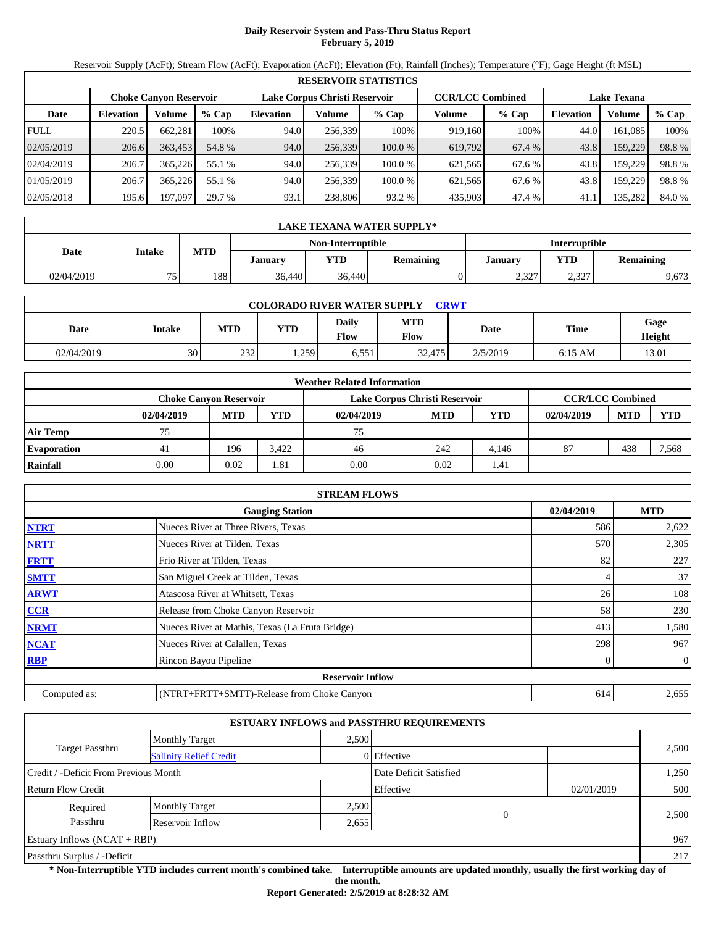## **Daily Reservoir System and Pass-Thru Status Report February 5, 2019**

Reservoir Supply (AcFt); Stream Flow (AcFt); Evaporation (AcFt); Elevation (Ft); Rainfall (Inches); Temperature (°F); Gage Height (ft MSL)

|             | <b>RESERVOIR STATISTICS</b> |                               |         |                  |                               |         |                         |         |                  |                    |        |  |
|-------------|-----------------------------|-------------------------------|---------|------------------|-------------------------------|---------|-------------------------|---------|------------------|--------------------|--------|--|
|             |                             | <b>Choke Canyon Reservoir</b> |         |                  | Lake Corpus Christi Reservoir |         | <b>CCR/LCC Combined</b> |         |                  | <b>Lake Texana</b> |        |  |
| Date        | <b>Elevation</b>            | Volume                        | $%$ Cap | <b>Elevation</b> | Volume                        | $%$ Cap | Volume                  | $%$ Cap | <b>Elevation</b> | Volume             | % Cap  |  |
| <b>FULL</b> | 220.5                       | 662.281                       | 100%    | 94.0             | 256,339                       | 100%    | 919.160                 | 100%    | 44.0             | 161.085            | 100%   |  |
| 02/05/2019  | 206.6                       | 363,453                       | 54.8 %  | 94.0             | 256,339                       | 100.0%  | 619,792                 | 67.4 %  | 43.8             | 159,229            | 98.8%  |  |
| 02/04/2019  | 206.7                       | 365,226                       | 55.1 %  | 94.0             | 256.339                       | 100.0 % | 621.565                 | 67.6 %  | 43.8             | 159.229            | 98.8%  |  |
| 01/05/2019  | 206.7                       | 365,226                       | 55.1 %  | 94.0             | 256.339                       | 100.0 % | 621,565                 | 67.6 %  | 43.8             | 159.229            | 98.8%  |  |
| 02/05/2018  | 195.6                       | 197.097                       | 29.7 %  | 93.1             | 238,806                       | 93.2 %  | 435,903                 | 47.4 %  | 41.1             | 135,282            | 84.0 % |  |

|            | LAKE TEXANA WATER SUPPLY* |            |                |                   |           |                      |             |                  |  |  |  |
|------------|---------------------------|------------|----------------|-------------------|-----------|----------------------|-------------|------------------|--|--|--|
|            |                           |            |                | Non-Interruptible |           | <b>Interruptible</b> |             |                  |  |  |  |
| Date       | Intake                    | <b>MTD</b> | <b>January</b> | <b>YTD</b>        | Remaining | <b>January</b>       | VTD         | <b>Remaining</b> |  |  |  |
| 02/04/2019 | 75                        | 188        | 36.440         | 36,440            |           | 2,327                | 227<br>2.32 | 9,673            |  |  |  |

| <b>COLORADO RIVER WATER SUPPLY</b><br><b>CRWT</b> |        |            |      |               |                    |          |             |                |  |  |
|---------------------------------------------------|--------|------------|------|---------------|--------------------|----------|-------------|----------------|--|--|
| Date                                              | Intake | <b>MTD</b> | YTD  | Daily<br>Flow | MTD<br><b>Flow</b> | Date     | <b>Time</b> | Gage<br>Height |  |  |
| 02/04/2019                                        | 30     | 232        | .259 | 6,551         | 32,475             | 2/5/2019 | $6:15$ AM   | 13.01          |  |  |

|                    | <b>Weather Related Information</b> |            |       |                               |            |       |                         |            |            |  |  |
|--------------------|------------------------------------|------------|-------|-------------------------------|------------|-------|-------------------------|------------|------------|--|--|
|                    | <b>Choke Canvon Reservoir</b>      |            |       | Lake Corpus Christi Reservoir |            |       | <b>CCR/LCC Combined</b> |            |            |  |  |
|                    | 02/04/2019                         | <b>MTD</b> | YTD   | 02/04/2019                    | <b>MTD</b> | YTD   | 02/04/2019              | <b>MTD</b> | <b>YTD</b> |  |  |
| <b>Air Temp</b>    | 75                                 |            |       | 75                            |            |       |                         |            |            |  |  |
| <b>Evaporation</b> | 41                                 | 196        | 3.422 | 46                            | 242        | 4.146 | 87                      | 438        | 7,568      |  |  |
| Rainfall           | 0.00                               | 0.02       | 1.81  | 0.00                          | 0.02       | 1.41  |                         |            |            |  |  |

|              | <b>STREAM FLOWS</b>                             |            |              |
|--------------|-------------------------------------------------|------------|--------------|
|              | <b>Gauging Station</b>                          | 02/04/2019 | <b>MTD</b>   |
| <b>NTRT</b>  | Nueces River at Three Rivers, Texas             | 586        | 2,622        |
| <b>NRTT</b>  | Nueces River at Tilden, Texas                   | 570        | 2,305        |
| <b>FRTT</b>  | Frio River at Tilden, Texas                     | 82         | 227          |
| <b>SMTT</b>  | San Miguel Creek at Tilden, Texas               | 4          | 37           |
| <b>ARWT</b>  | Atascosa River at Whitsett, Texas               | 26         | 108          |
| CCR          | Release from Choke Canyon Reservoir             | 58         | 230          |
| <b>NRMT</b>  | Nueces River at Mathis, Texas (La Fruta Bridge) | 413        | 1,580        |
| <b>NCAT</b>  | Nueces River at Calallen, Texas                 | 298        | 967          |
| <b>RBP</b>   | Rincon Bayou Pipeline                           | $\Omega$   | $\mathbf{0}$ |
|              | <b>Reservoir Inflow</b>                         |            |              |
| Computed as: | (NTRT+FRTT+SMTT)-Release from Choke Canyon      | 614        | 2,655        |

|                                       |                               |       | <b>ESTUARY INFLOWS and PASSTHRU REQUIREMENTS</b> |            |       |
|---------------------------------------|-------------------------------|-------|--------------------------------------------------|------------|-------|
|                                       | <b>Monthly Target</b>         | 2.500 |                                                  |            |       |
| <b>Target Passthru</b>                | <b>Salinity Relief Credit</b> |       | 0 Effective                                      |            | 2,500 |
| Credit / -Deficit From Previous Month |                               |       | Date Deficit Satisfied                           |            | 1,250 |
| <b>Return Flow Credit</b>             |                               |       | Effective                                        | 02/01/2019 | 500   |
| Required                              | <b>Monthly Target</b>         | 2,500 |                                                  |            |       |
| Passthru                              | Reservoir Inflow              | 2,655 | $\mathbf{0}$                                     |            | 2,500 |
| Estuary Inflows $(NCAT + RBP)$        |                               |       |                                                  |            | 967   |
| Passthru Surplus / -Deficit           |                               |       |                                                  |            | 217   |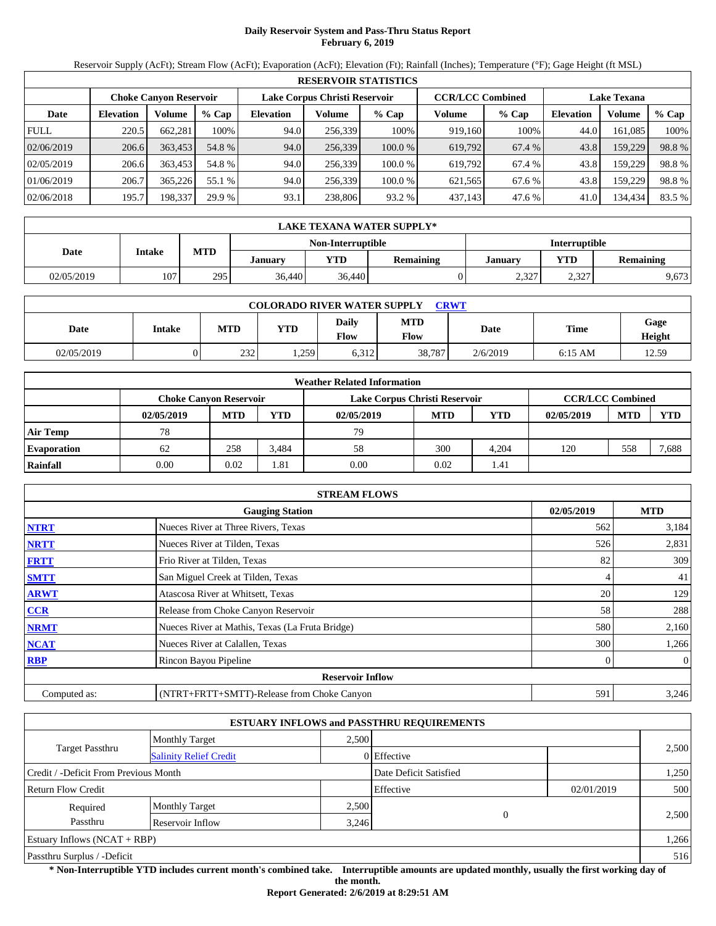## **Daily Reservoir System and Pass-Thru Status Report February 6, 2019**

Reservoir Supply (AcFt); Stream Flow (AcFt); Evaporation (AcFt); Elevation (Ft); Rainfall (Inches); Temperature (°F); Gage Height (ft MSL)

|             | <b>RESERVOIR STATISTICS</b> |                               |         |                  |                               |         |                         |         |                  |                    |        |  |
|-------------|-----------------------------|-------------------------------|---------|------------------|-------------------------------|---------|-------------------------|---------|------------------|--------------------|--------|--|
|             |                             | <b>Choke Canyon Reservoir</b> |         |                  | Lake Corpus Christi Reservoir |         | <b>CCR/LCC Combined</b> |         |                  | <b>Lake Texana</b> |        |  |
| Date        | <b>Elevation</b>            | Volume                        | $%$ Cap | <b>Elevation</b> | Volume                        | $%$ Cap | Volume                  | $%$ Cap | <b>Elevation</b> | Volume             | % Cap  |  |
| <b>FULL</b> | 220.5                       | 662.281                       | 100%    | 94.0             | 256,339                       | 100%    | 919,160                 | 100%    | 44.0             | 161.085            | 100%   |  |
| 02/06/2019  | 206.6                       | 363,453                       | 54.8 %  | 94.0             | 256,339                       | 100.0%  | 619,792                 | 67.4 %  | 43.8             | 159,229            | 98.8%  |  |
| 02/05/2019  | 206.6                       | 363,453                       | 54.8 %  | 94.0             | 256.339                       | 100.0 % | 619.792                 | 67.4 %  | 43.8             | 159.229            | 98.8%  |  |
| 01/06/2019  | 206.7                       | 365,226                       | 55.1 %  | 94.0             | 256.339                       | 100.0 % | 621,565                 | 67.6 %  | 43.8             | 159.229            | 98.8%  |  |
| 02/06/2018  | 195.7                       | 198,337                       | 29.9 %  | 93.1             | 238,806                       | 93.2 %  | 437,143                 | 47.6 %  | 41.0             | 134,434            | 83.5 % |  |

|            | LAKE TEXANA WATER SUPPLY* |            |                |                   |                  |                      |               |                  |  |  |  |
|------------|---------------------------|------------|----------------|-------------------|------------------|----------------------|---------------|------------------|--|--|--|
|            |                           |            |                | Non-Interruptible |                  | <b>Interruptible</b> |               |                  |  |  |  |
| Date       | Intake                    | <b>MTD</b> | <b>January</b> | <b>YTD</b>        | <b>Remaining</b> | January              | <b>VTD</b>    | <b>Remaining</b> |  |  |  |
| 02/05/2019 | 107                       | 295        | 36.440         | 36,440            |                  | 2,327                | 2.377<br>2.32 | 9,673            |  |  |  |

| <b>COLORADO RIVER WATER SUPPLY</b><br><b>CRWT</b> |        |            |      |               |                    |          |             |                |  |  |
|---------------------------------------------------|--------|------------|------|---------------|--------------------|----------|-------------|----------------|--|--|
| Date                                              | Intake | <b>MTD</b> | YTD  | Daily<br>Flow | MTD<br><b>Flow</b> | Date     | <b>Time</b> | Gage<br>Height |  |  |
| 02/05/2019                                        |        | 232        | .259 | 6,312         | 38,787             | 2/6/2019 | $6:15$ AM   | 12.59          |  |  |

|                    | <b>Weather Related Information</b> |            |       |                               |            |       |                         |            |            |  |  |
|--------------------|------------------------------------|------------|-------|-------------------------------|------------|-------|-------------------------|------------|------------|--|--|
|                    | <b>Choke Canvon Reservoir</b>      |            |       | Lake Corpus Christi Reservoir |            |       | <b>CCR/LCC Combined</b> |            |            |  |  |
|                    | 02/05/2019                         | <b>MTD</b> | YTD   | 02/05/2019                    | <b>MTD</b> | YTD   | 02/05/2019              | <b>MTD</b> | <b>YTD</b> |  |  |
| <b>Air Temp</b>    | 78                                 |            |       | 79                            |            |       |                         |            |            |  |  |
| <b>Evaporation</b> | 62                                 | 258        | 3,484 | 58                            | 300        | 4.204 | 120                     | 558        | 7,688      |  |  |
| Rainfall           | 0.00                               | 0.02       | 1.81  | 0.00                          | 0.02       | 1.41  |                         |            |            |  |  |

|              | <b>STREAM FLOWS</b>                             |            |              |
|--------------|-------------------------------------------------|------------|--------------|
|              | <b>Gauging Station</b>                          | 02/05/2019 | <b>MTD</b>   |
| <b>NTRT</b>  | Nueces River at Three Rivers, Texas             | 562        | 3,184        |
| <b>NRTT</b>  | Nueces River at Tilden, Texas                   | 526        | 2,831        |
| <b>FRTT</b>  | Frio River at Tilden, Texas                     | 82         | 309          |
| <b>SMTT</b>  | San Miguel Creek at Tilden, Texas               | 4          | 41           |
| <b>ARWT</b>  | Atascosa River at Whitsett, Texas               | 20         | 129          |
| CCR          | Release from Choke Canyon Reservoir             | 58         | 288          |
| <b>NRMT</b>  | Nueces River at Mathis, Texas (La Fruta Bridge) | 580        | 2,160        |
| <b>NCAT</b>  | Nueces River at Calallen, Texas                 | 300        | 1,266        |
| <b>RBP</b>   | Rincon Bayou Pipeline                           |            | $\mathbf{0}$ |
|              | <b>Reservoir Inflow</b>                         |            |              |
| Computed as: | (NTRT+FRTT+SMTT)-Release from Choke Canyon      | 591        | 3,246        |

|                                       |                               |       | <b>ESTUARY INFLOWS and PASSTHRU REQUIREMENTS</b> |            |       |
|---------------------------------------|-------------------------------|-------|--------------------------------------------------|------------|-------|
|                                       | <b>Monthly Target</b>         | 2.500 |                                                  |            |       |
| <b>Target Passthru</b>                | <b>Salinity Relief Credit</b> |       | 0 Effective                                      |            | 2,500 |
| Credit / -Deficit From Previous Month |                               |       | Date Deficit Satisfied                           |            | 1,250 |
| <b>Return Flow Credit</b>             |                               |       | Effective                                        | 02/01/2019 | 500   |
| Required                              | <b>Monthly Target</b>         | 2,500 |                                                  |            |       |
| Passthru                              | Reservoir Inflow              | 3,246 | $\mathbf{0}$                                     |            | 2,500 |
| Estuary Inflows $(NCAT + RBP)$        |                               |       |                                                  |            | 1,266 |
| Passthru Surplus / -Deficit           |                               |       |                                                  |            | 516   |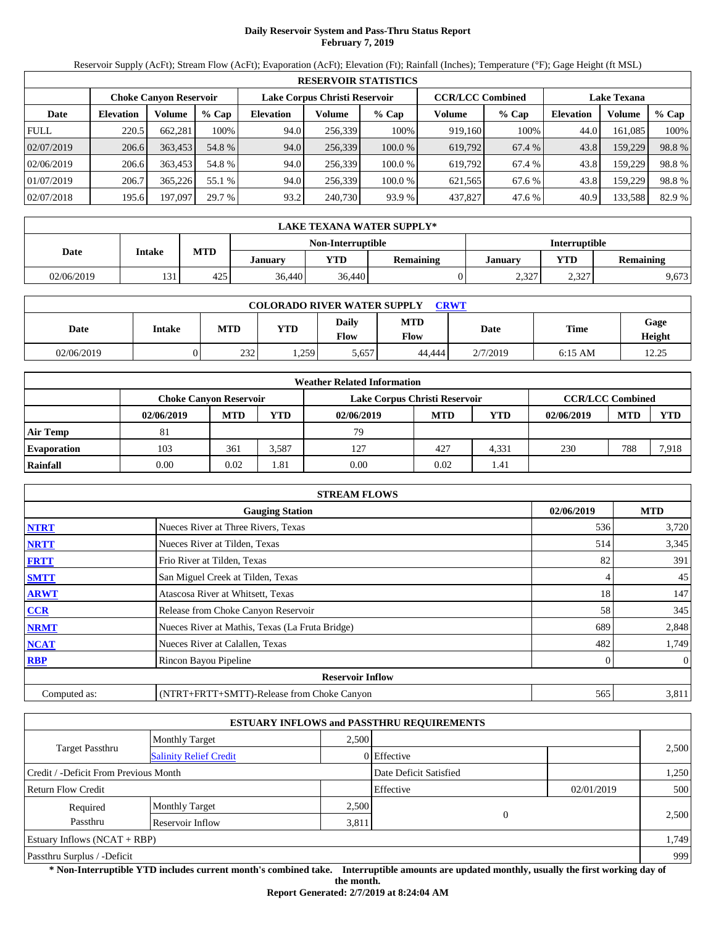# **Daily Reservoir System and Pass-Thru Status Report February 7, 2019**

Reservoir Supply (AcFt); Stream Flow (AcFt); Evaporation (AcFt); Elevation (Ft); Rainfall (Inches); Temperature (°F); Gage Height (ft MSL)

|             | <b>RESERVOIR STATISTICS</b> |                               |         |                  |                               |         |         |                         |                    |         |        |  |
|-------------|-----------------------------|-------------------------------|---------|------------------|-------------------------------|---------|---------|-------------------------|--------------------|---------|--------|--|
|             |                             | <b>Choke Canyon Reservoir</b> |         |                  | Lake Corpus Christi Reservoir |         |         | <b>CCR/LCC Combined</b> | <b>Lake Texana</b> |         |        |  |
| Date        | <b>Elevation</b>            | Volume                        | $%$ Cap | <b>Elevation</b> | Volume                        | $%$ Cap | Volume  | $%$ Cap                 | <b>Elevation</b>   | Volume  | % Cap  |  |
| <b>FULL</b> | 220.5                       | 662.281                       | 100%    | 94.0             | 256,339                       | 100%    | 919,160 | 100%                    | 44.0               | 161.085 | 100%   |  |
| 02/07/2019  | 206.6                       | 363,453                       | 54.8 %  | 94.0             | 256,339                       | 100.0%  | 619,792 | 67.4 %                  | 43.8               | 159,229 | 98.8%  |  |
| 02/06/2019  | 206.6                       | 363,453                       | 54.8 %  | 94.0             | 256.339                       | 100.0 % | 619.792 | 67.4 %                  | 43.8               | 159.229 | 98.8%  |  |
| 01/07/2019  | 206.7                       | 365,226                       | 55.1 %  | 94.0             | 256.339                       | 100.0 % | 621,565 | 67.6 %                  | 43.8               | 159.229 | 98.8%  |  |
| 02/07/2018  | 195.6                       | 197.097                       | 29.7 %  | 93.2             | 240,730                       | 93.9 %  | 437,827 | 47.6 %                  | 40.9               | 133,588 | 82.9 % |  |

|            | LAKE TEXANA WATER SUPPLY* |            |                |                   |           |                      |             |                  |  |  |  |
|------------|---------------------------|------------|----------------|-------------------|-----------|----------------------|-------------|------------------|--|--|--|
|            |                           |            |                | Non-Interruptible |           | <b>Interruptible</b> |             |                  |  |  |  |
| Date       | Intake                    | <b>MTD</b> | <b>January</b> | <b>YTD</b>        | Remaining | January              | VTD         | <b>Remaining</b> |  |  |  |
| 02/06/2019 | 131                       | 425        | 36.440         | 36,440            |           | 2,327                | 227<br>2.32 | 9,673            |  |  |  |

| <b>COLORADO RIVER WATER SUPPLY</b><br><b>CRWT</b> |        |            |      |               |             |          |             |                |  |  |
|---------------------------------------------------|--------|------------|------|---------------|-------------|----------|-------------|----------------|--|--|
| Date                                              | Intake | <b>MTD</b> | YTD  | Daily<br>Flow | MTD<br>Flow | Date     | <b>Time</b> | Gage<br>Height |  |  |
| 02/06/2019                                        |        | 232        | .259 | 5,657         | 44.444      | 2/7/2019 | $6:15$ AM   | 12.25          |  |  |

|                    |                               |            |            | <b>Weather Related Information</b> |            |       |                         |            |            |
|--------------------|-------------------------------|------------|------------|------------------------------------|------------|-------|-------------------------|------------|------------|
|                    | <b>Choke Canvon Reservoir</b> |            |            | Lake Corpus Christi Reservoir      |            |       | <b>CCR/LCC Combined</b> |            |            |
|                    | 02/06/2019                    | <b>MTD</b> | <b>YTD</b> | 02/06/2019                         | <b>MTD</b> | YTD   | 02/06/2019              | <b>MTD</b> | <b>YTD</b> |
| <b>Air Temp</b>    | 81                            |            |            | 79                                 |            |       |                         |            |            |
| <b>Evaporation</b> | 103                           | 361        | 3.587      | 127                                | 427        | 4.331 | 230                     | 788        | 7,918      |
| Rainfall           | 0.00                          | 0.02       | 1.81       | 0.00                               | 0.02       | 1.41  |                         |            |            |

|              | <b>STREAM FLOWS</b>                             |            |                |
|--------------|-------------------------------------------------|------------|----------------|
|              | <b>Gauging Station</b>                          | 02/06/2019 | <b>MTD</b>     |
| <b>NTRT</b>  | Nueces River at Three Rivers, Texas             | 536        | 3,720          |
| <b>NRTT</b>  | Nueces River at Tilden, Texas                   | 514        | 3,345          |
| <b>FRTT</b>  | Frio River at Tilden, Texas                     | 82         | 391            |
| <b>SMTT</b>  | San Miguel Creek at Tilden, Texas               | 4          | 45             |
| <b>ARWT</b>  | Atascosa River at Whitsett, Texas               | 18         | 147            |
| <b>CCR</b>   | Release from Choke Canyon Reservoir             | 58         | 345            |
| <b>NRMT</b>  | Nueces River at Mathis, Texas (La Fruta Bridge) | 689        | 2,848          |
| <b>NCAT</b>  | Nueces River at Calallen, Texas                 | 482        | 1,749          |
| <b>RBP</b>   | Rincon Bayou Pipeline                           | 0          | $\overline{0}$ |
|              | <b>Reservoir Inflow</b>                         |            |                |
| Computed as: | (NTRT+FRTT+SMTT)-Release from Choke Canyon      | 565        | 3,811          |

|                                                         |                       |       | <b>ESTUARY INFLOWS and PASSTHRU REQUIREMENTS</b> |            |       |  |
|---------------------------------------------------------|-----------------------|-------|--------------------------------------------------|------------|-------|--|
|                                                         | <b>Monthly Target</b> | 2.500 |                                                  |            |       |  |
| <b>Target Passthru</b><br><b>Salinity Relief Credit</b> |                       |       | 0 Effective                                      |            | 2,500 |  |
| Credit / -Deficit From Previous Month                   |                       |       | Date Deficit Satisfied                           |            | 1,250 |  |
| <b>Return Flow Credit</b>                               |                       |       | Effective                                        | 02/01/2019 | 500   |  |
| Required                                                | <b>Monthly Target</b> | 2,500 |                                                  |            |       |  |
| Passthru                                                | Reservoir Inflow      | 3,811 | $\mathbf{0}$                                     |            | 2,500 |  |
| Estuary Inflows $(NCAT + RBP)$                          |                       |       |                                                  |            | 1,749 |  |
| Passthru Surplus / -Deficit                             |                       |       |                                                  |            | 999   |  |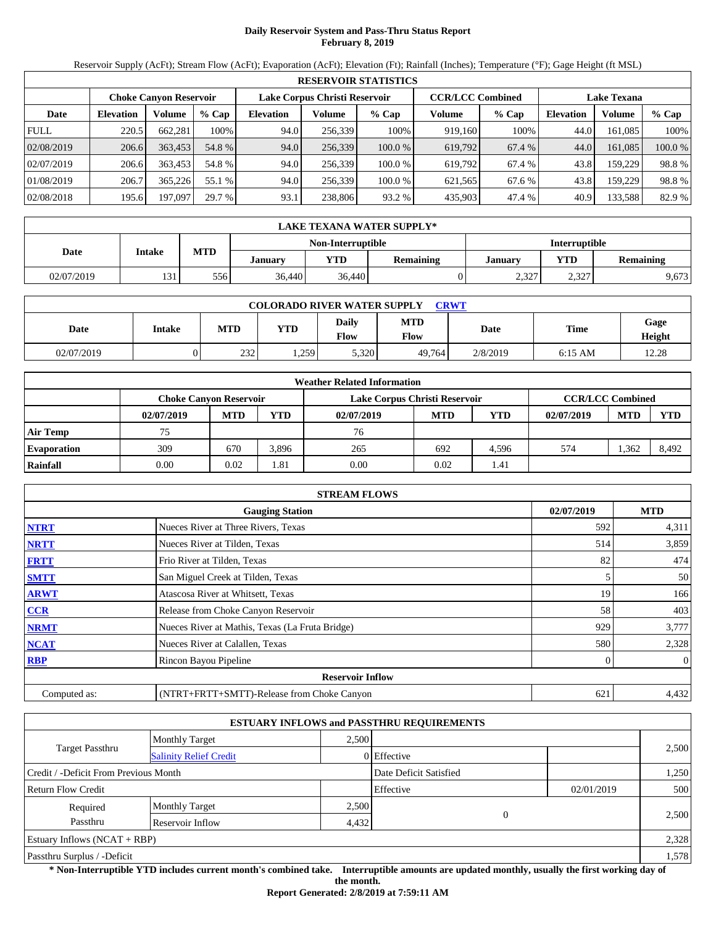# **Daily Reservoir System and Pass-Thru Status Report February 8, 2019**

Reservoir Supply (AcFt); Stream Flow (AcFt); Evaporation (AcFt); Elevation (Ft); Rainfall (Inches); Temperature (°F); Gage Height (ft MSL)

|             | <b>RESERVOIR STATISTICS</b> |                               |         |                  |                               |         |                         |         |                    |         |         |  |
|-------------|-----------------------------|-------------------------------|---------|------------------|-------------------------------|---------|-------------------------|---------|--------------------|---------|---------|--|
|             |                             | <b>Choke Canvon Reservoir</b> |         |                  | Lake Corpus Christi Reservoir |         | <b>CCR/LCC Combined</b> |         | <b>Lake Texana</b> |         |         |  |
| Date        | <b>Elevation</b>            | Volume                        | $%$ Cap | <b>Elevation</b> | Volume                        | $%$ Cap | Volume                  | $%$ Cap | <b>Elevation</b>   | Volume  | $%$ Cap |  |
| <b>FULL</b> | 220.5                       | 662.281                       | 100%    | 94.0             | 256,339                       | 100%    | 919,160                 | 100%    | 44.0               | 161.085 | 100%    |  |
| 02/08/2019  | 206.6                       | 363,453                       | 54.8 %  | 94.0             | 256,339                       | 100.0%  | 619,792                 | 67.4 %  | 44.0               | 161.085 | 100.0 % |  |
| 02/07/2019  | 206.6                       | 363.453                       | 54.8 %  | 94.0             | 256.339                       | 100.0%  | 619.792                 | 67.4 %  | 43.8               | 159.229 | 98.8%   |  |
| 01/08/2019  | 206.7                       | 365,226                       | 55.1 %  | 94.0             | 256,339                       | 100.0%  | 621,565                 | 67.6 %  | 43.8               | 159.229 | 98.8%   |  |
| 02/08/2018  | 195.6                       | 197,097                       | 29.7 %  | 93.1             | 238,806                       | 93.2 %  | 435,903                 | 47.4 %  | 40.9               | 133,588 | 82.9 %  |  |

|            | LAKE TEXANA WATER SUPPLY* |            |         |                   |           |                      |              |                  |  |  |  |
|------------|---------------------------|------------|---------|-------------------|-----------|----------------------|--------------|------------------|--|--|--|
|            |                           |            |         | Non-Interruptible |           | <b>Interruptible</b> |              |                  |  |  |  |
| Date       | Intake                    | <b>MTD</b> | Januarv | YTD               | Remaining | January              | <b>VTD</b>   | <b>Remaining</b> |  |  |  |
| 02/07/2019 | 131                       | 556        | 36.440  | 36,440            |           | 2,327                | 227<br>ے دیک | 9,673            |  |  |  |

| <b>COLORADO RIVER WATER SUPPLY</b><br><b>CRWT</b> |        |            |      |               |             |             |             |                |  |  |
|---------------------------------------------------|--------|------------|------|---------------|-------------|-------------|-------------|----------------|--|--|
| Date                                              | Intake | <b>MTD</b> | YTD  | Daily<br>Flow | MTD<br>Flow | <b>Date</b> | <b>Time</b> | Gage<br>Height |  |  |
| 02/07/2019                                        |        | 232        | .259 | 5,320         | 49.764      | 2/8/2019    | $6:15$ AM   | 12.28          |  |  |

|                    |                               |            |            | <b>Weather Related Information</b> |            |       |                         |            |            |
|--------------------|-------------------------------|------------|------------|------------------------------------|------------|-------|-------------------------|------------|------------|
|                    | <b>Choke Canyon Reservoir</b> |            |            | Lake Corpus Christi Reservoir      |            |       | <b>CCR/LCC Combined</b> |            |            |
|                    | 02/07/2019                    | <b>MTD</b> | <b>YTD</b> | 02/07/2019                         | <b>MTD</b> | YTD   | 02/07/2019              | <b>MTD</b> | <b>YTD</b> |
| <b>Air Temp</b>    | 75                            |            |            | 76                                 |            |       |                         |            |            |
| <b>Evaporation</b> | 309                           | 670        | 3.896      | 265                                | 692        | 4.596 | 574                     | 1,362      | 8,492      |
| Rainfall           | 0.00                          | 0.02       | 1.81       | 0.00                               | 0.02       | 1.41  |                         |            |            |

|              | <b>STREAM FLOWS</b>                             |            |              |
|--------------|-------------------------------------------------|------------|--------------|
|              | <b>Gauging Station</b>                          | 02/07/2019 | <b>MTD</b>   |
| <b>NTRT</b>  | Nueces River at Three Rivers, Texas             | 592        | 4,311        |
| <b>NRTT</b>  | Nueces River at Tilden, Texas                   | 514        | 3,859        |
| <b>FRTT</b>  | Frio River at Tilden, Texas                     | 82         | 474          |
| <b>SMTT</b>  | San Miguel Creek at Tilden, Texas               | 5          | 50           |
| <b>ARWT</b>  | Atascosa River at Whitsett, Texas               | 19         | 166          |
| <b>CCR</b>   | Release from Choke Canyon Reservoir             | 58         | 403          |
| <b>NRMT</b>  | Nueces River at Mathis, Texas (La Fruta Bridge) | 929        | 3,777        |
| <b>NCAT</b>  | Nueces River at Calallen, Texas                 | 580        | 2,328        |
| <b>RBP</b>   | Rincon Bayou Pipeline                           |            | $\mathbf{0}$ |
|              | <b>Reservoir Inflow</b>                         |            |              |
| Computed as: | (NTRT+FRTT+SMTT)-Release from Choke Canyon      | 621        | 4,432        |

|                                       |                               |       | <b>ESTUARY INFLOWS and PASSTHRU REQUIREMENTS</b> |            |       |
|---------------------------------------|-------------------------------|-------|--------------------------------------------------|------------|-------|
|                                       | <b>Monthly Target</b>         | 2.500 |                                                  |            |       |
| <b>Target Passthru</b>                | <b>Salinity Relief Credit</b> |       | 0 Effective                                      |            | 2,500 |
| Credit / -Deficit From Previous Month |                               |       | Date Deficit Satisfied                           |            | 1,250 |
| <b>Return Flow Credit</b>             |                               |       | Effective                                        | 02/01/2019 | 500   |
| Required                              | <b>Monthly Target</b>         | 2,500 |                                                  |            |       |
| Passthru                              | Reservoir Inflow              | 4,432 | $\theta$                                         |            | 2,500 |
| Estuary Inflows $(NCAT + RBP)$        |                               |       |                                                  |            | 2,328 |
| Passthru Surplus / -Deficit           |                               |       |                                                  |            | 1,578 |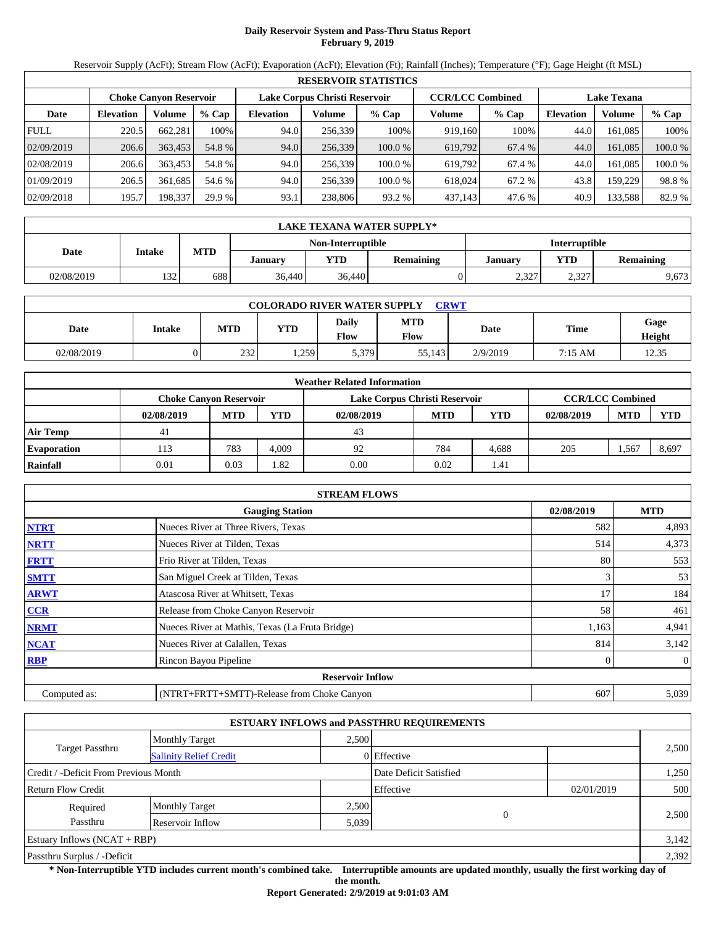# **Daily Reservoir System and Pass-Thru Status Report February 9, 2019**

Reservoir Supply (AcFt); Stream Flow (AcFt); Evaporation (AcFt); Elevation (Ft); Rainfall (Inches); Temperature (°F); Gage Height (ft MSL)

|             | <b>RESERVOIR STATISTICS</b> |                               |         |                                                          |         |         |         |         |                  |                    |         |  |
|-------------|-----------------------------|-------------------------------|---------|----------------------------------------------------------|---------|---------|---------|---------|------------------|--------------------|---------|--|
|             |                             | <b>Choke Canvon Reservoir</b> |         | Lake Corpus Christi Reservoir<br><b>CCR/LCC Combined</b> |         |         |         |         |                  | <b>Lake Texana</b> |         |  |
| Date        | <b>Elevation</b>            | Volume                        | $%$ Cap | <b>Elevation</b>                                         | Volume  | $%$ Cap | Volume  | $%$ Cap | <b>Elevation</b> | Volume             | $%$ Cap |  |
| <b>FULL</b> | 220.5                       | 662.281                       | 100%    | 94.0                                                     | 256,339 | 100%    | 919,160 | 100%    | 44.0             | 161.085            | 100%    |  |
| 02/09/2019  | 206.6                       | 363,453                       | 54.8 %  | 94.0                                                     | 256,339 | 100.0%  | 619,792 | 67.4 %  | 44.0             | 161.085            | 100.0 % |  |
| 02/08/2019  | 206.6                       | 363.453                       | 54.8 %  | 94.0                                                     | 256.339 | 100.0%  | 619.792 | 67.4 %  | 44.0             | 161.085            | 100.0 % |  |
| 01/09/2019  | 206.5                       | 361,685                       | 54.6 %  | 94.0                                                     | 256,339 | 100.0%  | 618,024 | 67.2 %  | 43.8             | 159.229            | 98.8%   |  |
| 02/09/2018  | 195.7                       | 198,337                       | 29.9 %  | 93.1                                                     | 238,806 | 93.2 %  | 437,143 | 47.6 %  | 40.9             | 133,588            | 82.9 %  |  |

|            | LAKE TEXANA WATER SUPPLY* |            |         |                   |           |         |                      |                  |  |  |  |
|------------|---------------------------|------------|---------|-------------------|-----------|---------|----------------------|------------------|--|--|--|
|            |                           |            |         | Non-Interruptible |           |         | <b>Interruptible</b> |                  |  |  |  |
| Date       | Intake                    | <b>MTD</b> | Januarv | <b>YTD</b>        | Remaining | January | <b>VTD</b>           | <b>Remaining</b> |  |  |  |
| 02/08/2019 | 132                       | 688        | 36.440  | 36,440            |           | 2,327   | 227<br>ے دیک         | 9,673            |  |  |  |

| <b>COLORADO RIVER WATER SUPPLY</b><br><b>CRWT</b> |        |            |      |               |             |          |             |                |  |  |
|---------------------------------------------------|--------|------------|------|---------------|-------------|----------|-------------|----------------|--|--|
| Date                                              | Intake | <b>MTD</b> | YTD  | Daily<br>Flow | MTD<br>Flow | Date     | <b>Time</b> | Gage<br>Height |  |  |
| 02/08/2019                                        |        | 232        | .259 | 5,379         | 55.143      | 2/9/2019 | 7:15 AM     | 12.35          |  |  |

|                    |                               |            |            | <b>Weather Related Information</b> |            |       |                         |            |            |
|--------------------|-------------------------------|------------|------------|------------------------------------|------------|-------|-------------------------|------------|------------|
|                    | <b>Choke Canyon Reservoir</b> |            |            | Lake Corpus Christi Reservoir      |            |       | <b>CCR/LCC Combined</b> |            |            |
|                    | 02/08/2019                    | <b>MTD</b> | <b>YTD</b> | 02/08/2019                         | <b>MTD</b> | YTD   | 02/08/2019              | <b>MTD</b> | <b>YTD</b> |
| <b>Air Temp</b>    | 41                            |            |            | 43                                 |            |       |                         |            |            |
| <b>Evaporation</b> | 113                           | 783        | 4.009      | 92                                 | 784        | 4.688 | 205                     | .,567      | 8,697      |
| Rainfall           | 0.01                          | 0.03       | .82        | 0.00                               | 0.02       | 1.41  |                         |            |            |

|              | <b>STREAM FLOWS</b>                             |            |              |
|--------------|-------------------------------------------------|------------|--------------|
|              | <b>Gauging Station</b>                          | 02/08/2019 | <b>MTD</b>   |
| <b>NTRT</b>  | Nueces River at Three Rivers, Texas             | 582        | 4,893        |
| <b>NRTT</b>  | Nueces River at Tilden, Texas                   | 514        | 4,373        |
| <b>FRTT</b>  | Frio River at Tilden, Texas                     | 80         | 553          |
| <b>SMTT</b>  | San Miguel Creek at Tilden, Texas               | 3          | 53           |
| <b>ARWT</b>  | Atascosa River at Whitsett, Texas               | 17         | 184          |
| <b>CCR</b>   | Release from Choke Canyon Reservoir             | 58         | 461          |
| <b>NRMT</b>  | Nueces River at Mathis, Texas (La Fruta Bridge) | 1,163      | 4,941        |
| <b>NCAT</b>  | Nueces River at Calallen, Texas                 | 814        | 3,142        |
| <b>RBP</b>   | Rincon Bayou Pipeline                           | $\Omega$   | $\mathbf{0}$ |
|              | <b>Reservoir Inflow</b>                         |            |              |
| Computed as: | (NTRT+FRTT+SMTT)-Release from Choke Canyon      | 607        | 5,039        |

|                                       |                               |       | <b>ESTUARY INFLOWS and PASSTHRU REQUIREMENTS</b> |            |       |
|---------------------------------------|-------------------------------|-------|--------------------------------------------------|------------|-------|
|                                       | <b>Monthly Target</b>         | 2.500 |                                                  |            |       |
| <b>Target Passthru</b>                | <b>Salinity Relief Credit</b> |       | 0 Effective                                      |            | 2,500 |
| Credit / -Deficit From Previous Month |                               |       | Date Deficit Satisfied                           |            | 1,250 |
| <b>Return Flow Credit</b>             |                               |       | Effective                                        | 02/01/2019 | 500   |
| Required                              | <b>Monthly Target</b>         | 2,500 |                                                  |            |       |
| Passthru                              | Reservoir Inflow              | 5,039 | $\theta$                                         |            | 2,500 |
| Estuary Inflows $(NCAT + RBP)$        |                               |       |                                                  |            | 3,142 |
| Passthru Surplus / -Deficit           |                               |       |                                                  |            | 2,392 |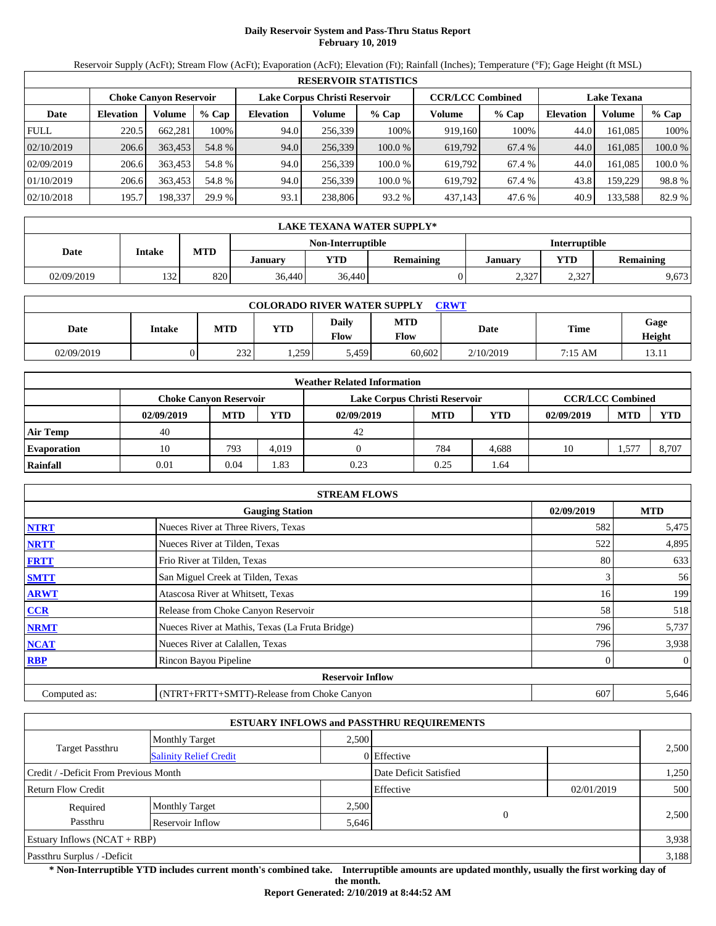# **Daily Reservoir System and Pass-Thru Status Report February 10, 2019**

Reservoir Supply (AcFt); Stream Flow (AcFt); Evaporation (AcFt); Elevation (Ft); Rainfall (Inches); Temperature (°F); Gage Height (ft MSL)

|             | <b>RESERVOIR STATISTICS</b> |                               |         |                                                          |         |         |         |         |                    |         |         |  |
|-------------|-----------------------------|-------------------------------|---------|----------------------------------------------------------|---------|---------|---------|---------|--------------------|---------|---------|--|
|             |                             | <b>Choke Canvon Reservoir</b> |         | Lake Corpus Christi Reservoir<br><b>CCR/LCC Combined</b> |         |         |         |         | <b>Lake Texana</b> |         |         |  |
| Date        | <b>Elevation</b>            | Volume                        | $%$ Cap | <b>Elevation</b>                                         | Volume  | $%$ Cap | Volume  | $%$ Cap | <b>Elevation</b>   | Volume  | $%$ Cap |  |
| <b>FULL</b> | 220.5                       | 662.281                       | 100%    | 94.0                                                     | 256,339 | 100%    | 919,160 | 100%    | 44.0               | 161.085 | 100%    |  |
| 02/10/2019  | 206.6                       | 363,453                       | 54.8 %  | 94.0                                                     | 256,339 | 100.0 % | 619,792 | 67.4 %  | 44.0               | 161.085 | 100.0 % |  |
| 02/09/2019  | 206.6                       | 363.453                       | 54.8 %  | 94.0                                                     | 256.339 | 100.0%  | 619.792 | 67.4 %  | 44.0               | 161.085 | 100.0 % |  |
| 01/10/2019  | 206.6                       | 363.453                       | 54.8 %  | 94.0                                                     | 256,339 | 100.0%  | 619.792 | 67.4 %  | 43.8               | 159.229 | 98.8%   |  |
| 02/10/2018  | 195.7                       | 198,337                       | 29.9 %  | 93.1                                                     | 238,806 | 93.2%   | 437,143 | 47.6 %  | 40.9               | 133,588 | 82.9 %  |  |

|            | LAKE TEXANA WATER SUPPLY* |            |         |                   |                  |                |                      |                  |  |  |  |
|------------|---------------------------|------------|---------|-------------------|------------------|----------------|----------------------|------------------|--|--|--|
|            |                           |            |         | Non-Interruptible |                  |                | <b>Interruptible</b> |                  |  |  |  |
| Date       | Intake                    | <b>MTD</b> | Januarv | <b>YTD</b>        | <b>Remaining</b> | <b>January</b> | <b>YTD</b>           | <b>Remaining</b> |  |  |  |
| 02/09/2019 | 132                       | 820        | 36.440  | 36,440            |                  | 2,327          | 2.377<br>ے دیک       | 9,673            |  |  |  |

| <b>COLORADO RIVER WATER SUPPLY</b><br>CRWT |        |            |            |                      |                    |           |         |                |  |  |
|--------------------------------------------|--------|------------|------------|----------------------|--------------------|-----------|---------|----------------|--|--|
| Date                                       | Intake | <b>MTD</b> | <b>YTD</b> | Daily<br><b>Flow</b> | <b>MTD</b><br>Flow | Date      | Time    | Gage<br>Height |  |  |
| 02/09/2019                                 |        | 232        | 1,259      | 5,459                | 60.602             | 2/10/2019 | 7:15 AM | 13.11          |  |  |

|                    |                               |            |            | <b>Weather Related Information</b> |            |       |                         |            |            |
|--------------------|-------------------------------|------------|------------|------------------------------------|------------|-------|-------------------------|------------|------------|
|                    | <b>Choke Canyon Reservoir</b> |            |            | Lake Corpus Christi Reservoir      |            |       | <b>CCR/LCC Combined</b> |            |            |
|                    | 02/09/2019                    | <b>MTD</b> | <b>YTD</b> | 02/09/2019                         | <b>MTD</b> | YTD   | 02/09/2019              | <b>MTD</b> | <b>YTD</b> |
| <b>Air Temp</b>    | 40                            |            |            | 42                                 |            |       |                         |            |            |
| <b>Evaporation</b> | 10                            | 793        | 4.019      |                                    | 784        | 4.688 | 10                      | 1,577      | 8.707      |
| Rainfall           | 0.01                          | 0.04       | 1.83       | 0.23                               | 0.25       | l.64  |                         |            |            |

|              | <b>STREAM FLOWS</b>                             |            |              |
|--------------|-------------------------------------------------|------------|--------------|
|              | <b>Gauging Station</b>                          | 02/09/2019 | <b>MTD</b>   |
| <b>NTRT</b>  | Nueces River at Three Rivers, Texas             | 582        | 5,475        |
| <b>NRTT</b>  | Nueces River at Tilden, Texas                   | 522        | 4,895        |
| <b>FRTT</b>  | Frio River at Tilden, Texas                     | 80         | 633          |
| <b>SMTT</b>  | San Miguel Creek at Tilden, Texas               | 3          | 56           |
| <b>ARWT</b>  | Atascosa River at Whitsett, Texas               | 16         | 199          |
| CCR          | Release from Choke Canyon Reservoir             | 58         | 518          |
| <b>NRMT</b>  | Nueces River at Mathis, Texas (La Fruta Bridge) | 796        | 5,737        |
| <b>NCAT</b>  | Nueces River at Calallen, Texas                 | 796        | 3,938        |
| <b>RBP</b>   | Rincon Bayou Pipeline                           | $\Omega$   | $\mathbf{0}$ |
|              | <b>Reservoir Inflow</b>                         |            |              |
| Computed as: | (NTRT+FRTT+SMTT)-Release from Choke Canyon      | 607        | 5,646        |

|                                       |                               |       | <b>ESTUARY INFLOWS and PASSTHRU REQUIREMENTS</b> |            |       |
|---------------------------------------|-------------------------------|-------|--------------------------------------------------|------------|-------|
|                                       | <b>Monthly Target</b>         | 2.500 |                                                  |            |       |
| <b>Target Passthru</b>                | <b>Salinity Relief Credit</b> |       | 0 Effective                                      |            | 2,500 |
| Credit / -Deficit From Previous Month |                               |       | Date Deficit Satisfied                           |            | 1,250 |
| <b>Return Flow Credit</b>             |                               |       | Effective                                        | 02/01/2019 | 500   |
| Required                              | <b>Monthly Target</b>         | 2,500 |                                                  |            |       |
| Passthru                              | Reservoir Inflow              | 5,646 | $\mathbf{0}$                                     |            | 2,500 |
| Estuary Inflows $(NCAT + RBP)$        |                               |       |                                                  |            | 3,938 |
| Passthru Surplus / -Deficit           |                               |       |                                                  |            | 3,188 |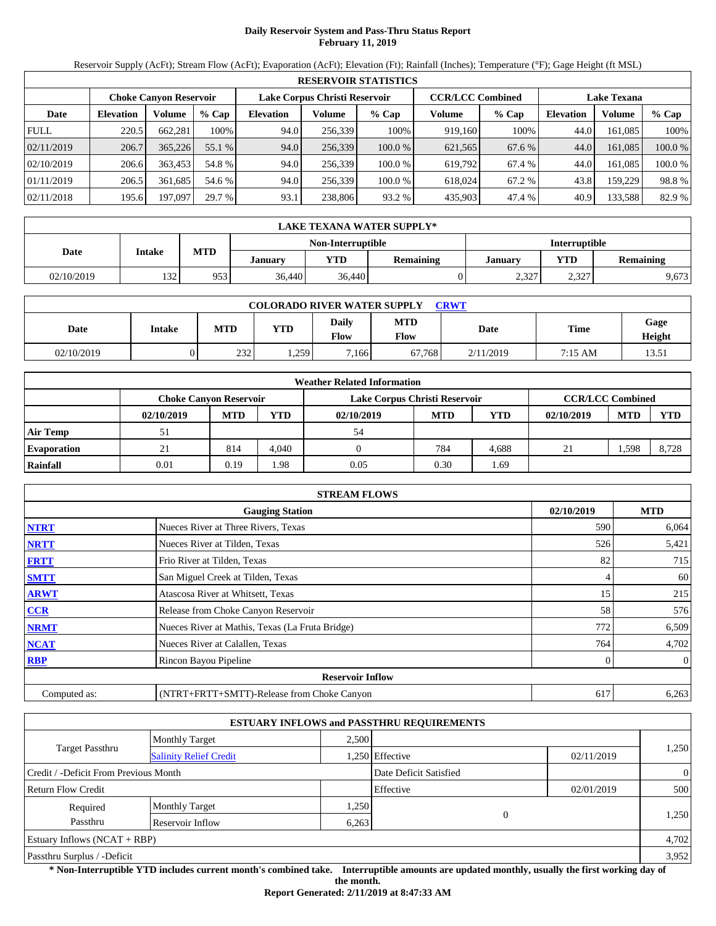# **Daily Reservoir System and Pass-Thru Status Report February 11, 2019**

Reservoir Supply (AcFt); Stream Flow (AcFt); Evaporation (AcFt); Elevation (Ft); Rainfall (Inches); Temperature (°F); Gage Height (ft MSL)

|             | <b>RESERVOIR STATISTICS</b> |                               |         |                               |         |         |                         |        |                    |         |         |
|-------------|-----------------------------|-------------------------------|---------|-------------------------------|---------|---------|-------------------------|--------|--------------------|---------|---------|
|             |                             | <b>Choke Canvon Reservoir</b> |         | Lake Corpus Christi Reservoir |         |         | <b>CCR/LCC Combined</b> |        | <b>Lake Texana</b> |         |         |
| Date        | <b>Elevation</b>            | Volume                        | $%$ Cap | <b>Elevation</b>              | Volume  | $%$ Cap | Volume                  | % Cap  | <b>Elevation</b>   | Volume  | $%$ Cap |
| <b>FULL</b> | 220.5                       | 662.281                       | 100%    | 94.0                          | 256,339 | 100%    | 919,160                 | 100%   | 44.0               | 161.085 | 100%    |
| 02/11/2019  | 206.7                       | 365,226                       | 55.1 %  | 94.0                          | 256,339 | 100.0 % | 621,565                 | 67.6 % | 44.0               | 161.085 | 100.0 % |
| 02/10/2019  | 206.6                       | 363.453                       | 54.8 %  | 94.0                          | 256,339 | 100.0 % | 619.792                 | 67.4 % | 44.0               | 161.085 | 100.0 % |
| 01/11/2019  | 206.5                       | 361.685                       | 54.6 %  | 94.0                          | 256,339 | 100.0 % | 618,024                 | 67.2 % | 43.8               | 159.229 | 98.8%   |
| 02/11/2018  | 195.6                       | 197,097                       | 29.7 %  | 93.1                          | 238,806 | 93.2 %  | 435,903                 | 47.4 % | 40.9               | 133,588 | 82.9 %  |

|            | LAKE TEXANA WATER SUPPLY* |            |         |                   |                  |                      |                 |                  |  |  |  |
|------------|---------------------------|------------|---------|-------------------|------------------|----------------------|-----------------|------------------|--|--|--|
|            |                           |            |         | Non-Interruptible |                  | <b>Interruptible</b> |                 |                  |  |  |  |
| Date       | Intake                    | <b>MTD</b> | Januarv | YTD               | <b>Remaining</b> | January              | $\mathbf{v}$ TD | <b>Remaining</b> |  |  |  |
| 02/10/2019 | 132                       | 953        | 36.440  | 36.440            |                  | 2,327                | 2,327           | 9,673            |  |  |  |

| <b>COLORADO RIVER WATER SUPPLY</b><br>CRWT |        |            |            |                      |                    |           |                   |                |  |  |
|--------------------------------------------|--------|------------|------------|----------------------|--------------------|-----------|-------------------|----------------|--|--|
| Date                                       | Intake | <b>MTD</b> | <b>YTD</b> | Daily<br><b>Flow</b> | <b>MTD</b><br>Flow | Date      | <b>Time</b>       | Gage<br>Height |  |  |
| 02/10/2019                                 |        | 232        | 1,259      | 7.166                | 67.768             | 2/11/2019 | $7:15 \text{ AM}$ | 13.51          |  |  |

|                    |                               |            |       | <b>Weather Related Information</b> |            |            |                         |            |            |
|--------------------|-------------------------------|------------|-------|------------------------------------|------------|------------|-------------------------|------------|------------|
|                    | <b>Choke Canvon Reservoir</b> |            |       | Lake Corpus Christi Reservoir      |            |            | <b>CCR/LCC Combined</b> |            |            |
|                    | 02/10/2019                    | <b>MTD</b> | YTD   | 02/10/2019                         | <b>MTD</b> | <b>YTD</b> | 02/10/2019              | <b>MTD</b> | <b>YTD</b> |
| <b>Air Temp</b>    | 51                            |            |       | 54                                 |            |            |                         |            |            |
| <b>Evaporation</b> | 21                            | 814        | 4.040 |                                    | 784        | 4.688      | 21                      | 1,598      | 8.728      |
| Rainfall           | 0.01                          | 0.19       | .98   | 0.05                               | 0.30       | .69        |                         |            |            |

|              | <b>STREAM FLOWS</b>                             |            |              |
|--------------|-------------------------------------------------|------------|--------------|
|              | <b>Gauging Station</b>                          | 02/10/2019 | <b>MTD</b>   |
| <b>NTRT</b>  | Nueces River at Three Rivers, Texas             | 590        | 6,064        |
| <b>NRTT</b>  | Nueces River at Tilden, Texas                   | 526        | 5,421        |
| <b>FRTT</b>  | Frio River at Tilden, Texas                     | 82         | 715          |
| <b>SMTT</b>  | San Miguel Creek at Tilden, Texas               | 4          | 60           |
| <b>ARWT</b>  | Atascosa River at Whitsett, Texas               | 15         | 215          |
| <b>CCR</b>   | Release from Choke Canyon Reservoir             | 58         | 576          |
| <b>NRMT</b>  | Nueces River at Mathis, Texas (La Fruta Bridge) | 772        | 6,509        |
| <b>NCAT</b>  | Nueces River at Calallen, Texas                 | 764        | 4,702        |
| <b>RBP</b>   | Rincon Bayou Pipeline                           | $\Omega$   | $\mathbf{0}$ |
|              | <b>Reservoir Inflow</b>                         |            |              |
| Computed as: | (NTRT+FRTT+SMTT)-Release from Choke Canyon      | 617        | 6,263        |

|                                       |                               |       | <b>ESTUARY INFLOWS and PASSTHRU REQUIREMENTS</b> |            |                |
|---------------------------------------|-------------------------------|-------|--------------------------------------------------|------------|----------------|
|                                       | <b>Monthly Target</b>         | 2.500 |                                                  |            |                |
| <b>Target Passthru</b>                | <b>Salinity Relief Credit</b> |       | .250 Effective                                   | 02/11/2019 | 1,250          |
| Credit / -Deficit From Previous Month |                               |       | Date Deficit Satisfied                           |            | $\overline{0}$ |
| <b>Return Flow Credit</b>             |                               |       | Effective                                        | 02/01/2019 | 500            |
| Required                              | <b>Monthly Target</b>         | .250  |                                                  |            |                |
| Passthru                              | Reservoir Inflow              | 6,263 | $\overline{0}$                                   |            | 1,250          |
| Estuary Inflows $(NCAT + RBP)$        |                               |       |                                                  |            | 4,702          |
| Passthru Surplus / -Deficit           |                               |       |                                                  |            | 3,952          |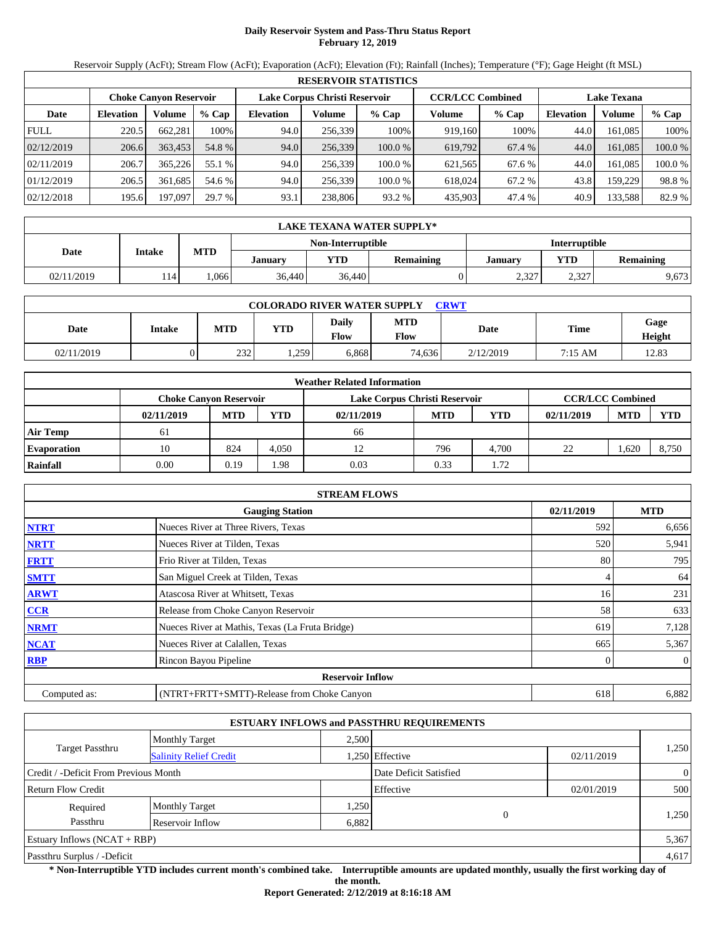# **Daily Reservoir System and Pass-Thru Status Report February 12, 2019**

Reservoir Supply (AcFt); Stream Flow (AcFt); Evaporation (AcFt); Elevation (Ft); Rainfall (Inches); Temperature (°F); Gage Height (ft MSL)

|             |                                                                |         |         |                  |         | <b>RESERVOIR STATISTICS</b> |         |         |                    |         |         |
|-------------|----------------------------------------------------------------|---------|---------|------------------|---------|-----------------------------|---------|---------|--------------------|---------|---------|
|             | Lake Corpus Christi Reservoir<br><b>Choke Canvon Reservoir</b> |         |         |                  |         | <b>CCR/LCC Combined</b>     |         |         | <b>Lake Texana</b> |         |         |
| Date        | <b>Elevation</b>                                               | Volume  | $%$ Cap | <b>Elevation</b> | Volume  | $%$ Cap                     | Volume  | $%$ Cap | <b>Elevation</b>   | Volume  | $%$ Cap |
| <b>FULL</b> | 220.5                                                          | 662.281 | 100%    | 94.0             | 256,339 | 100%                        | 919,160 | 100%    | 44.0               | 161.085 | 100%    |
| 02/12/2019  | 206.6                                                          | 363,453 | 54.8 %  | 94.0             | 256,339 | 100.0 %                     | 619,792 | 67.4 %  | 44.0               | 161.085 | 100.0 % |
| 02/11/2019  | 206.7                                                          | 365,226 | 55.1 %  | 94.0             | 256.339 | 100.0%                      | 621,565 | 67.6 %  | 44.0               | 161.085 | 100.0 % |
| 01/12/2019  | 206.5                                                          | 361,685 | 54.6 %  | 94.0             | 256,339 | 100.0%                      | 618,024 | 67.2 %  | 43.8               | 159.229 | 98.8%   |
| 02/12/2018  | 195.6                                                          | 197,097 | 29.7 %  | 93.1             | 238,806 | 93.2 %                      | 435,903 | 47.4 %  | 40.9               | 133,588 | 82.9 %  |

|            | LAKE TEXANA WATER SUPPLY* |            |         |                          |           |         |                      |           |  |  |  |
|------------|---------------------------|------------|---------|--------------------------|-----------|---------|----------------------|-----------|--|--|--|
|            |                           |            |         | <b>Non-Interruptible</b> |           |         | <b>Interruptible</b> |           |  |  |  |
| Date       | Intake                    | <b>MTD</b> | Januarv | <b>YTD</b>               | Remaining | Januarv | <b>VTD</b>           | Remaining |  |  |  |
| 02/11/2019 | 114                       | .066       | 36.440  | 36,440                   |           | 2,327   | 2,327                | 9,673     |  |  |  |

| <b>COLORADO RIVER WATER SUPPLY</b><br>CRWT |        |            |            |                      |                    |           |           |                |  |  |
|--------------------------------------------|--------|------------|------------|----------------------|--------------------|-----------|-----------|----------------|--|--|
| Date                                       | Intake | <b>MTD</b> | <b>YTD</b> | Daily<br><b>Flow</b> | <b>MTD</b><br>Flow | Date      | Time      | Gage<br>Height |  |  |
| 02/11/2019                                 |        | 232        | . 259      | 6,868                | 74.636             | 2/12/2019 | $7:15$ AM | 12.83          |  |  |

|                    |                               |            |            | <b>Weather Related Information</b> |            |       |                         |            |            |
|--------------------|-------------------------------|------------|------------|------------------------------------|------------|-------|-------------------------|------------|------------|
|                    | <b>Choke Canyon Reservoir</b> |            |            | Lake Corpus Christi Reservoir      |            |       | <b>CCR/LCC Combined</b> |            |            |
|                    | 02/11/2019                    | <b>MTD</b> | <b>YTD</b> | 02/11/2019                         | <b>MTD</b> | YTD   | 02/11/2019              | <b>MTD</b> | <b>YTD</b> |
| <b>Air Temp</b>    | 61                            |            |            | 66                                 |            |       |                         |            |            |
| <b>Evaporation</b> | 10                            | 824        | 4.050      |                                    | 796        | 4.700 | 22                      | 1,620      | 8.750      |
| Rainfall           | 0.00                          | 0.19       | .98        | 0.03                               | 0.33       | l.72  |                         |            |            |

|              | <b>STREAM FLOWS</b>                             |                 |            |
|--------------|-------------------------------------------------|-----------------|------------|
|              | <b>Gauging Station</b>                          | 02/11/2019      | <b>MTD</b> |
| <b>NTRT</b>  | Nueces River at Three Rivers, Texas             | 592             | 6,656      |
| <b>NRTT</b>  | Nueces River at Tilden, Texas                   | 520             | 5,941      |
| <b>FRTT</b>  | Frio River at Tilden, Texas                     | 80              | 795        |
| <b>SMTT</b>  | San Miguel Creek at Tilden, Texas               | 4               | 64         |
| <b>ARWT</b>  | Atascosa River at Whitsett, Texas               | 16 <sup>1</sup> | 231        |
| <b>CCR</b>   | Release from Choke Canyon Reservoir             | 58              | 633        |
| <b>NRMT</b>  | Nueces River at Mathis, Texas (La Fruta Bridge) | 619             | 7,128      |
| <b>NCAT</b>  | Nueces River at Calallen, Texas                 | 665             | 5,367      |
| <b>RBP</b>   | Rincon Bayou Pipeline                           | 0               | $\theta$   |
|              | <b>Reservoir Inflow</b>                         |                 |            |
| Computed as: | (NTRT+FRTT+SMTT)-Release from Choke Canyon      | 618             | 6,882      |

|                                       |                               |       | <b>ESTUARY INFLOWS and PASSTHRU REQUIREMENTS</b> |            |                |
|---------------------------------------|-------------------------------|-------|--------------------------------------------------|------------|----------------|
|                                       | <b>Monthly Target</b>         | 2.500 |                                                  |            |                |
| <b>Target Passthru</b>                | <b>Salinity Relief Credit</b> |       | .250 Effective                                   | 02/11/2019 | 1,250          |
| Credit / -Deficit From Previous Month |                               |       | Date Deficit Satisfied                           |            | $\overline{0}$ |
| <b>Return Flow Credit</b>             |                               |       | Effective                                        | 02/01/2019 | 500            |
| Required                              | <b>Monthly Target</b>         | .250  |                                                  |            |                |
| Passthru                              | Reservoir Inflow              | 6,882 | 0                                                |            | 1,250          |
| Estuary Inflows $(NCAT + RBP)$        |                               |       |                                                  |            | 5,367          |
| Passthru Surplus / -Deficit           |                               |       |                                                  |            | 4,617          |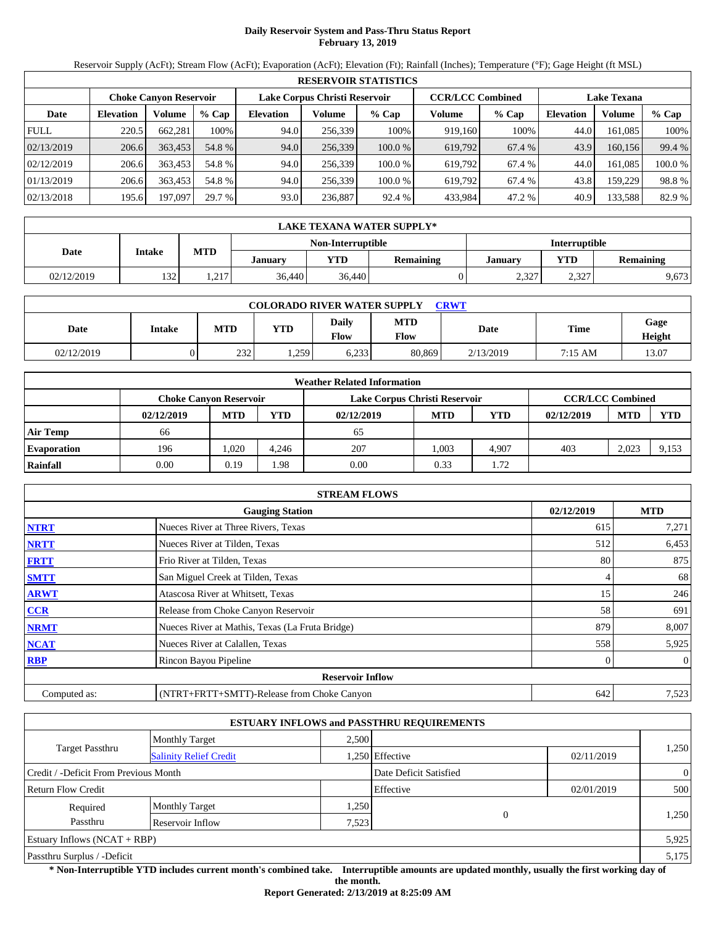# **Daily Reservoir System and Pass-Thru Status Report February 13, 2019**

Reservoir Supply (AcFt); Stream Flow (AcFt); Evaporation (AcFt); Elevation (Ft); Rainfall (Inches); Temperature (°F); Gage Height (ft MSL)

|             | <b>RESERVOIR STATISTICS</b> |                               |         |                  |                               |         |                         |         |                  |                    |         |  |
|-------------|-----------------------------|-------------------------------|---------|------------------|-------------------------------|---------|-------------------------|---------|------------------|--------------------|---------|--|
|             |                             | <b>Choke Canvon Reservoir</b> |         |                  | Lake Corpus Christi Reservoir |         | <b>CCR/LCC Combined</b> |         |                  | <b>Lake Texana</b> |         |  |
| Date        | <b>Elevation</b>            | Volume                        | $%$ Cap | <b>Elevation</b> | Volume                        | $%$ Cap | Volume                  | $%$ Cap | <b>Elevation</b> | Volume             | % Cap   |  |
| <b>FULL</b> | 220.5                       | 662.281                       | 100%    | 94.0             | 256.339                       | 100%    | 919.160                 | 100%    | 44.0             | 161.085            | 100%    |  |
| 02/13/2019  | 206.6                       | 363,453                       | 54.8 %  | 94.0             | 256,339                       | 100.0%  | 619,792                 | 67.4 %  | 43.9             | 160.156            | 99.4 %  |  |
| 02/12/2019  | 206.6                       | 363.453                       | 54.8 %  | 94.0             | 256.339                       | 100.0%  | 619.792                 | 67.4 %  | 44.0             | 161.085            | 100.0 % |  |
| 01/13/2019  | 206.6                       | 363.453                       | 54.8 %  | 94.0             | 256,339                       | 100.0%  | 619.792                 | 67.4 %  | 43.8             | 159.229            | 98.8%   |  |
| 02/13/2018  | 195.6                       | 197,097                       | 29.7 %  | 93.0             | 236,887                       | 92.4 %  | 433,984                 | 47.2 %  | 40.9             | 133,588            | 82.9 %  |  |

|            | LAKE TEXANA WATER SUPPLY*                 |               |                |        |           |         |            |                  |  |  |  |
|------------|-------------------------------------------|---------------|----------------|--------|-----------|---------|------------|------------------|--|--|--|
|            | Non-Interruptible<br><b>Interruptible</b> |               |                |        |           |         |            |                  |  |  |  |
| Date       | Intake                                    | <b>MTD</b>    | <b>January</b> | YTD-   | Remaining | Januarv | <b>VTD</b> | <b>Remaining</b> |  |  |  |
| 02/12/2019 | 132                                       | 217<br>نتصمنا | 36,440         | 36,440 |           | 2,327   | 2,327      | 9,673            |  |  |  |

| <b>COLORADO RIVER WATER SUPPLY</b><br><b>CRWT</b> |        |            |            |                             |                    |           |             |                |  |  |  |
|---------------------------------------------------|--------|------------|------------|-----------------------------|--------------------|-----------|-------------|----------------|--|--|--|
| Date                                              | Intake | <b>MTD</b> | <b>YTD</b> | <b>Daily</b><br><b>Flow</b> | <b>MTD</b><br>Flow | Date      | <b>Time</b> | Gage<br>Height |  |  |  |
| 02/12/2019                                        |        | 232        | .259       | 6,233                       | 80,869             | 2/13/2019 | 7:15 AM     | 13.07          |  |  |  |

|                    |                               |            |            | <b>Weather Related Information</b> |            |            |                         |            |            |
|--------------------|-------------------------------|------------|------------|------------------------------------|------------|------------|-------------------------|------------|------------|
|                    | <b>Choke Canvon Reservoir</b> |            |            | Lake Corpus Christi Reservoir      |            |            | <b>CCR/LCC Combined</b> |            |            |
|                    | 02/12/2019                    | <b>MTD</b> | <b>YTD</b> | 02/12/2019                         | <b>MTD</b> | <b>YTD</b> | 02/12/2019              | <b>MTD</b> | <b>YTD</b> |
| <b>Air Temp</b>    | 66                            |            |            | 65                                 |            |            |                         |            |            |
| <b>Evaporation</b> | 196                           | .020       | 4.246      | 207                                | 1.003      | 4.907      | 403                     | 2.023      | 9,153      |
| Rainfall           | 0.00                          | 0.19       | .98        | 0.00                               | 0.33       | l.72       |                         |            |            |

|              | <b>STREAM FLOWS</b>                             |            |              |
|--------------|-------------------------------------------------|------------|--------------|
|              | <b>Gauging Station</b>                          | 02/12/2019 | <b>MTD</b>   |
| <b>NTRT</b>  | Nueces River at Three Rivers, Texas             | 615        | 7,271        |
| <b>NRTT</b>  | Nueces River at Tilden, Texas                   | 512        | 6,453        |
| <b>FRTT</b>  | Frio River at Tilden, Texas                     | 80         | 875          |
| <b>SMTT</b>  | San Miguel Creek at Tilden, Texas               | 4          | 68           |
| <b>ARWT</b>  | Atascosa River at Whitsett, Texas               | 15         | 246          |
| <b>CCR</b>   | Release from Choke Canyon Reservoir             | 58         | 691          |
| <b>NRMT</b>  | Nueces River at Mathis, Texas (La Fruta Bridge) | 879        | 8,007        |
| <b>NCAT</b>  | Nueces River at Calallen, Texas                 | 558        | 5,925        |
| <b>RBP</b>   | Rincon Bayou Pipeline                           | $\Omega$   | $\mathbf{0}$ |
|              | <b>Reservoir Inflow</b>                         |            |              |
| Computed as: | (NTRT+FRTT+SMTT)-Release from Choke Canyon      | 642        | 7,523        |

|                                       |                               |       | <b>ESTUARY INFLOWS and PASSTHRU REQUIREMENTS</b> |            |                |
|---------------------------------------|-------------------------------|-------|--------------------------------------------------|------------|----------------|
|                                       | <b>Monthly Target</b>         | 2.500 |                                                  |            |                |
| <b>Target Passthru</b>                | <b>Salinity Relief Credit</b> |       | .250 Effective                                   | 02/11/2019 | 1,250          |
| Credit / -Deficit From Previous Month |                               |       | Date Deficit Satisfied                           |            | $\overline{0}$ |
| <b>Return Flow Credit</b>             |                               |       | Effective                                        | 02/01/2019 | 500            |
| Required                              | <b>Monthly Target</b>         | .250  |                                                  |            |                |
| Passthru                              | Reservoir Inflow              | 7,523 | $\theta$                                         |            | 1,250          |
| Estuary Inflows $(NCAT + RBP)$        |                               |       |                                                  |            | 5,925          |
| Passthru Surplus / -Deficit           |                               |       |                                                  |            | 5,175          |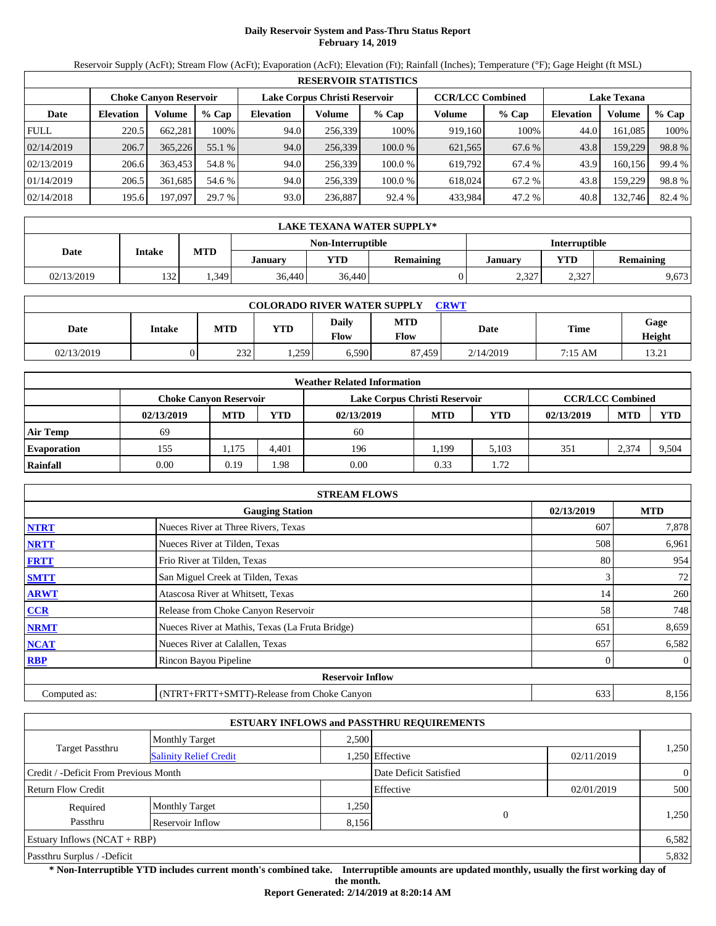# **Daily Reservoir System and Pass-Thru Status Report February 14, 2019**

Reservoir Supply (AcFt); Stream Flow (AcFt); Evaporation (AcFt); Elevation (Ft); Rainfall (Inches); Temperature (°F); Gage Height (ft MSL)

|             | <b>RESERVOIR STATISTICS</b> |                               |         |                  |                               |         |                         |         |                    |         |        |  |
|-------------|-----------------------------|-------------------------------|---------|------------------|-------------------------------|---------|-------------------------|---------|--------------------|---------|--------|--|
|             |                             | <b>Choke Canyon Reservoir</b> |         |                  | Lake Corpus Christi Reservoir |         | <b>CCR/LCC Combined</b> |         | <b>Lake Texana</b> |         |        |  |
| Date        | <b>Elevation</b>            | Volume                        | $%$ Cap | <b>Elevation</b> | Volume                        | $%$ Cap | Volume                  | $%$ Cap | <b>Elevation</b>   | Volume  | % Cap  |  |
| <b>FULL</b> | 220.5                       | 662.281                       | 100%    | 94.0             | 256.339                       | 100%    | 919.160                 | 100%    | 44.0               | 161.085 | 100%   |  |
| 02/14/2019  | 206.7                       | 365,226                       | 55.1 %  | 94.0             | 256,339                       | 100.0%  | 621,565                 | 67.6 %  | 43.8               | 159,229 | 98.8%  |  |
| 02/13/2019  | 206.6                       | 363,453                       | 54.8 %  | 94.0             | 256.339                       | 100.0 % | 619.792                 | 67.4 %  | 43.9               | 160.156 | 99.4 % |  |
| 01/14/2019  | 206.5                       | 361.685                       | 54.6 %  | 94.0             | 256.339                       | 100.0 % | 618,024                 | 67.2 %  | 43.8               | 159.229 | 98.8%  |  |
| 02/14/2018  | 195.6                       | 197,097                       | 29.7 %  | 93.0             | 236,887                       | 92.4 %  | 433,984                 | 47.2 %  | 40.8               | 132,746 | 82.4 % |  |

|            | LAKE TEXANA WATER SUPPLY* |            |         |                   |                  |         |                      |                  |  |  |  |
|------------|---------------------------|------------|---------|-------------------|------------------|---------|----------------------|------------------|--|--|--|
|            |                           |            |         | Non-Interruptible |                  |         | <b>Interruptible</b> |                  |  |  |  |
| Date       | Intake                    | <b>MTD</b> | January | YTD               | <b>Remaining</b> | Januarv | <b>YTD</b>           | <b>Remaining</b> |  |  |  |
| 02/13/2019 | 132                       | . 349      | 36,440  | 36,440            |                  | 2,327   | 2,327                | 9,673            |  |  |  |

| <b>COLORADO RIVER WATER SUPPLY</b><br><b>CRWT</b> |        |            |            |                             |                    |           |         |                |  |  |  |
|---------------------------------------------------|--------|------------|------------|-----------------------------|--------------------|-----------|---------|----------------|--|--|--|
| Date                                              | Intake | <b>MTD</b> | <b>YTD</b> | <b>Daily</b><br><b>Flow</b> | <b>MTD</b><br>Flow | Date      | Time    | Gage<br>Height |  |  |  |
| 02/13/2019                                        |        | 232        | .259       | 6,590                       | 87.459             | 2/14/2019 | 7:15 AM | 13.21          |  |  |  |

|                    | <b>Weather Related Information</b> |            |       |                               |            |            |                         |            |            |  |  |
|--------------------|------------------------------------|------------|-------|-------------------------------|------------|------------|-------------------------|------------|------------|--|--|
|                    | <b>Choke Canvon Reservoir</b>      |            |       | Lake Corpus Christi Reservoir |            |            | <b>CCR/LCC Combined</b> |            |            |  |  |
|                    | 02/13/2019                         | <b>MTD</b> | YTD   | 02/13/2019                    | <b>MTD</b> | <b>YTD</b> | 02/13/2019              | <b>MTD</b> | <b>YTD</b> |  |  |
| <b>Air Temp</b>    | 69                                 |            |       | 60                            |            |            |                         |            |            |  |  |
| <b>Evaporation</b> | 155                                | ., 175     | 4.401 | 196                           | . 199      | 5.103      | 351                     | 2,374      | 9,504      |  |  |
| Rainfall           | 0.00                               | 0.19       | .98   | 0.00                          | 0.33       | 1.72       |                         |            |            |  |  |

|              | <b>STREAM FLOWS</b>                             |            |              |
|--------------|-------------------------------------------------|------------|--------------|
|              | <b>Gauging Station</b>                          | 02/13/2019 | <b>MTD</b>   |
| <b>NTRT</b>  | Nueces River at Three Rivers, Texas             | 607        | 7,878        |
| <b>NRTT</b>  | Nueces River at Tilden, Texas                   | 508        | 6,961        |
| <b>FRTT</b>  | Frio River at Tilden, Texas                     | 80         | 954          |
| <b>SMTT</b>  | San Miguel Creek at Tilden, Texas               | 3          | 72           |
| <b>ARWT</b>  | Atascosa River at Whitsett, Texas               | 14         | 260          |
| CCR          | Release from Choke Canyon Reservoir             | 58         | 748          |
| <b>NRMT</b>  | Nueces River at Mathis, Texas (La Fruta Bridge) | 651        | 8,659        |
| <b>NCAT</b>  | Nueces River at Calallen, Texas                 | 657        | 6,582        |
| <b>RBP</b>   | Rincon Bayou Pipeline                           |            | $\mathbf{0}$ |
|              | <b>Reservoir Inflow</b>                         |            |              |
| Computed as: | (NTRT+FRTT+SMTT)-Release from Choke Canyon      | 633        | 8,156        |

|                                       |                               |       | <b>ESTUARY INFLOWS and PASSTHRU REQUIREMENTS</b> |            |                |
|---------------------------------------|-------------------------------|-------|--------------------------------------------------|------------|----------------|
|                                       | <b>Monthly Target</b>         | 2.500 |                                                  |            |                |
| <b>Target Passthru</b>                | <b>Salinity Relief Credit</b> |       | .250 Effective                                   | 02/11/2019 | 1,250          |
| Credit / -Deficit From Previous Month |                               |       | Date Deficit Satisfied                           |            | $\overline{0}$ |
| <b>Return Flow Credit</b>             |                               |       | Effective                                        | 02/01/2019 | 500            |
| Required                              | <b>Monthly Target</b>         | 1,250 |                                                  |            |                |
| Passthru                              | Reservoir Inflow              | 8,156 | $\overline{0}$                                   |            | 1,250          |
| Estuary Inflows $(NCAT + RBP)$        |                               |       |                                                  |            | 6,582          |
| Passthru Surplus / -Deficit           |                               |       |                                                  |            | 5,832          |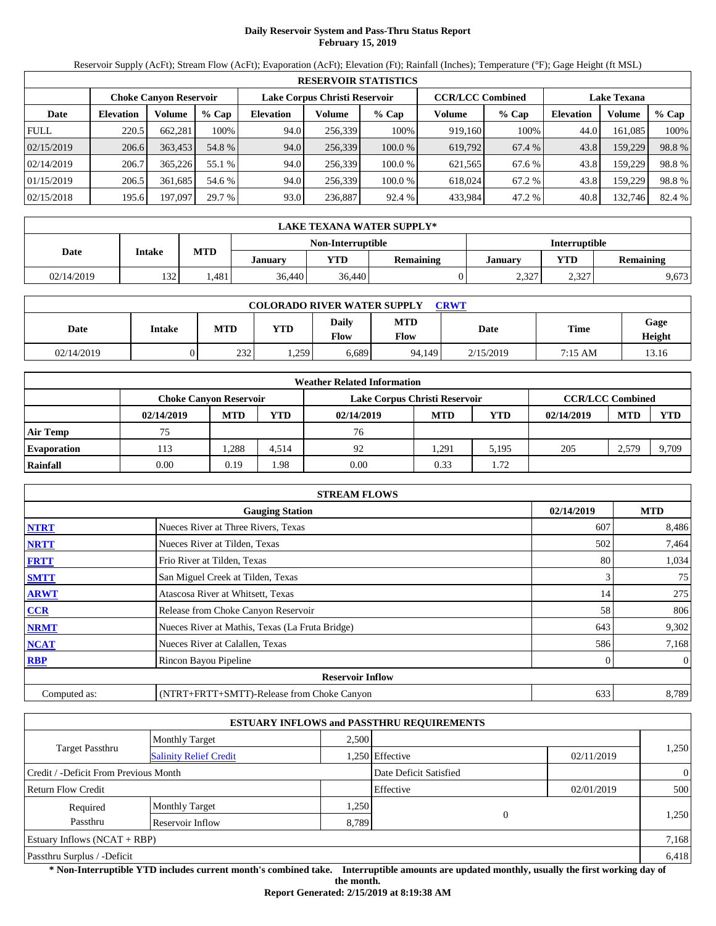## **Daily Reservoir System and Pass-Thru Status Report February 15, 2019**

Reservoir Supply (AcFt); Stream Flow (AcFt); Evaporation (AcFt); Elevation (Ft); Rainfall (Inches); Temperature (°F); Gage Height (ft MSL)

|             | <b>RESERVOIR STATISTICS</b> |                               |         |                  |                               |         |                         |         |                  |                    |        |  |
|-------------|-----------------------------|-------------------------------|---------|------------------|-------------------------------|---------|-------------------------|---------|------------------|--------------------|--------|--|
|             |                             | <b>Choke Canvon Reservoir</b> |         |                  | Lake Corpus Christi Reservoir |         | <b>CCR/LCC Combined</b> |         |                  | <b>Lake Texana</b> |        |  |
| Date        | <b>Elevation</b>            | Volume                        | $%$ Cap | <b>Elevation</b> | Volume                        | $%$ Cap | Volume                  | $%$ Cap | <b>Elevation</b> | Volume             | % Cap  |  |
| <b>FULL</b> | 220.5                       | 662,281                       | 100%    | 94.0             | 256,339                       | 100%    | 919,160                 | 100%    | 44.0             | 161,085            | 100%   |  |
| 02/15/2019  | 206.6                       | 363,453                       | 54.8 %  | 94.0             | 256,339                       | 100.0%  | 619,792                 | 67.4 %  | 43.8             | 159,229            | 98.8%  |  |
| 02/14/2019  | 206.7                       | 365,226                       | 55.1 %  | 94.0             | 256.339                       | 100.0 % | 621,565                 | 67.6 %  | 43.8             | 159,229            | 98.8%  |  |
| 01/15/2019  | 206.5                       | 361,685                       | 54.6 %  | 94.0             | 256,339                       | 100.0 % | 618,024                 | 67.2 %  | 43.8             | 159,229            | 98.8%  |  |
| 02/15/2018  | 195.6                       | 197,097                       | 29.7 %  | 93.0             | 236,887                       | 92.4 %  | 433,984                 | 47.2 %  | 40.8             | 132,746            | 82.4 % |  |

|            | LAKE TEXANA WATER SUPPLY* |                                           |         |            |                  |         |            |                  |  |  |  |
|------------|---------------------------|-------------------------------------------|---------|------------|------------------|---------|------------|------------------|--|--|--|
|            |                           | Non-Interruptible<br><b>Interruptible</b> |         |            |                  |         |            |                  |  |  |  |
| Date       | Intake                    | <b>MTD</b>                                | Januarv | <b>YTD</b> | <b>Remaining</b> | Januarv | <b>VTD</b> | <b>Remaining</b> |  |  |  |
| 02/14/2019 | 132                       | .481                                      | 36,440  | 36,440     |                  | 2,327   | 2,327      | 9,673            |  |  |  |

| <b>COLORADO RIVER WATER SUPPLY</b><br><b>CRWT</b> |        |            |            |                             |                    |           |             |                |  |  |  |
|---------------------------------------------------|--------|------------|------------|-----------------------------|--------------------|-----------|-------------|----------------|--|--|--|
| Date                                              | Intake | <b>MTD</b> | <b>YTD</b> | <b>Daily</b><br><b>Flow</b> | <b>MTD</b><br>Flow | Date      | <b>Time</b> | Gage<br>Height |  |  |  |
| 02/14/2019                                        |        | 232        | . 259      | 6.689                       | 94.149             | 2/15/2019 | 7:15 AM     | 13.16          |  |  |  |

|                    | <b>Weather Related Information</b> |            |            |                               |            |            |                         |            |            |  |  |
|--------------------|------------------------------------|------------|------------|-------------------------------|------------|------------|-------------------------|------------|------------|--|--|
|                    | <b>Choke Canvon Reservoir</b>      |            |            | Lake Corpus Christi Reservoir |            |            | <b>CCR/LCC Combined</b> |            |            |  |  |
|                    | 02/14/2019                         | <b>MTD</b> | <b>YTD</b> | 02/14/2019                    | <b>MTD</b> | <b>YTD</b> | 02/14/2019              | <b>MTD</b> | <b>YTD</b> |  |  |
| <b>Air Temp</b>    | 75                                 |            |            | 76                            |            |            |                         |            |            |  |  |
| <b>Evaporation</b> | 113                                | .288       | 4.514      | 92                            | 1.291      | 5.195      | 205                     | 2,579      | 9,709      |  |  |
| Rainfall           | 0.00                               | 0.19       | .98        | 0.00                          | 0.33       | l.72       |                         |            |            |  |  |

|              | <b>STREAM FLOWS</b>                             |            |              |
|--------------|-------------------------------------------------|------------|--------------|
|              | <b>Gauging Station</b>                          | 02/14/2019 | <b>MTD</b>   |
| <b>NTRT</b>  | Nueces River at Three Rivers, Texas             | 607        | 8,486        |
| <b>NRTT</b>  | Nueces River at Tilden, Texas                   | 502        | 7,464        |
| <b>FRTT</b>  | Frio River at Tilden, Texas                     | 80         | 1,034        |
| <b>SMTT</b>  | San Miguel Creek at Tilden, Texas               | 3          | 75           |
| <b>ARWT</b>  | Atascosa River at Whitsett, Texas               | 14         | 275          |
| CCR          | Release from Choke Canyon Reservoir             | 58         | 806          |
| <b>NRMT</b>  | Nueces River at Mathis, Texas (La Fruta Bridge) | 643        | 9,302        |
| <b>NCAT</b>  | Nueces River at Calallen, Texas                 | 586        | 7,168        |
| <b>RBP</b>   | Rincon Bayou Pipeline                           | $\Omega$   | $\mathbf{0}$ |
|              | <b>Reservoir Inflow</b>                         |            |              |
| Computed as: | (NTRT+FRTT+SMTT)-Release from Choke Canyon      | 633        | 8,789        |

|                                       |                               |       | <b>ESTUARY INFLOWS and PASSTHRU REQUIREMENTS</b> |            |                |
|---------------------------------------|-------------------------------|-------|--------------------------------------------------|------------|----------------|
|                                       | <b>Monthly Target</b>         | 2.500 |                                                  |            |                |
| <b>Target Passthru</b>                | <b>Salinity Relief Credit</b> |       | .250 Effective                                   | 02/11/2019 | 1,250          |
| Credit / -Deficit From Previous Month |                               |       | Date Deficit Satisfied                           |            | $\overline{0}$ |
| <b>Return Flow Credit</b>             |                               |       | Effective                                        | 02/01/2019 | 500            |
| Required                              | <b>Monthly Target</b>         | .250  |                                                  |            |                |
| Passthru                              | Reservoir Inflow              | 8,789 | $\overline{0}$                                   |            | 1,250          |
| Estuary Inflows $(NCAT + RBP)$        |                               |       |                                                  |            | 7,168          |
| Passthru Surplus / -Deficit           |                               |       |                                                  |            | 6,418          |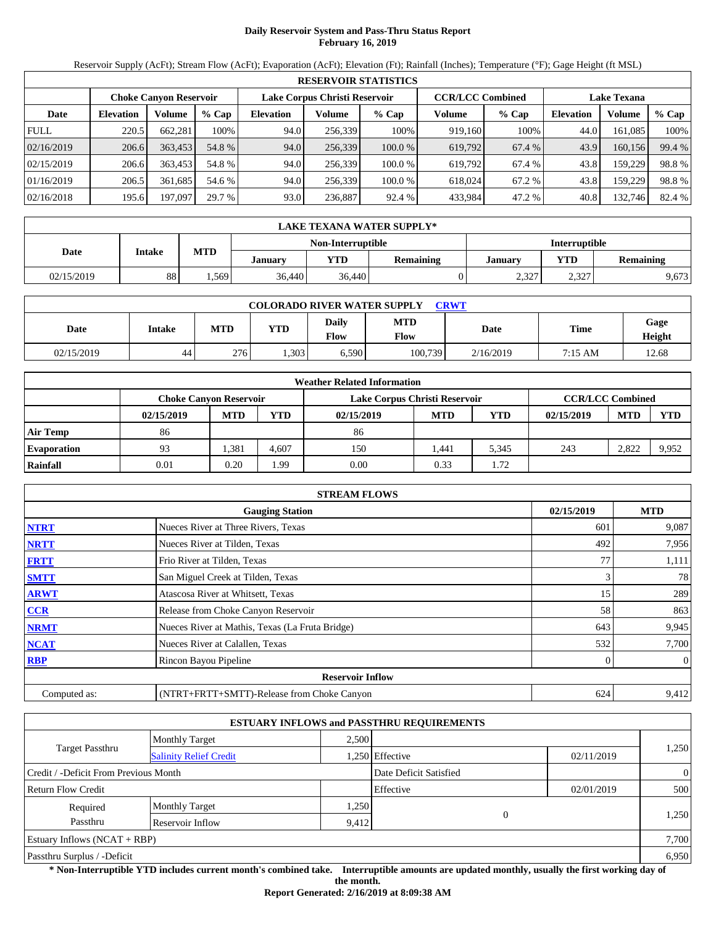## **Daily Reservoir System and Pass-Thru Status Report February 16, 2019**

Reservoir Supply (AcFt); Stream Flow (AcFt); Evaporation (AcFt); Elevation (Ft); Rainfall (Inches); Temperature (°F); Gage Height (ft MSL)

|             | <b>RESERVOIR STATISTICS</b> |                               |         |                  |                               |         |                         |        |                    |         |        |  |
|-------------|-----------------------------|-------------------------------|---------|------------------|-------------------------------|---------|-------------------------|--------|--------------------|---------|--------|--|
|             |                             | <b>Choke Canvon Reservoir</b> |         |                  | Lake Corpus Christi Reservoir |         | <b>CCR/LCC Combined</b> |        | <b>Lake Texana</b> |         |        |  |
| Date        | <b>Elevation</b>            | Volume                        | $%$ Cap | <b>Elevation</b> | Volume                        | $%$ Cap | Volume                  | % Cap  | <b>Elevation</b>   | Volume  | % Cap  |  |
| <b>FULL</b> | 220.5                       | 662,281                       | 100%    | 94.0             | 256.339                       | 100%    | 919,160                 | 100%   | 44.0               | 161,085 | 100%   |  |
| 02/16/2019  | 206.6                       | 363,453                       | 54.8 %  | 94.0             | 256,339                       | 100.0%  | 619,792                 | 67.4 % | 43.9               | 160.156 | 99.4 % |  |
| 02/15/2019  | 206.6                       | 363.453                       | 54.8 %  | 94.0             | 256.339                       | 100.0%  | 619.792                 | 67.4 % | 43.8               | 159,229 | 98.8%  |  |
| 01/16/2019  | 206.5                       | 361.685                       | 54.6 %  | 94.0             | 256.339                       | 100.0 % | 618,024                 | 67.2 % | 43.8               | 159,229 | 98.8%  |  |
| 02/16/2018  | 195.6                       | 197,097                       | 29.7 %  | 93.0             | 236,887                       | 92.4 %  | 433,984                 | 47.2 % | 40.8               | 132,746 | 82.4 % |  |

|            | LAKE TEXANA WATER SUPPLY* |            |         |                   |                  |                      |            |                  |  |  |  |
|------------|---------------------------|------------|---------|-------------------|------------------|----------------------|------------|------------------|--|--|--|
|            |                           |            |         | Non-Interruptible |                  | <b>Interruptible</b> |            |                  |  |  |  |
| Date       | Intake                    | <b>MTD</b> | January | <b>YTD</b>        | <b>Remaining</b> | Januarv              | <b>YTD</b> | <b>Remaining</b> |  |  |  |
| 02/15/2019 | 88                        | .569       | 36,440  | 36,440            |                  | 2,327                | 2,327      | 9,673            |  |  |  |

| <b>COLORADO RIVER WATER SUPPLY</b><br><b>CRWT</b> |        |            |            |               |                    |           |         |                |  |  |  |
|---------------------------------------------------|--------|------------|------------|---------------|--------------------|-----------|---------|----------------|--|--|--|
| Date                                              | Intake | <b>MTD</b> | <b>YTD</b> | Daily<br>Flow | <b>MTD</b><br>Flow | Date      | Time    | Gage<br>Height |  |  |  |
| 02/15/2019                                        | 44     | 276        | .303       | 6,590         | 100,739            | 2/16/2019 | 7:15 AM | 12.68          |  |  |  |

|                    | <b>Weather Related Information</b> |            |            |                               |            |            |                         |            |            |  |  |  |
|--------------------|------------------------------------|------------|------------|-------------------------------|------------|------------|-------------------------|------------|------------|--|--|--|
|                    | <b>Choke Canvon Reservoir</b>      |            |            | Lake Corpus Christi Reservoir |            |            | <b>CCR/LCC Combined</b> |            |            |  |  |  |
|                    | 02/15/2019                         | <b>MTD</b> | <b>YTD</b> | 02/15/2019                    | <b>MTD</b> | <b>YTD</b> | 02/15/2019              | <b>MTD</b> | <b>YTD</b> |  |  |  |
| <b>Air Temp</b>    | 86                                 |            |            | 86                            |            |            |                         |            |            |  |  |  |
| <b>Evaporation</b> | 93                                 | .381       | 4.607      | 150                           | l.441      | 5,345      | 243                     | 2.822      | 9,952      |  |  |  |
| Rainfall           | 0.01                               | 0.20       | .99        | 0.00                          | 0.33       | l.72       |                         |            |            |  |  |  |

|              | <b>STREAM FLOWS</b>                             |            |              |
|--------------|-------------------------------------------------|------------|--------------|
|              | <b>Gauging Station</b>                          | 02/15/2019 | <b>MTD</b>   |
| <b>NTRT</b>  | Nueces River at Three Rivers, Texas             | 601        | 9,087        |
| <b>NRTT</b>  | Nueces River at Tilden, Texas                   | 492        | 7,956        |
| <b>FRTT</b>  | Frio River at Tilden, Texas                     | 77         | 1,111        |
| <b>SMTT</b>  | San Miguel Creek at Tilden, Texas               | 3          | 78           |
| <b>ARWT</b>  | Atascosa River at Whitsett, Texas               | 15         | 289          |
| CCR          | Release from Choke Canyon Reservoir             | 58         | 863          |
| <b>NRMT</b>  | Nueces River at Mathis, Texas (La Fruta Bridge) | 643        | 9,945        |
| <b>NCAT</b>  | Nueces River at Calallen, Texas                 | 532        | 7,700        |
| <b>RBP</b>   | Rincon Bayou Pipeline                           |            | $\mathbf{0}$ |
|              | <b>Reservoir Inflow</b>                         |            |              |
| Computed as: | (NTRT+FRTT+SMTT)-Release from Choke Canyon      | 624        | 9,412        |

|                                       |                               |       | <b>ESTUARY INFLOWS and PASSTHRU REQUIREMENTS</b> |            |                |
|---------------------------------------|-------------------------------|-------|--------------------------------------------------|------------|----------------|
|                                       | <b>Monthly Target</b>         | 2.500 |                                                  |            |                |
| <b>Target Passthru</b>                | <b>Salinity Relief Credit</b> |       | .250 Effective                                   | 02/11/2019 | 1,250          |
| Credit / -Deficit From Previous Month |                               |       | Date Deficit Satisfied                           |            | $\overline{0}$ |
| <b>Return Flow Credit</b>             |                               |       | Effective                                        | 02/01/2019 | 500            |
| Required                              | <b>Monthly Target</b>         | 1,250 |                                                  |            |                |
| Passthru                              | Reservoir Inflow              | 9,412 | $\overline{0}$                                   |            | 1,250          |
| Estuary Inflows $(NCAT + RBP)$        |                               |       |                                                  |            | 7,700          |
| Passthru Surplus / -Deficit           |                               |       |                                                  |            | 6,950          |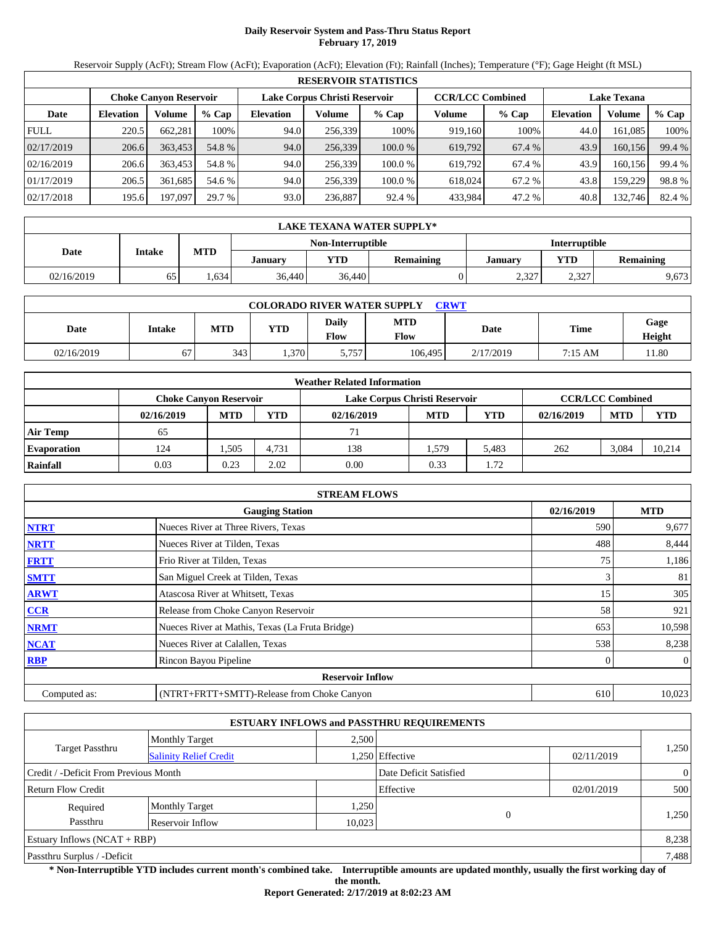## **Daily Reservoir System and Pass-Thru Status Report February 17, 2019**

Reservoir Supply (AcFt); Stream Flow (AcFt); Evaporation (AcFt); Elevation (Ft); Rainfall (Inches); Temperature (°F); Gage Height (ft MSL)

|             | <b>RESERVOIR STATISTICS</b>                                                                                     |         |         |                  |         |         |         |         |                  |         |        |  |  |
|-------------|-----------------------------------------------------------------------------------------------------------------|---------|---------|------------------|---------|---------|---------|---------|------------------|---------|--------|--|--|
|             | <b>CCR/LCC Combined</b><br>Lake Corpus Christi Reservoir<br><b>Lake Texana</b><br><b>Choke Canyon Reservoir</b> |         |         |                  |         |         |         |         |                  |         |        |  |  |
| Date        | <b>Elevation</b>                                                                                                | Volume  | $%$ Cap | <b>Elevation</b> | Volume  | $%$ Cap | Volume  | $%$ Cap | <b>Elevation</b> | Volume  | % Cap  |  |  |
| <b>FULL</b> | 220.5                                                                                                           | 662.281 | 100%    | 94.0             | 256,339 | 100%    | 919,160 | 100%    | 44.0             | 161.085 | 100%   |  |  |
| 02/17/2019  | 206.6                                                                                                           | 363,453 | 54.8 %  | 94.0             | 256,339 | 100.0%  | 619,792 | 67.4 %  | 43.9             | 160,156 | 99.4 % |  |  |
| 02/16/2019  | 206.6                                                                                                           | 363,453 | 54.8 %  | 94.0             | 256.339 | 100.0 % | 619.792 | 67.4 %  | 43.9             | 160.156 | 99.4 % |  |  |
| 01/17/2019  | 206.5                                                                                                           | 361.685 | 54.6 %  | 94.0             | 256.339 | 100.0 % | 618,024 | 67.2 %  | 43.8             | 159.229 | 98.8%  |  |  |
| 02/17/2018  | 195.6                                                                                                           | 197,097 | 29.7 %  | 93.0             | 236,887 | 92.4 %  | 433,984 | 47.2 %  | 40.8             | 132,746 | 82.4 % |  |  |

|            | LAKE TEXANA WATER SUPPLY* |            |         |                   |                  |                      |            |                  |  |  |  |  |
|------------|---------------------------|------------|---------|-------------------|------------------|----------------------|------------|------------------|--|--|--|--|
|            |                           |            |         | Non-Interruptible |                  | <b>Interruptible</b> |            |                  |  |  |  |  |
| Date       | Intake                    | <b>MTD</b> | January | YTD               | <b>Remaining</b> | Januarv              | <b>YTD</b> | <b>Remaining</b> |  |  |  |  |
| 02/16/2019 | 65                        | .634       | 36,440  | 36,440            |                  | 2,327                | 2,327      | 9,673            |  |  |  |  |

| <b>COLORADO RIVER WATER SUPPLY</b><br>CRWT |               |            |            |               |                    |           |             |                |  |  |  |
|--------------------------------------------|---------------|------------|------------|---------------|--------------------|-----------|-------------|----------------|--|--|--|
| Date                                       | <b>Intake</b> | <b>MTD</b> | <b>YTD</b> | Daily<br>Flow | <b>MTD</b><br>Flow | Date      | <b>Time</b> | Gage<br>Height |  |  |  |
| 02/16/2019                                 | 67            | 343        | .370       | 5,757         | 106.495            | 2/17/2019 | 7:15 AM     | 11.80          |  |  |  |

|                    | <b>Weather Related Information</b> |            |            |                               |            |       |            |                         |            |  |  |  |
|--------------------|------------------------------------|------------|------------|-------------------------------|------------|-------|------------|-------------------------|------------|--|--|--|
|                    | <b>Choke Canyon Reservoir</b>      |            |            | Lake Corpus Christi Reservoir |            |       |            | <b>CCR/LCC Combined</b> |            |  |  |  |
|                    | 02/16/2019                         | <b>MTD</b> | <b>YTD</b> | 02/16/2019                    | <b>MTD</b> | YTD   | 02/16/2019 | <b>MTD</b>              | <b>YTD</b> |  |  |  |
| <b>Air Temp</b>    | 65                                 |            |            | 71                            |            |       |            |                         |            |  |  |  |
| <b>Evaporation</b> | 124                                | .505       | 4.731      | 138                           | .579       | 5.483 | 262        | 3,084                   | 10.214     |  |  |  |
| Rainfall           | 0.03                               | 0.23       | 2.02       | 0.00                          | 0.33       | 1.72  |            |                         |            |  |  |  |

|              | <b>STREAM FLOWS</b>                             |              |              |
|--------------|-------------------------------------------------|--------------|--------------|
|              | <b>Gauging Station</b>                          | 02/16/2019   | <b>MTD</b>   |
| <b>NTRT</b>  | Nueces River at Three Rivers, Texas             | 590          | 9,677        |
| <b>NRTT</b>  | Nueces River at Tilden, Texas                   | 488          | 8,444        |
| <b>FRTT</b>  | Frio River at Tilden, Texas                     | 75           | 1,186        |
| <b>SMTT</b>  | San Miguel Creek at Tilden, Texas               | 3            | 81           |
| <b>ARWT</b>  | Atascosa River at Whitsett, Texas               | 15           | 305          |
| <b>CCR</b>   | Release from Choke Canyon Reservoir             | 58           | 921          |
| <b>NRMT</b>  | Nueces River at Mathis, Texas (La Fruta Bridge) | 653          | 10,598       |
| <b>NCAT</b>  | Nueces River at Calallen, Texas                 | 538          | 8,238        |
| <b>RBP</b>   | Rincon Bayou Pipeline                           | $\mathbf{0}$ | $\mathbf{0}$ |
|              | <b>Reservoir Inflow</b>                         |              |              |
| Computed as: | (NTRT+FRTT+SMTT)-Release from Choke Canyon      | 610          | 10,023       |

|                                       |                               |        | <b>ESTUARY INFLOWS and PASSTHRU REQUIREMENTS</b> |            |                |  |  |
|---------------------------------------|-------------------------------|--------|--------------------------------------------------|------------|----------------|--|--|
|                                       | <b>Monthly Target</b>         | 2,500  |                                                  |            |                |  |  |
| Target Passthru                       | <b>Salinity Relief Credit</b> |        | 1,250 Effective                                  | 02/11/2019 | 1,250          |  |  |
| Credit / -Deficit From Previous Month |                               |        | Date Deficit Satisfied                           |            | $\overline{0}$ |  |  |
| <b>Return Flow Credit</b>             |                               |        | Effective                                        | 02/01/2019 | 500            |  |  |
| Required                              | <b>Monthly Target</b>         | 1,250  |                                                  |            |                |  |  |
| Passthru                              | Reservoir Inflow              | 10,023 | $\overline{0}$                                   |            | 1,250          |  |  |
| Estuary Inflows $(NCAT + RBP)$        |                               |        |                                                  |            | 8,238          |  |  |
| Passthru Surplus / -Deficit           |                               |        |                                                  |            |                |  |  |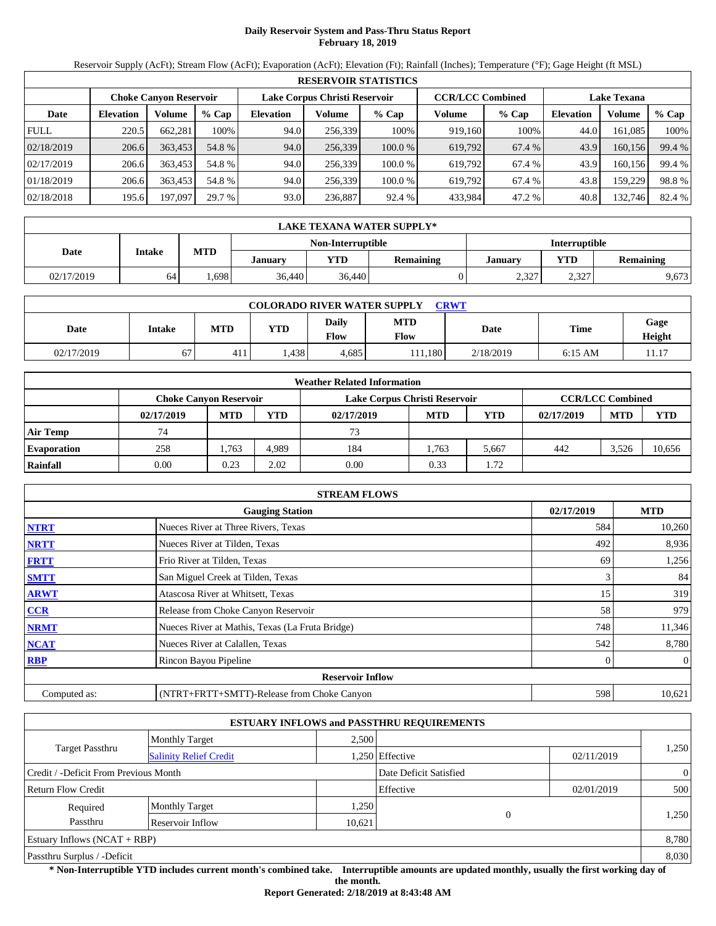## **Daily Reservoir System and Pass-Thru Status Report February 18, 2019**

Reservoir Supply (AcFt); Stream Flow (AcFt); Evaporation (AcFt); Elevation (Ft); Rainfall (Inches); Temperature (°F); Gage Height (ft MSL)

|             | <b>RESERVOIR STATISTICS</b>                                                                                     |         |         |                  |         |         |         |         |                  |         |        |  |  |
|-------------|-----------------------------------------------------------------------------------------------------------------|---------|---------|------------------|---------|---------|---------|---------|------------------|---------|--------|--|--|
|             | Lake Corpus Christi Reservoir<br><b>CCR/LCC Combined</b><br><b>Lake Texana</b><br><b>Choke Canvon Reservoir</b> |         |         |                  |         |         |         |         |                  |         |        |  |  |
| Date        | <b>Elevation</b>                                                                                                | Volume  | $%$ Cap | <b>Elevation</b> | Volume  | $%$ Cap | Volume  | $%$ Cap | <b>Elevation</b> | Volume  | % Cap  |  |  |
| <b>FULL</b> | 220.5                                                                                                           | 662,281 | 100%    | 94.0             | 256,339 | 100%    | 919,160 | 100%    | 44.0             | 161,085 | 100%   |  |  |
| 02/18/2019  | 206.6                                                                                                           | 363,453 | 54.8 %  | 94.0             | 256,339 | 100.0%  | 619,792 | 67.4 %  | 43.9             | 160,156 | 99.4 % |  |  |
| 02/17/2019  | 206.6                                                                                                           | 363.453 | 54.8 %  | 94.0             | 256.339 | 100.0 % | 619,792 | 67.4 %  | 43.9             | 160,156 | 99.4 % |  |  |
| 01/18/2019  | 206.6                                                                                                           | 363,453 | 54.8 %  | 94.0             | 256,339 | 100.0 % | 619,792 | 67.4 %  | 43.8             | 159,229 | 98.8%  |  |  |
| 02/18/2018  | 195.6                                                                                                           | 197,097 | 29.7 %  | 93.0             | 236,887 | 92.4 %  | 433,984 | 47.2 %  | 40.8             | 132,746 | 82.4 % |  |  |

|            | LAKE TEXANA WATER SUPPLY* |            |         |                   |                  |                      |            |                  |  |  |  |  |
|------------|---------------------------|------------|---------|-------------------|------------------|----------------------|------------|------------------|--|--|--|--|
|            |                           |            |         | Non-Interruptible |                  | <b>Interruptible</b> |            |                  |  |  |  |  |
| Date       | Intake                    | <b>MTD</b> | Januarv | <b>YTD</b>        | <b>Remaining</b> | Januarv              | <b>VTD</b> | <b>Remaining</b> |  |  |  |  |
| 02/17/2019 | 64                        | .698       | 36,440  | 36,440            |                  | 2,327                | 2,327      | 9,673            |  |  |  |  |

| <b>COLORADO RIVER WATER SUPPLY</b><br><b>CRWT</b> |        |            |      |               |                    |           |           |                       |  |  |  |
|---------------------------------------------------|--------|------------|------|---------------|--------------------|-----------|-----------|-----------------------|--|--|--|
| Date                                              | Intake | <b>MTD</b> | YTD  | Daily<br>Flow | <b>MTD</b><br>Flow | Date      | Time      | Gage<br><b>Height</b> |  |  |  |
| 02/17/2019                                        | 67     | 411        | .438 | 4,685         | 11.180             | 2/18/2019 | $6:15$ AM | 11.17                 |  |  |  |

|                    | <b>Weather Related Information</b> |            |       |                               |            |       |            |                         |            |  |  |  |
|--------------------|------------------------------------|------------|-------|-------------------------------|------------|-------|------------|-------------------------|------------|--|--|--|
|                    | <b>Choke Canyon Reservoir</b>      |            |       | Lake Corpus Christi Reservoir |            |       |            | <b>CCR/LCC Combined</b> |            |  |  |  |
|                    | 02/17/2019                         | <b>MTD</b> | YTD   | 02/17/2019                    | <b>MTD</b> | YTD   | 02/17/2019 | <b>MTD</b>              | <b>YTD</b> |  |  |  |
| <b>Air Temp</b>    | 74                                 |            |       | 73                            |            |       |            |                         |            |  |  |  |
| <b>Evaporation</b> | 258                                | 1.763      | 4.989 | 184                           | 1.763      | 5.667 | 442        | 3.526                   | 10.656     |  |  |  |
| Rainfall           | 0.00                               | 0.23       | 2.02  | 0.00                          | 0.33       | 1.72  |            |                         |            |  |  |  |

|              | <b>STREAM FLOWS</b>                             |            |            |
|--------------|-------------------------------------------------|------------|------------|
|              | <b>Gauging Station</b>                          | 02/17/2019 | <b>MTD</b> |
| <b>NTRT</b>  | Nueces River at Three Rivers, Texas             | 584        | 10,260     |
| <b>NRTT</b>  | Nueces River at Tilden, Texas                   | 492        | 8,936      |
| <b>FRTT</b>  | Frio River at Tilden, Texas                     | 69         | 1,256      |
| <b>SMTT</b>  | San Miguel Creek at Tilden, Texas               | 3          | 84         |
| <b>ARWT</b>  | Atascosa River at Whitsett, Texas               | 15         | 319        |
| <b>CCR</b>   | Release from Choke Canyon Reservoir             | 58         | 979        |
| <b>NRMT</b>  | Nueces River at Mathis, Texas (La Fruta Bridge) | 748        | 11,346     |
| <b>NCAT</b>  | Nueces River at Calallen, Texas                 | 542        | 8,780      |
| <b>RBP</b>   | Rincon Bayou Pipeline                           | 0          | $\theta$   |
|              | <b>Reservoir Inflow</b>                         |            |            |
| Computed as: | (NTRT+FRTT+SMTT)-Release from Choke Canyon      | 598        | 10,621     |

|                                       |                               |        | <b>ESTUARY INFLOWS and PASSTHRU REQUIREMENTS</b> |            |                |
|---------------------------------------|-------------------------------|--------|--------------------------------------------------|------------|----------------|
|                                       | <b>Monthly Target</b>         | 2.500  |                                                  |            |                |
| Target Passthru                       | <b>Salinity Relief Credit</b> |        | 1,250 Effective                                  | 02/11/2019 | 1,250          |
| Credit / -Deficit From Previous Month |                               |        | Date Deficit Satisfied                           |            | $\overline{0}$ |
| <b>Return Flow Credit</b>             |                               |        | Effective                                        | 02/01/2019 | 500            |
| Required                              | <b>Monthly Target</b>         | 1,250  |                                                  |            |                |
| Passthru                              | Reservoir Inflow              | 10,621 | 0                                                |            | 1,250          |
| Estuary Inflows $(NCAT + RBP)$        |                               |        |                                                  |            | 8,780          |
| Passthru Surplus / -Deficit           |                               |        |                                                  |            | 8,030          |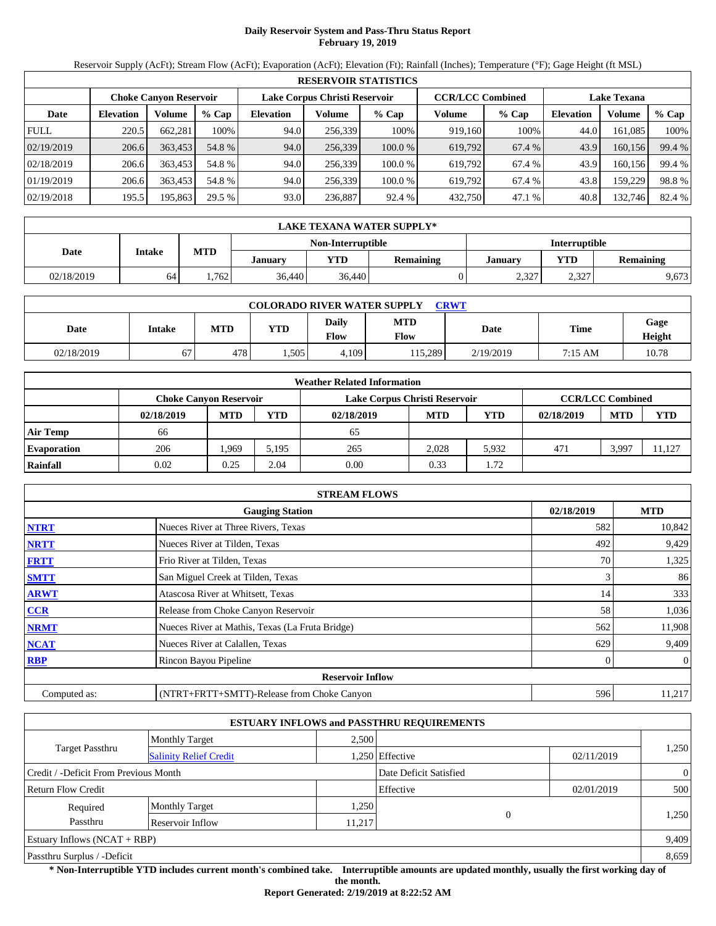## **Daily Reservoir System and Pass-Thru Status Report February 19, 2019**

Reservoir Supply (AcFt); Stream Flow (AcFt); Evaporation (AcFt); Elevation (Ft); Rainfall (Inches); Temperature (°F); Gage Height (ft MSL)

|             | <b>RESERVOIR STATISTICS</b>                                                               |         |         |                  |         |         |         |                    |                  |         |        |  |  |
|-------------|-------------------------------------------------------------------------------------------|---------|---------|------------------|---------|---------|---------|--------------------|------------------|---------|--------|--|--|
|             | <b>CCR/LCC Combined</b><br>Lake Corpus Christi Reservoir<br><b>Choke Canyon Reservoir</b> |         |         |                  |         |         |         | <b>Lake Texana</b> |                  |         |        |  |  |
| Date        | <b>Elevation</b>                                                                          | Volume  | $%$ Cap | <b>Elevation</b> | Volume  | $%$ Cap | Volume  | $%$ Cap            | <b>Elevation</b> | Volume  | % Cap  |  |  |
| <b>FULL</b> | 220.5                                                                                     | 662.281 | 100%    | 94.0             | 256,339 | 100%    | 919,160 | 100%               | 44.0             | 161.085 | 100%   |  |  |
| 02/19/2019  | 206.6                                                                                     | 363,453 | 54.8 %  | 94.0             | 256,339 | 100.0%  | 619,792 | 67.4 %             | 43.9             | 160,156 | 99.4 % |  |  |
| 02/18/2019  | 206.6                                                                                     | 363,453 | 54.8 %  | 94.0             | 256.339 | 100.0 % | 619.792 | 67.4 %             | 43.9             | 160.156 | 99.4 % |  |  |
| 01/19/2019  | 206.6                                                                                     | 363,453 | 54.8 %  | 94.0             | 256.339 | 100.0 % | 619.792 | 67.4 %             | 43.8             | 159.229 | 98.8%  |  |  |
| 02/19/2018  | 195.5                                                                                     | 195,863 | 29.5 %  | 93.0             | 236,887 | 92.4 %  | 432,750 | 47.1 %             | 40.8             | 132,746 | 82.4 % |  |  |

|            | LAKE TEXANA WATER SUPPLY* |            |         |                   |                  |                      |            |                  |  |  |  |  |
|------------|---------------------------|------------|---------|-------------------|------------------|----------------------|------------|------------------|--|--|--|--|
|            |                           |            |         | Non-Interruptible |                  | <b>Interruptible</b> |            |                  |  |  |  |  |
| Date       | Intake                    | <b>MTD</b> | January | <b>YTD</b>        | <b>Remaining</b> | January              | <b>YTD</b> | <b>Remaining</b> |  |  |  |  |
| 02/18/2019 | 64                        | .762       | 36,440  | 36,440            |                  | 2,327                | 2,327      | 9,673            |  |  |  |  |

| <b>COLORADO RIVER WATER SUPPLY</b><br>CRWT |               |            |            |               |                    |           |         |                |  |  |  |
|--------------------------------------------|---------------|------------|------------|---------------|--------------------|-----------|---------|----------------|--|--|--|
| Date                                       | <b>Intake</b> | <b>MTD</b> | <b>YTD</b> | Daily<br>Flow | <b>MTD</b><br>Flow | Date      | Time    | Gage<br>Height |  |  |  |
| 02/18/2019                                 | 67            | 478        | .505       | 4,109         | 115.289            | 2/19/2019 | 7:15 AM | 10.78          |  |  |  |

|                    | <b>Weather Related Information</b> |            |            |                               |            |       |            |                         |            |  |  |  |
|--------------------|------------------------------------|------------|------------|-------------------------------|------------|-------|------------|-------------------------|------------|--|--|--|
|                    | <b>Choke Canyon Reservoir</b>      |            |            | Lake Corpus Christi Reservoir |            |       |            | <b>CCR/LCC Combined</b> |            |  |  |  |
|                    | 02/18/2019                         | <b>MTD</b> | <b>YTD</b> | 02/18/2019                    | <b>MTD</b> | YTD   | 02/18/2019 | <b>MTD</b>              | <b>YTD</b> |  |  |  |
| <b>Air Temp</b>    | 66                                 |            |            | 65                            |            |       |            |                         |            |  |  |  |
| <b>Evaporation</b> | 206                                | .969       | 5.195      | 265                           | 2.028      | 5.932 | 471        | 3.997                   | 11.127     |  |  |  |
| Rainfall           | 0.02                               | 0.25       | 2.04       | 0.00                          | 0.33       | 1.72  |            |                         |            |  |  |  |

|              | <b>STREAM FLOWS</b>                             |            |              |
|--------------|-------------------------------------------------|------------|--------------|
|              | <b>Gauging Station</b>                          | 02/18/2019 | <b>MTD</b>   |
| <b>NTRT</b>  | Nueces River at Three Rivers, Texas             | 582        | 10,842       |
| <b>NRTT</b>  | Nueces River at Tilden, Texas                   | 492        | 9,429        |
| <b>FRTT</b>  | Frio River at Tilden, Texas                     | 70         | 1,325        |
| <b>SMTT</b>  | San Miguel Creek at Tilden, Texas               | 3          | 86           |
| <b>ARWT</b>  | Atascosa River at Whitsett, Texas               | 14         | 333          |
| CCR          | Release from Choke Canyon Reservoir             | 58         | 1,036        |
| <b>NRMT</b>  | Nueces River at Mathis, Texas (La Fruta Bridge) | 562        | 11,908       |
| <b>NCAT</b>  | Nueces River at Calallen, Texas                 | 629        | 9,409        |
| <b>RBP</b>   | Rincon Bayou Pipeline                           |            | $\mathbf{0}$ |
|              | <b>Reservoir Inflow</b>                         |            |              |
| Computed as: | (NTRT+FRTT+SMTT)-Release from Choke Canyon      | 596        | 11,217       |

|                                       |                               |        | <b>ESTUARY INFLOWS and PASSTHRU REQUIREMENTS</b> |            |                |
|---------------------------------------|-------------------------------|--------|--------------------------------------------------|------------|----------------|
|                                       | <b>Monthly Target</b>         | 2.500  |                                                  |            |                |
| Target Passthru                       | <b>Salinity Relief Credit</b> |        | 1,250 Effective                                  | 02/11/2019 | 1,250          |
| Credit / -Deficit From Previous Month |                               |        | Date Deficit Satisfied                           |            | $\overline{0}$ |
| <b>Return Flow Credit</b>             |                               |        | Effective                                        | 02/01/2019 | 500            |
| Required                              | <b>Monthly Target</b>         | 1,250  |                                                  |            |                |
| Passthru                              | Reservoir Inflow              | 11,217 | 0                                                |            | 1,250          |
| Estuary Inflows $(NCAT + RBP)$        |                               |        |                                                  |            | 9,409          |
| Passthru Surplus / -Deficit           |                               |        |                                                  |            | 8,659          |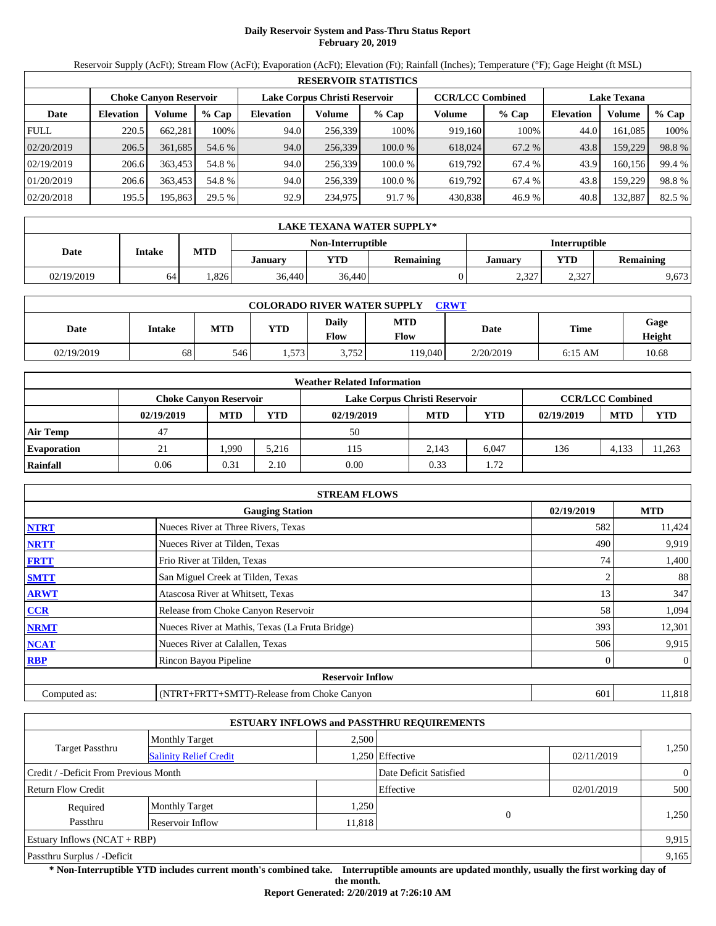## **Daily Reservoir System and Pass-Thru Status Report February 20, 2019**

Reservoir Supply (AcFt); Stream Flow (AcFt); Evaporation (AcFt); Elevation (Ft); Rainfall (Inches); Temperature (°F); Gage Height (ft MSL)

|             | <b>RESERVOIR STATISTICS</b>   |         |         |                  |         |                               |         |        |                    |         |        |  |  |
|-------------|-------------------------------|---------|---------|------------------|---------|-------------------------------|---------|--------|--------------------|---------|--------|--|--|
|             | <b>Choke Canyon Reservoir</b> |         |         |                  |         | Lake Corpus Christi Reservoir |         |        | <b>Lake Texana</b> |         |        |  |  |
| Date        | <b>Elevation</b>              | Volume  | $%$ Cap | <b>Elevation</b> | Volume  | $%$ Cap                       | Volume  | % Cap  | <b>Elevation</b>   | Volume  | % Cap  |  |  |
| <b>FULL</b> | 220.5                         | 662,281 | 100%    | 94.0             | 256.339 | 100%                          | 919,160 | 100%   | 44.0               | 161,085 | 100%   |  |  |
| 02/20/2019  | 206.5                         | 361.685 | 54.6 %  | 94.0             | 256,339 | 100.0 %                       | 618,024 | 67.2 % | 43.8               | 159,229 | 98.8%  |  |  |
| 02/19/2019  | 206.6                         | 363,453 | 54.8 %  | 94.0             | 256.339 | 100.0 %                       | 619.792 | 67.4 % | 43.9               | 160.156 | 99.4 % |  |  |
| 01/20/2019  | 206.6                         | 363.453 | 54.8 %  | 94.0             | 256.339 | 100.0 %                       | 619.792 | 67.4 % | 43.8               | 159,229 | 98.8%  |  |  |
| 02/20/2018  | 195.5                         | 195,863 | 29.5 %  | 92.9             | 234,975 | 91.7 %                        | 430,838 | 46.9%  | 40.8               | 132,887 | 82.5 % |  |  |

|            | LAKE TEXANA WATER SUPPLY* |            |         |                   |                  |         |                      |                  |  |  |  |  |
|------------|---------------------------|------------|---------|-------------------|------------------|---------|----------------------|------------------|--|--|--|--|
|            |                           |            |         | Non-Interruptible |                  |         | <b>Interruptible</b> |                  |  |  |  |  |
| Date       | Intake                    | <b>MTD</b> | Januarv | <b>YTD</b>        | <b>Remaining</b> | Januarv | <b>YTD</b>           | <b>Remaining</b> |  |  |  |  |
| 02/19/2019 | 64                        | .826       | 36.440  | 36,440            |                  | 2,327   | 2,327                | 9,673            |  |  |  |  |

| <b>COLORADO RIVER WATER SUPPLY</b><br><b>CRWT</b> |        |            |            |               |                    |           |           |                |  |  |  |
|---------------------------------------------------|--------|------------|------------|---------------|--------------------|-----------|-----------|----------------|--|--|--|
| Date                                              | Intake | <b>MTD</b> | <b>YTD</b> | Daily<br>Flow | <b>MTD</b><br>Flow | Date      | Time      | Gage<br>Height |  |  |  |
| 02/19/2019                                        | 68     | 546        | 1,573      | 3,752         | 19.040             | 2/20/2019 | $6:15$ AM | 10.68          |  |  |  |

|                    | <b>Weather Related Information</b> |            |            |                               |            |            |            |                         |            |  |  |  |
|--------------------|------------------------------------|------------|------------|-------------------------------|------------|------------|------------|-------------------------|------------|--|--|--|
|                    | <b>Choke Canvon Reservoir</b>      |            |            | Lake Corpus Christi Reservoir |            |            |            | <b>CCR/LCC Combined</b> |            |  |  |  |
|                    | 02/19/2019                         | <b>MTD</b> | <b>YTD</b> | 02/19/2019                    | <b>MTD</b> | <b>YTD</b> | 02/19/2019 | <b>MTD</b>              | <b>YTD</b> |  |  |  |
| <b>Air Temp</b>    | 47                                 |            |            | 50                            |            |            |            |                         |            |  |  |  |
| <b>Evaporation</b> | 21                                 | .990       | 5.216      | 115                           | 2.143      | 6.047      | 136        | 4.133                   | 11.263     |  |  |  |
| Rainfall           | 0.06                               | 0.31       | 2.10       | 0.00                          | 0.33       | 1.72       |            |                         |            |  |  |  |

|              | <b>STREAM FLOWS</b>                             |            |                |
|--------------|-------------------------------------------------|------------|----------------|
|              | <b>Gauging Station</b>                          | 02/19/2019 | <b>MTD</b>     |
| <b>NTRT</b>  | Nueces River at Three Rivers, Texas             | 582        | 11,424         |
| <b>NRTT</b>  | Nueces River at Tilden, Texas                   | 490        | 9,919          |
| <b>FRTT</b>  | Frio River at Tilden, Texas                     | 74         | 1,400          |
| <b>SMTT</b>  | San Miguel Creek at Tilden, Texas               |            | 88             |
| <b>ARWT</b>  | Atascosa River at Whitsett, Texas               | 13         | 347            |
| <b>CCR</b>   | Release from Choke Canyon Reservoir             | 58         | 1,094          |
| <b>NRMT</b>  | Nueces River at Mathis, Texas (La Fruta Bridge) | 393        | 12,301         |
| <b>NCAT</b>  | Nueces River at Calallen, Texas                 | 506        | 9,915          |
| <b>RBP</b>   | Rincon Bayou Pipeline                           | 0          | $\overline{0}$ |
|              | <b>Reservoir Inflow</b>                         |            |                |
| Computed as: | (NTRT+FRTT+SMTT)-Release from Choke Canyon      | 601        | 11,818         |

|                                       |                               |        | <b>ESTUARY INFLOWS and PASSTHRU REQUIREMENTS</b> |            |                |
|---------------------------------------|-------------------------------|--------|--------------------------------------------------|------------|----------------|
|                                       | <b>Monthly Target</b>         | 2.500  |                                                  |            |                |
| Target Passthru                       | <b>Salinity Relief Credit</b> |        | 1,250 Effective                                  | 02/11/2019 | 1,250          |
| Credit / -Deficit From Previous Month |                               |        | Date Deficit Satisfied                           |            | $\overline{0}$ |
| <b>Return Flow Credit</b>             |                               |        | Effective                                        | 02/01/2019 | 500            |
| Required                              | <b>Monthly Target</b>         | 1,250  |                                                  |            |                |
| Passthru                              | Reservoir Inflow              | 11,818 | 0                                                |            | 1,250          |
| Estuary Inflows $(NCAT + RBP)$        |                               |        |                                                  |            | 9,915          |
| Passthru Surplus / -Deficit           |                               |        |                                                  |            | 9,165          |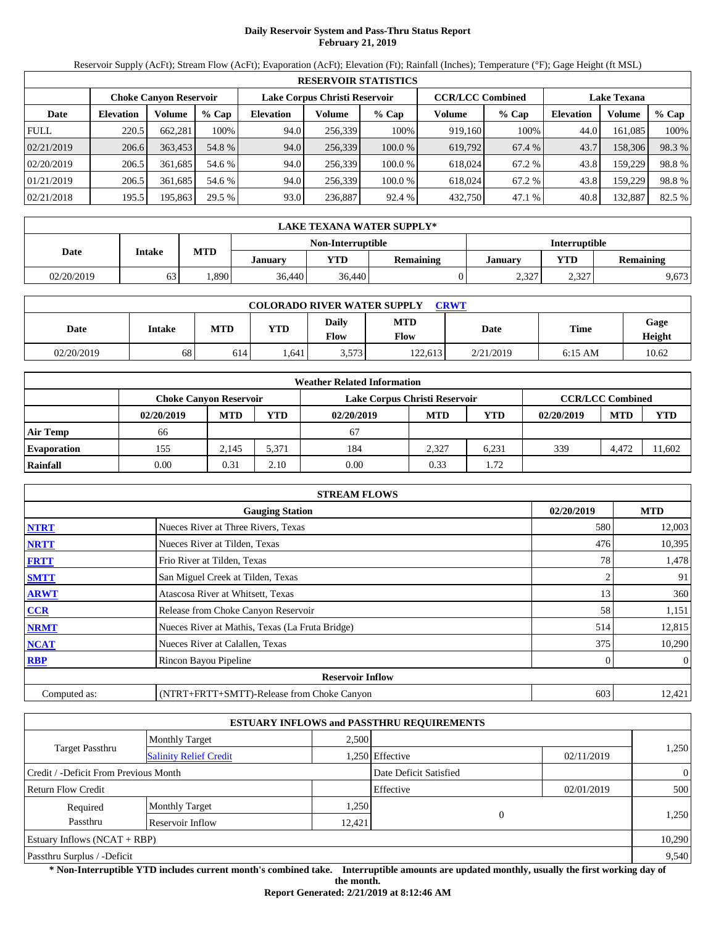# **Daily Reservoir System and Pass-Thru Status Report February 21, 2019**

Reservoir Supply (AcFt); Stream Flow (AcFt); Evaporation (AcFt); Elevation (Ft); Rainfall (Inches); Temperature (°F); Gage Height (ft MSL)

|             | <b>RESERVOIR STATISTICS</b>   |         |         |                  |                               |         |         |                         |                    |         |        |  |
|-------------|-------------------------------|---------|---------|------------------|-------------------------------|---------|---------|-------------------------|--------------------|---------|--------|--|
|             | <b>Choke Canyon Reservoir</b> |         |         |                  | Lake Corpus Christi Reservoir |         |         | <b>CCR/LCC Combined</b> | <b>Lake Texana</b> |         |        |  |
| Date        | <b>Elevation</b>              | Volume  | $%$ Cap | <b>Elevation</b> | Volume                        | $%$ Cap | Volume  | $%$ Cap                 | <b>Elevation</b>   | Volume  | % Cap  |  |
| <b>FULL</b> | 220.5                         | 662.281 | 100%    | 94.0             | 256,339                       | 100%    | 919.160 | 100%                    | 44.0               | 161.085 | 100%   |  |
| 02/21/2019  | 206.6                         | 363,453 | 54.8 %  | 94.0             | 256,339                       | 100.0%  | 619,792 | 67.4 %                  | 43.7               | 158,306 | 98.3%  |  |
| 02/20/2019  | 206.5                         | 361.685 | 54.6 %  | 94.0             | 256.339                       | 100.0 % | 618.024 | 67.2 %                  | 43.8               | 159.229 | 98.8%  |  |
| 01/21/2019  | 206.5                         | 361.685 | 54.6 %  | 94.0             | 256,339                       | 100.0 % | 618,024 | 67.2 %                  | 43.8               | 159.229 | 98.8%  |  |
| 02/21/2018  | 195.5                         | 195,863 | 29.5 %  | 93.0             | 236,887                       | 92.4 %  | 432,750 | 47.1 %                  | 40.8               | 132,887 | 82.5 % |  |

|            | LAKE TEXANA WATER SUPPLY* |            |         |                   |                  |                      |            |                  |  |  |  |
|------------|---------------------------|------------|---------|-------------------|------------------|----------------------|------------|------------------|--|--|--|
|            | Intake                    |            |         | Non-Interruptible |                  | <b>Interruptible</b> |            |                  |  |  |  |
| Date       |                           | <b>MTD</b> | January | YTD               | <b>Remaining</b> | Januarv              | <b>YTD</b> | <b>Remaining</b> |  |  |  |
| 02/20/2019 | 63                        | .890       | 36,440  | 36,440            |                  | 2,327                | 2,327      | 9,673            |  |  |  |

| <b>COLORADO RIVER WATER SUPPLY</b><br><b>CRWT</b> |        |            |            |               |                    |           |           |                |  |  |
|---------------------------------------------------|--------|------------|------------|---------------|--------------------|-----------|-----------|----------------|--|--|
| Date                                              | Intake | <b>MTD</b> | <b>YTD</b> | Daily<br>Flow | <b>MTD</b><br>Flow | Date      | Time      | Gage<br>Height |  |  |
| 02/20/2019                                        | 68     | 614        | .641       | 3,573         | 122,613            | 2/21/2019 | $6:15$ AM | 10.62          |  |  |

|                    |                               |            |       | <b>Weather Related Information</b> |            |       |            |                         |            |
|--------------------|-------------------------------|------------|-------|------------------------------------|------------|-------|------------|-------------------------|------------|
|                    | <b>Choke Canvon Reservoir</b> |            |       | Lake Corpus Christi Reservoir      |            |       |            | <b>CCR/LCC Combined</b> |            |
|                    | 02/20/2019                    | <b>MTD</b> | YTD   | 02/20/2019                         | <b>MTD</b> | YTD   | 02/20/2019 | <b>MTD</b>              | <b>YTD</b> |
| <b>Air Temp</b>    | 66                            |            |       | 67                                 |            |       |            |                         |            |
| <b>Evaporation</b> | 155                           | 2.145      | 5.371 | 184                                | 2.327      | 6.231 | 339        | 4,472                   | 11.602     |
| Rainfall           | 0.00                          | 0.31       | 2.10  | 0.00                               | 0.33       | 1.72  |            |                         |            |

|              | <b>STREAM FLOWS</b>                             |            |                |
|--------------|-------------------------------------------------|------------|----------------|
|              | <b>Gauging Station</b>                          | 02/20/2019 | <b>MTD</b>     |
| <b>NTRT</b>  | Nueces River at Three Rivers, Texas             | 580        | 12,003         |
| <b>NRTT</b>  | Nueces River at Tilden, Texas                   | 476        | 10,395         |
| <b>FRTT</b>  | Frio River at Tilden, Texas                     |            | 1,478<br>78    |
| <b>SMTT</b>  | San Miguel Creek at Tilden, Texas               |            | 91             |
| <b>ARWT</b>  | Atascosa River at Whitsett, Texas               |            | 360<br>13      |
| <b>CCR</b>   | Release from Choke Canyon Reservoir             |            | 58<br>1,151    |
| <b>NRMT</b>  | Nueces River at Mathis, Texas (La Fruta Bridge) | 514        | 12,815         |
| <b>NCAT</b>  | Nueces River at Calallen, Texas                 | 375        | 10,290         |
| <b>RBP</b>   | Rincon Bayou Pipeline                           |            | $\overline{0}$ |
|              | <b>Reservoir Inflow</b>                         |            |                |
| Computed as: | (NTRT+FRTT+SMTT)-Release from Choke Canyon      | 603        | 12,421         |

|                                       |                               |        | <b>ESTUARY INFLOWS and PASSTHRU REQUIREMENTS</b> |            |                |
|---------------------------------------|-------------------------------|--------|--------------------------------------------------|------------|----------------|
|                                       | <b>Monthly Target</b>         | 2.500  |                                                  |            |                |
| Target Passthru                       | <b>Salinity Relief Credit</b> |        | .250 Effective                                   | 02/11/2019 | 1,250          |
| Credit / -Deficit From Previous Month |                               |        | Date Deficit Satisfied                           |            | $\overline{0}$ |
| <b>Return Flow Credit</b>             |                               |        | Effective                                        | 02/01/2019 | 500            |
| Required                              | <b>Monthly Target</b>         | 1,250  |                                                  |            |                |
| Passthru                              | Reservoir Inflow              | 12,421 | $\Omega$                                         |            | 1,250          |
| Estuary Inflows $(NCAT + RBP)$        |                               |        |                                                  |            | 10,290         |
| Passthru Surplus / -Deficit           |                               |        |                                                  |            | 9,540          |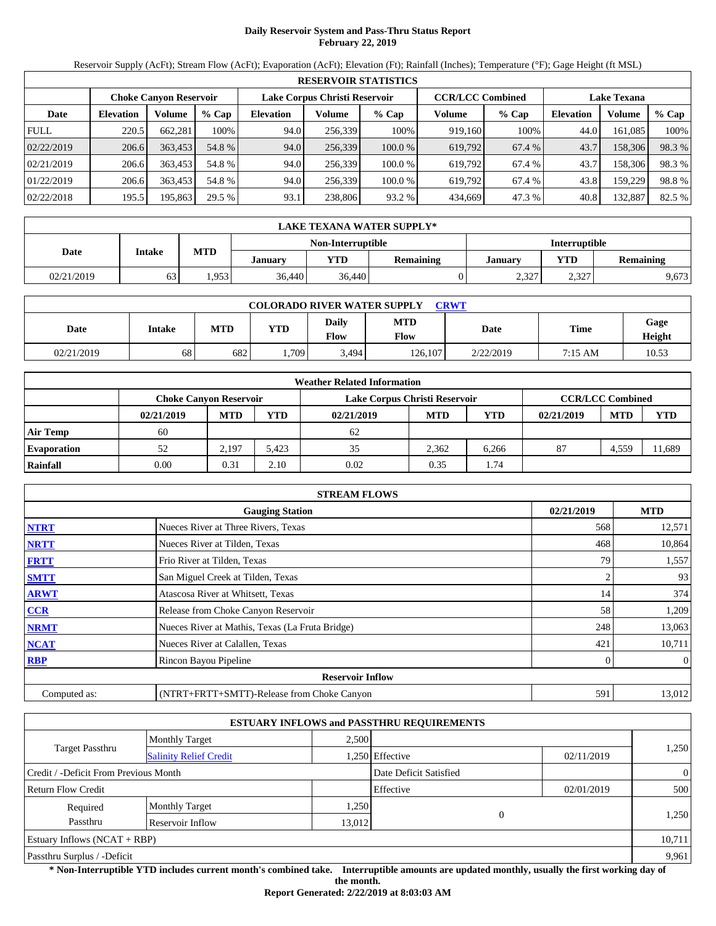## **Daily Reservoir System and Pass-Thru Status Report February 22, 2019**

Reservoir Supply (AcFt); Stream Flow (AcFt); Evaporation (AcFt); Elevation (Ft); Rainfall (Inches); Temperature (°F); Gage Height (ft MSL)

|             |                               |         |         |                  |                               | <b>RESERVOIR STATISTICS</b> |         |                         |                    |         |        |
|-------------|-------------------------------|---------|---------|------------------|-------------------------------|-----------------------------|---------|-------------------------|--------------------|---------|--------|
|             | <b>Choke Canyon Reservoir</b> |         |         |                  | Lake Corpus Christi Reservoir |                             |         | <b>CCR/LCC Combined</b> | <b>Lake Texana</b> |         |        |
| Date        | <b>Elevation</b>              | Volume  | $%$ Cap | <b>Elevation</b> | Volume                        | $%$ Cap                     | Volume  | $%$ Cap                 | <b>Elevation</b>   | Volume  | % Cap  |
| <b>FULL</b> | 220.5                         | 662.281 | 100%    | 94.0             | 256.339                       | 100%                        | 919.160 | 100%                    | 44.0               | 161.085 | 100%   |
| 02/22/2019  | 206.6                         | 363.453 | 54.8 %  | 94.0             | 256,339                       | 100.0%                      | 619,792 | 67.4 %                  | 43.7               | 158,306 | 98.3 % |
| 02/21/2019  | 206.6                         | 363,453 | 54.8 %  | 94.0             | 256.339                       | 100.0 %                     | 619.792 | 67.4 %                  | 43.7               | 158,306 | 98.3%  |
| 01/22/2019  | 206.6                         | 363.453 | 54.8 %  | 94.0             | 256.339                       | 100.0 %                     | 619.792 | 67.4 %                  | 43.8               | 159.229 | 98.8%  |
| 02/22/2018  | 195.5                         | 195,863 | 29.5 %  | 93.1             | 238,806                       | 93.2 %                      | 434,669 | 47.3 %                  | 40.8               | 132,887 | 82.5 % |

|            | LAKE TEXANA WATER SUPPLY* |            |         |                   |                  |                      |            |                  |  |  |  |
|------------|---------------------------|------------|---------|-------------------|------------------|----------------------|------------|------------------|--|--|--|
|            | Intake                    |            |         | Non-Interruptible |                  | <b>Interruptible</b> |            |                  |  |  |  |
| Date       |                           | <b>MTD</b> | January | YTD               | <b>Remaining</b> | Januarv              | <b>YTD</b> | <b>Remaining</b> |  |  |  |
| 02/21/2019 | 63                        | .953       | 36,440  | 36,440            |                  | 2,327                | 2,327      | 9,673            |  |  |  |

| <b>COLORADO RIVER WATER SUPPLY</b><br><b>CRWT</b> |        |            |            |               |                    |           |         |                |  |  |  |
|---------------------------------------------------|--------|------------|------------|---------------|--------------------|-----------|---------|----------------|--|--|--|
| Date                                              | Intake | <b>MTD</b> | <b>YTD</b> | Daily<br>Flow | <b>MTD</b><br>Flow | Date      | Time    | Gage<br>Height |  |  |  |
| 02/21/2019                                        | 68     | 682        | .709       | 3,494         | 126.107            | 2/22/2019 | 7:15 AM | 10.53          |  |  |  |

|                    |                               |            |            | <b>Weather Related Information</b> |            |            |            |                         |            |
|--------------------|-------------------------------|------------|------------|------------------------------------|------------|------------|------------|-------------------------|------------|
|                    | <b>Choke Canvon Reservoir</b> |            |            | Lake Corpus Christi Reservoir      |            |            |            | <b>CCR/LCC Combined</b> |            |
|                    | 02/21/2019                    | <b>MTD</b> | <b>YTD</b> | 02/21/2019                         | <b>MTD</b> | <b>YTD</b> | 02/21/2019 | <b>MTD</b>              | <b>YTD</b> |
| <b>Air Temp</b>    | 60                            |            |            | 62                                 |            |            |            |                         |            |
| <b>Evaporation</b> | 52                            | 2.197      | 5.423      | 35                                 | 2.362      | 6.266      | 87         | 4,559                   | 11,689     |
| Rainfall           | 0.00                          | 0.31       | 2.10       | 0.02                               | 0.35       | 1.74       |            |                         |            |

|              | <b>STREAM FLOWS</b>                             |            |                |
|--------------|-------------------------------------------------|------------|----------------|
|              | <b>Gauging Station</b>                          | 02/21/2019 | <b>MTD</b>     |
| <b>NTRT</b>  | Nueces River at Three Rivers, Texas             | 568        | 12,571         |
| <b>NRTT</b>  | Nueces River at Tilden, Texas                   | 468        | 10,864         |
| <b>FRTT</b>  | Frio River at Tilden, Texas                     | 79         | 1,557          |
| <b>SMTT</b>  | San Miguel Creek at Tilden, Texas               |            | 93             |
| <b>ARWT</b>  | Atascosa River at Whitsett, Texas               | 14         | 374            |
| <b>CCR</b>   | Release from Choke Canyon Reservoir             | 58         | 1,209          |
| <b>NRMT</b>  | Nueces River at Mathis, Texas (La Fruta Bridge) | 248        | 13,063         |
| <b>NCAT</b>  | Nueces River at Calallen, Texas                 | 421        | 10,711         |
| <b>RBP</b>   | Rincon Bayou Pipeline                           | 0          | $\overline{0}$ |
|              | <b>Reservoir Inflow</b>                         |            |                |
| Computed as: | (NTRT+FRTT+SMTT)-Release from Choke Canyon      | 591        | 13,012         |

|                                       |                               |        | <b>ESTUARY INFLOWS and PASSTHRU REQUIREMENTS</b> |            |                |  |
|---------------------------------------|-------------------------------|--------|--------------------------------------------------|------------|----------------|--|
|                                       | <b>Monthly Target</b>         | 2.500  |                                                  |            |                |  |
| Target Passthru                       | <b>Salinity Relief Credit</b> |        | .250 Effective                                   | 02/11/2019 | 1,250          |  |
| Credit / -Deficit From Previous Month |                               |        | Date Deficit Satisfied                           |            | $\overline{0}$ |  |
| <b>Return Flow Credit</b>             |                               |        | Effective                                        | 02/01/2019 | 500            |  |
| Required                              | <b>Monthly Target</b>         | 1,250  |                                                  |            |                |  |
| Passthru                              | Reservoir Inflow              | 13,012 | $\Omega$                                         |            | 1,250          |  |
| Estuary Inflows $(NCAT + RBP)$        |                               |        |                                                  |            | 10,711         |  |
| Passthru Surplus / -Deficit           |                               |        |                                                  |            | 9,961          |  |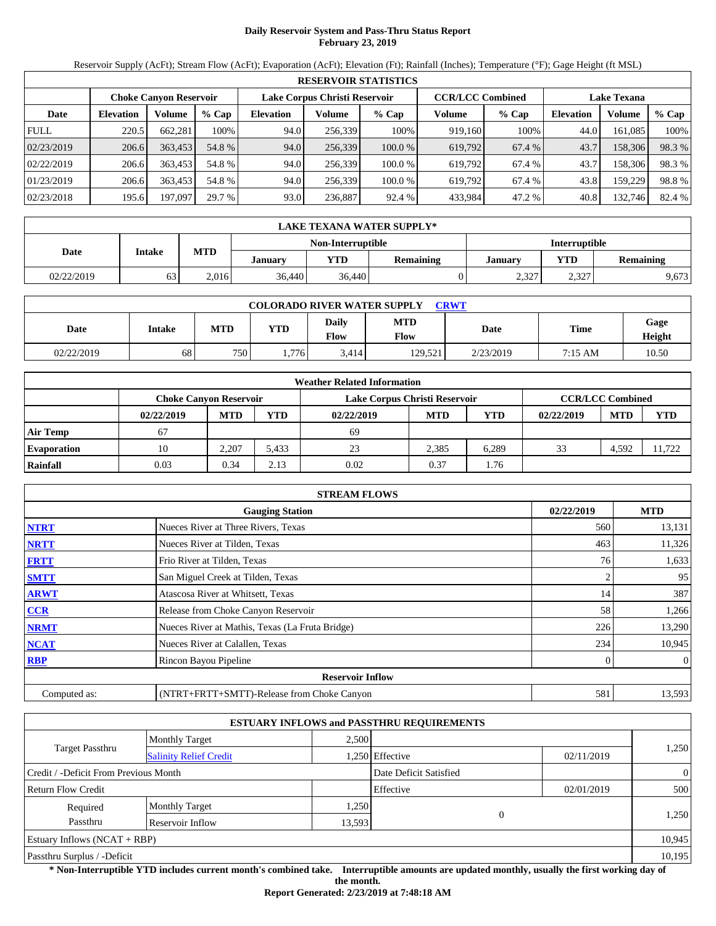## **Daily Reservoir System and Pass-Thru Status Report February 23, 2019**

Reservoir Supply (AcFt); Stream Flow (AcFt); Evaporation (AcFt); Elevation (Ft); Rainfall (Inches); Temperature (°F); Gage Height (ft MSL)

|             | <b>RESERVOIR STATISTICS</b>                                                               |         |         |                  |         |         |         |         |                  |                    |        |  |  |
|-------------|-------------------------------------------------------------------------------------------|---------|---------|------------------|---------|---------|---------|---------|------------------|--------------------|--------|--|--|
|             | <b>CCR/LCC Combined</b><br>Lake Corpus Christi Reservoir<br><b>Choke Canyon Reservoir</b> |         |         |                  |         |         |         |         |                  | <b>Lake Texana</b> |        |  |  |
| Date        | <b>Elevation</b>                                                                          | Volume  | $%$ Cap | <b>Elevation</b> | Volume  | $%$ Cap | Volume  | $%$ Cap | <b>Elevation</b> | Volume             | % Cap  |  |  |
| <b>FULL</b> | 220.5                                                                                     | 662.281 | 100%    | 94.0             | 256,339 | 100%    | 919,160 | 100%    | 44.0             | 161.085            | 100%   |  |  |
| 02/23/2019  | 206.6                                                                                     | 363,453 | 54.8 %  | 94.0             | 256,339 | 100.0%  | 619,792 | 67.4 %  | 43.7             | 158,306            | 98.3%  |  |  |
| 02/22/2019  | 206.6                                                                                     | 363,453 | 54.8 %  | 94.0             | 256.339 | 100.0 % | 619.792 | 67.4 %  | 43.7             | 158,306            | 98.3%  |  |  |
| 01/23/2019  | 206.6                                                                                     | 363,453 | 54.8 %  | 94.0             | 256.339 | 100.0 % | 619.792 | 67.4 %  | 43.8             | 159.229            | 98.8%  |  |  |
| 02/23/2018  | 195.6                                                                                     | 197,097 | 29.7 %  | 93.0             | 236,887 | 92.4 %  | 433,984 | 47.2 %  | 40.8             | 132,746            | 82.4 % |  |  |

|            | LAKE TEXANA WATER SUPPLY* |            |         |                   |                  |                      |                  |       |  |  |  |  |
|------------|---------------------------|------------|---------|-------------------|------------------|----------------------|------------------|-------|--|--|--|--|
|            |                           |            |         | Non-Interruptible |                  | <b>Interruptible</b> |                  |       |  |  |  |  |
| Date       | Intake                    | <b>MTD</b> | Januarv | <b>YTD</b>        | <b>Remaining</b> | January              | <b>Remaining</b> |       |  |  |  |  |
| 02/22/2019 | 63                        | 2.016      | 36,440  | 36,440            |                  | 2,327                | 2,327            | 9,673 |  |  |  |  |

| <b>COLORADO RIVER WATER SUPPLY</b><br><b>CRWT</b> |        |            |            |               |                    |           |         |                |  |  |  |
|---------------------------------------------------|--------|------------|------------|---------------|--------------------|-----------|---------|----------------|--|--|--|
| Date                                              | Intake | <b>MTD</b> | <b>YTD</b> | Daily<br>Flow | <b>MTD</b><br>Flow | Date      | Time    | Gage<br>Height |  |  |  |
| 02/22/2019                                        | 68     | 750        | 1.776      | 3.414         | 129.521            | 2/23/2019 | 7:15 AM | 10.50          |  |  |  |

|                    | <b>Weather Related Information</b> |                                                                                           |            |            |            |       |            |            |            |  |  |  |
|--------------------|------------------------------------|-------------------------------------------------------------------------------------------|------------|------------|------------|-------|------------|------------|------------|--|--|--|
|                    |                                    | <b>CCR/LCC Combined</b><br>Lake Corpus Christi Reservoir<br><b>Choke Canyon Reservoir</b> |            |            |            |       |            |            |            |  |  |  |
|                    | 02/22/2019                         | <b>MTD</b>                                                                                | <b>YTD</b> | 02/22/2019 | <b>MTD</b> | YTD   | 02/22/2019 | <b>MTD</b> | <b>YTD</b> |  |  |  |
| <b>Air Temp</b>    | 67                                 |                                                                                           |            | 69         |            |       |            |            |            |  |  |  |
| <b>Evaporation</b> | 10                                 | 2.207                                                                                     | 5.433      | 23         | 2.385      | 6.289 | 33         | 4.592      | 11.722     |  |  |  |
| Rainfall           | 0.03                               | 0.34                                                                                      | 2.13       | 0.02       | 0.37       | 1.76  |            |            |            |  |  |  |

|              | <b>STREAM FLOWS</b>                             |            |                |
|--------------|-------------------------------------------------|------------|----------------|
|              | <b>Gauging Station</b>                          | 02/22/2019 | <b>MTD</b>     |
| <b>NTRT</b>  | Nueces River at Three Rivers, Texas             | 560        | 13,131         |
| <b>NRTT</b>  | Nueces River at Tilden, Texas                   | 463        | 11,326         |
| <b>FRTT</b>  | Frio River at Tilden, Texas                     | 76         | 1,633          |
| <b>SMTT</b>  | San Miguel Creek at Tilden, Texas               |            | 95             |
| <b>ARWT</b>  | Atascosa River at Whitsett, Texas               | 14         | 387            |
| <b>CCR</b>   | Release from Choke Canyon Reservoir             | 58         | 1,266          |
| <b>NRMT</b>  | Nueces River at Mathis, Texas (La Fruta Bridge) | 226        | 13,290         |
| <b>NCAT</b>  | Nueces River at Calallen, Texas                 | 234        | 10,945         |
| <b>RBP</b>   | Rincon Bayou Pipeline                           | 0          | $\overline{0}$ |
|              | <b>Reservoir Inflow</b>                         |            |                |
| Computed as: | (NTRT+FRTT+SMTT)-Release from Choke Canyon      | 581        | 13,593         |

|                                       |                               |        | <b>ESTUARY INFLOWS and PASSTHRU REQUIREMENTS</b> |            |                |
|---------------------------------------|-------------------------------|--------|--------------------------------------------------|------------|----------------|
|                                       | <b>Monthly Target</b>         | 2,500  |                                                  |            |                |
| Target Passthru                       | <b>Salinity Relief Credit</b> |        | .250 Effective                                   | 02/11/2019 | 1,250          |
| Credit / -Deficit From Previous Month |                               |        | Date Deficit Satisfied                           |            | $\overline{0}$ |
| <b>Return Flow Credit</b>             |                               |        | Effective                                        | 02/01/2019 | 500            |
| Required                              | <b>Monthly Target</b>         | 1,250  |                                                  |            |                |
| Passthru                              | Reservoir Inflow              | 13,593 | $\Omega$                                         |            | 1,250          |
| <b>Estuary Inflows (NCAT + RBP)</b>   |                               |        |                                                  |            | 10,945         |
| Passthru Surplus / -Deficit           |                               |        |                                                  |            | 10,195         |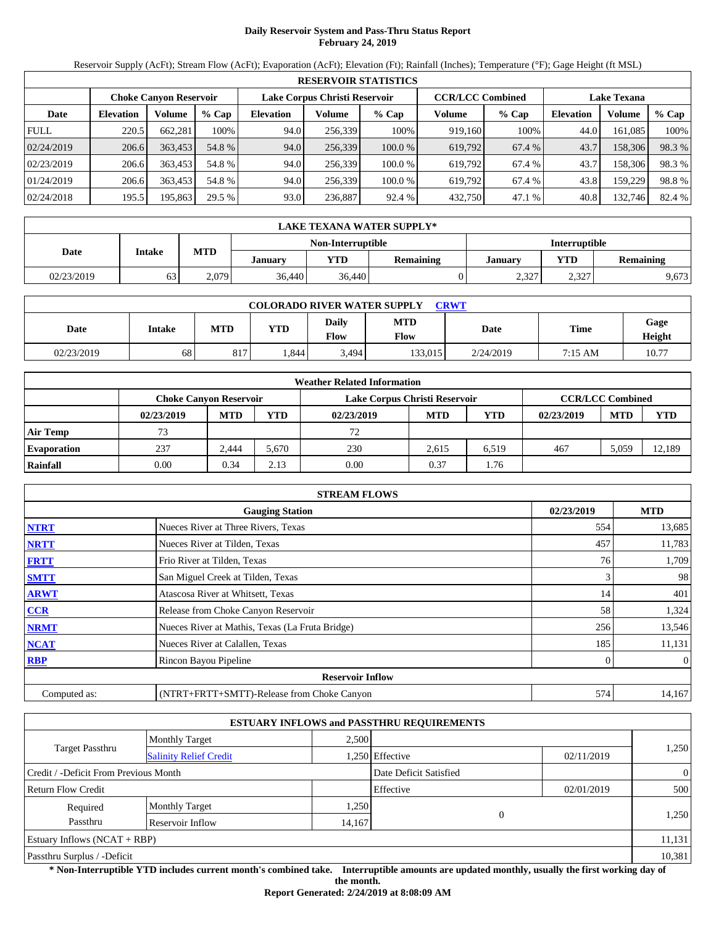## **Daily Reservoir System and Pass-Thru Status Report February 24, 2019**

Reservoir Supply (AcFt); Stream Flow (AcFt); Evaporation (AcFt); Elevation (Ft); Rainfall (Inches); Temperature (°F); Gage Height (ft MSL)

|             | <b>RESERVOIR STATISTICS</b> |                               |         |                  |                                                          |        |         |         |                    |         |        |  |  |
|-------------|-----------------------------|-------------------------------|---------|------------------|----------------------------------------------------------|--------|---------|---------|--------------------|---------|--------|--|--|
|             |                             | <b>Choke Canvon Reservoir</b> |         |                  | Lake Corpus Christi Reservoir<br><b>CCR/LCC Combined</b> |        |         |         | <b>Lake Texana</b> |         |        |  |  |
| Date        | <b>Elevation</b>            | Volume                        | $%$ Cap | <b>Elevation</b> | Volume                                                   | % Cap  | Volume  | $%$ Cap | <b>Elevation</b>   | Volume  | % Cap  |  |  |
| <b>FULL</b> | 220.5                       | 662,281                       | 100%    | 94.0             | 256.339                                                  | 100%   | 919.160 | 100%    | 44.0               | 161.085 | 100%   |  |  |
| 02/24/2019  | 206.6                       | 363,453                       | 54.8 %  | 94.0             | 256,339                                                  | 100.0% | 619,792 | 67.4 %  | 43.7               | 158,306 | 98.3 % |  |  |
| 02/23/2019  | 206.6                       | 363,453                       | 54.8 %  | 94.0             | 256.339                                                  | 100.0% | 619.792 | 67.4 %  | 43.7               | 158,306 | 98.3%  |  |  |
| 01/24/2019  | 206.6                       | 363.453                       | 54.8%   | 94.0             | 256.339                                                  | 100.0% | 619.792 | 67.4 %  | 43.8               | 159.229 | 98.8%  |  |  |
| 02/24/2018  | 195.5                       | 195,863                       | 29.5 %  | 93.0             | 236,887                                                  | 92.4 % | 432,750 | 47.1 %  | 40.8               | 132,746 | 82.4 % |  |  |

|            | LAKE TEXANA WATER SUPPLY* |            |         |                   |                  |                      |                  |       |  |  |  |  |
|------------|---------------------------|------------|---------|-------------------|------------------|----------------------|------------------|-------|--|--|--|--|
|            |                           |            |         | Non-Interruptible |                  | <b>Interruptible</b> |                  |       |  |  |  |  |
| Date       | Intake                    | <b>MTD</b> | January | YTD               | <b>Remaining</b> | Januarv              | <b>Remaining</b> |       |  |  |  |  |
| 02/23/2019 | 63                        | 2.079      | 36,440  | 36,440            |                  | 2,327                | 2,327            | 9,673 |  |  |  |  |

| <b>COLORADO RIVER WATER SUPPLY</b><br><b>CRWT</b> |        |            |            |               |                    |           |         |                |  |  |  |
|---------------------------------------------------|--------|------------|------------|---------------|--------------------|-----------|---------|----------------|--|--|--|
| Date                                              | Intake | <b>MTD</b> | <b>YTD</b> | Daily<br>Flow | <b>MTD</b><br>Flow | Date      | Time    | Gage<br>Height |  |  |  |
| 02/23/2019                                        | 68     | 817        | .844       | 3,494         | 133.015'           | 2/24/2019 | 7:15 AM | 10.77          |  |  |  |

|                    | <b>Weather Related Information</b> |                                                                                           |            |            |            |       |            |            |            |  |  |  |
|--------------------|------------------------------------|-------------------------------------------------------------------------------------------|------------|------------|------------|-------|------------|------------|------------|--|--|--|
|                    |                                    | <b>CCR/LCC Combined</b><br>Lake Corpus Christi Reservoir<br><b>Choke Canyon Reservoir</b> |            |            |            |       |            |            |            |  |  |  |
|                    | 02/23/2019                         | <b>MTD</b>                                                                                | <b>YTD</b> | 02/23/2019 | <b>MTD</b> | YTD   | 02/23/2019 | <b>MTD</b> | <b>YTD</b> |  |  |  |
| <b>Air Temp</b>    | 73                                 |                                                                                           |            | 72         |            |       |            |            |            |  |  |  |
| <b>Evaporation</b> | 237                                | 2.444                                                                                     | 5.670      | 230        | 2.615      | 6.519 | 467        | 5.059      | 12.189     |  |  |  |
| Rainfall           | 0.00                               | 0.34                                                                                      | 2.13       | 0.00       | 0.37       | 1.76  |            |            |            |  |  |  |

|              | <b>STREAM FLOWS</b>                             |     |                |  |  |  |  |  |  |
|--------------|-------------------------------------------------|-----|----------------|--|--|--|--|--|--|
|              | 02/23/2019<br><b>Gauging Station</b>            |     |                |  |  |  |  |  |  |
| <b>NTRT</b>  | Nueces River at Three Rivers, Texas             | 554 | 13,685         |  |  |  |  |  |  |
| <b>NRTT</b>  | Nueces River at Tilden, Texas                   | 457 | 11,783         |  |  |  |  |  |  |
| <b>FRTT</b>  | Frio River at Tilden, Texas                     | 76  | 1,709          |  |  |  |  |  |  |
| <b>SMTT</b>  | San Miguel Creek at Tilden, Texas               | 3   | 98             |  |  |  |  |  |  |
| <b>ARWT</b>  | Atascosa River at Whitsett, Texas               | 14  | 401            |  |  |  |  |  |  |
| <b>CCR</b>   | Release from Choke Canyon Reservoir             | 58  | 1,324          |  |  |  |  |  |  |
| <b>NRMT</b>  | Nueces River at Mathis, Texas (La Fruta Bridge) | 256 | 13,546         |  |  |  |  |  |  |
| <b>NCAT</b>  | Nueces River at Calallen, Texas                 | 185 | 11,131         |  |  |  |  |  |  |
| <b>RBP</b>   | Rincon Bayou Pipeline                           | 0   | $\overline{0}$ |  |  |  |  |  |  |
|              | <b>Reservoir Inflow</b>                         |     |                |  |  |  |  |  |  |
| Computed as: | (NTRT+FRTT+SMTT)-Release from Choke Canyon      | 574 | 14,167         |  |  |  |  |  |  |

|                                                  |                       |        | <b>ESTUARY INFLOWS and PASSTHRU REQUIREMENTS</b> |            |                |
|--------------------------------------------------|-----------------------|--------|--------------------------------------------------|------------|----------------|
|                                                  | <b>Monthly Target</b> | 2,500  |                                                  |            |                |
| Target Passthru<br><b>Salinity Relief Credit</b> |                       |        | .250 Effective                                   | 02/11/2019 | 1,250          |
| Credit / -Deficit From Previous Month            |                       |        | Date Deficit Satisfied                           |            | $\overline{0}$ |
| <b>Return Flow Credit</b>                        |                       |        | Effective                                        | 02/01/2019 | 500            |
| Required                                         | <b>Monthly Target</b> | 1,250  |                                                  |            |                |
| Passthru                                         | Reservoir Inflow      | 14,167 | $\Omega$                                         |            | 1,250          |
| Estuary Inflows $(NCAT + RBP)$                   |                       |        |                                                  |            | 11,131         |
| Passthru Surplus / -Deficit                      |                       |        |                                                  |            | 10,381         |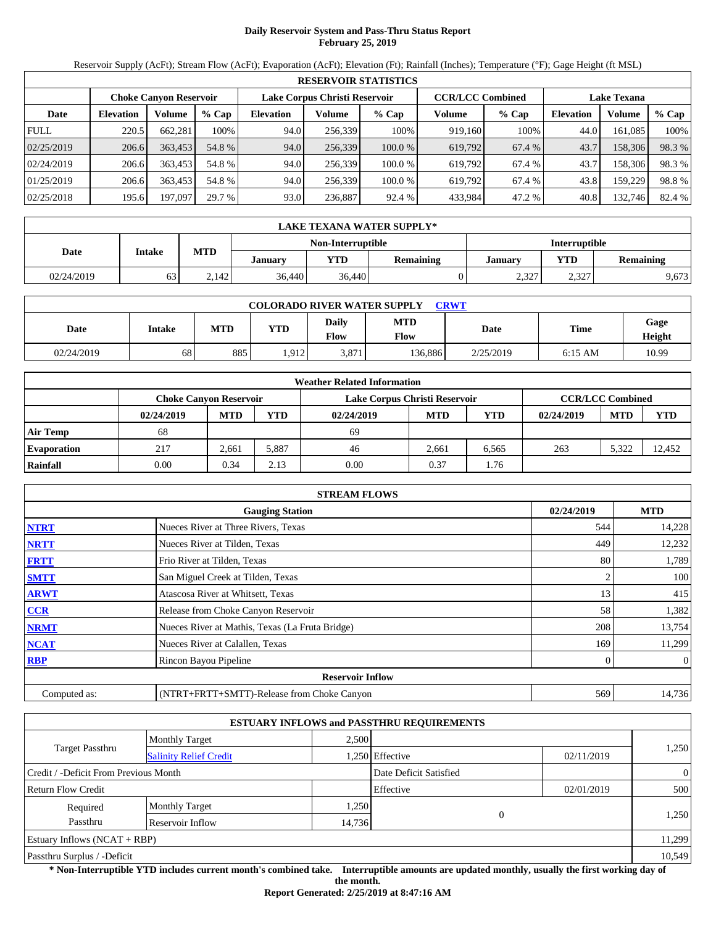### **Daily Reservoir System and Pass-Thru Status Report February 25, 2019**

Reservoir Supply (AcFt); Stream Flow (AcFt); Evaporation (AcFt); Elevation (Ft); Rainfall (Inches); Temperature (°F); Gage Height (ft MSL)

|             | <b>RESERVOIR STATISTICS</b> |                               |         |                  |                               |         |                         |         |                    |         |        |  |  |
|-------------|-----------------------------|-------------------------------|---------|------------------|-------------------------------|---------|-------------------------|---------|--------------------|---------|--------|--|--|
|             |                             | <b>Choke Canyon Reservoir</b> |         |                  | Lake Corpus Christi Reservoir |         | <b>CCR/LCC Combined</b> |         | <b>Lake Texana</b> |         |        |  |  |
| Date        | <b>Elevation</b>            | Volume                        | $%$ Cap | <b>Elevation</b> | Volume                        | $%$ Cap | Volume                  | $%$ Cap | <b>Elevation</b>   | Volume  | % Cap  |  |  |
| <b>FULL</b> | 220.5                       | 662.281                       | 100%    | 94.0             | 256.339                       | 100%    | 919.160                 | 100%    | 44.0               | 161.085 | 100%   |  |  |
| 02/25/2019  | 206.6                       | 363.453                       | 54.8 %  | 94.0             | 256,339                       | 100.0%  | 619,792                 | 67.4 %  | 43.7               | 158,306 | 98.3 % |  |  |
| 02/24/2019  | 206.6                       | 363,453                       | 54.8 %  | 94.0             | 256.339                       | 100.0 % | 619.792                 | 67.4 %  | 43.7               | 158,306 | 98.3%  |  |  |
| 01/25/2019  | 206.6                       | 363.453                       | 54.8 %  | 94.0             | 256.339                       | 100.0 % | 619.792                 | 67.4 %  | 43.8               | 159.229 | 98.8%  |  |  |
| 02/25/2018  | 195.6                       | 197,097                       | 29.7 %  | 93.0             | 236,887                       | 92.4 %  | 433,984                 | 47.2 %  | 40.8               | 132,746 | 82.4 % |  |  |

|            | LAKE TEXANA WATER SUPPLY* |            |         |                   |                  |                      |       |       |  |  |  |  |
|------------|---------------------------|------------|---------|-------------------|------------------|----------------------|-------|-------|--|--|--|--|
|            |                           |            |         | Non-Interruptible |                  | <b>Interruptible</b> |       |       |  |  |  |  |
| Date       | Intake                    | <b>MTD</b> | January | <b>YTD</b>        | <b>Remaining</b> | <b>Remaining</b>     |       |       |  |  |  |  |
| 02/24/2019 | 63                        | 2.142      | 36,440  | 36,440            |                  | 2,327                | 2,327 | 9,673 |  |  |  |  |

| <b>COLORADO RIVER WATER SUPPLY</b><br><b>CRWT</b> |        |            |            |                      |                    |           |           |                |  |  |  |
|---------------------------------------------------|--------|------------|------------|----------------------|--------------------|-----------|-----------|----------------|--|--|--|
| Date                                              | Intake | <b>MTD</b> | <b>YTD</b> | <b>Daily</b><br>Flow | <b>MTD</b><br>Flow | Date      | Time      | Gage<br>Height |  |  |  |
| 02/24/2019                                        | 68     | 885        | .912       | 3,871                | 136,886            | 2/25/2019 | $6:15$ AM | 10.99          |  |  |  |

|                    | <b>Weather Related Information</b> |            |       |                               |            |            |                         |            |            |  |  |
|--------------------|------------------------------------|------------|-------|-------------------------------|------------|------------|-------------------------|------------|------------|--|--|
|                    | <b>Choke Canyon Reservoir</b>      |            |       | Lake Corpus Christi Reservoir |            |            | <b>CCR/LCC Combined</b> |            |            |  |  |
|                    | 02/24/2019                         | <b>MTD</b> | YTD   | 02/24/2019                    | <b>MTD</b> | <b>YTD</b> | 02/24/2019              | <b>MTD</b> | <b>YTD</b> |  |  |
| <b>Air Temp</b>    | 68                                 |            |       | 69                            |            |            |                         |            |            |  |  |
| <b>Evaporation</b> | 217                                | 2,661      | 5,887 | 46                            | 2,661      | 6.565      | 263                     | 5.322      | 12.452     |  |  |
| Rainfall           | 0.00                               | 0.34       | 2.13  | 0.00                          | 0.37       | 1.76       |                         |            |            |  |  |

|              | <b>STREAM FLOWS</b>                             |     |                |  |  |  |  |  |
|--------------|-------------------------------------------------|-----|----------------|--|--|--|--|--|
|              | <b>Gauging Station</b>                          |     |                |  |  |  |  |  |
| <b>NTRT</b>  | Nueces River at Three Rivers, Texas             | 544 | 14,228         |  |  |  |  |  |
| <b>NRTT</b>  | Nueces River at Tilden, Texas                   | 449 | 12,232         |  |  |  |  |  |
| <b>FRTT</b>  | Frio River at Tilden, Texas                     | 80  | 1,789          |  |  |  |  |  |
| <b>SMTT</b>  | San Miguel Creek at Tilden, Texas               |     | 100            |  |  |  |  |  |
| <b>ARWT</b>  | Atascosa River at Whitsett, Texas               | 13  | 415            |  |  |  |  |  |
| <b>CCR</b>   | Release from Choke Canyon Reservoir             | 58  | 1,382          |  |  |  |  |  |
| <b>NRMT</b>  | Nueces River at Mathis, Texas (La Fruta Bridge) | 208 | 13,754         |  |  |  |  |  |
| <b>NCAT</b>  | Nueces River at Calallen, Texas                 | 169 | 11,299         |  |  |  |  |  |
| <b>RBP</b>   | Rincon Bayou Pipeline                           | 0   | $\overline{0}$ |  |  |  |  |  |
|              | <b>Reservoir Inflow</b>                         |     |                |  |  |  |  |  |
| Computed as: | (NTRT+FRTT+SMTT)-Release from Choke Canyon      | 569 | 14,736         |  |  |  |  |  |

|                                       |                               |        | <b>ESTUARY INFLOWS and PASSTHRU REQUIREMENTS</b> |            |                |
|---------------------------------------|-------------------------------|--------|--------------------------------------------------|------------|----------------|
|                                       | <b>Monthly Target</b>         | 2,500  |                                                  |            |                |
| Target Passthru                       | <b>Salinity Relief Credit</b> |        | 1,250 Effective                                  | 02/11/2019 | 1,250          |
| Credit / -Deficit From Previous Month |                               |        | Date Deficit Satisfied                           |            | $\overline{0}$ |
| <b>Return Flow Credit</b>             |                               |        | Effective                                        | 02/01/2019 | 500            |
| Required                              | <b>Monthly Target</b>         | 1,250  |                                                  |            |                |
| Passthru                              | Reservoir Inflow              | 14,736 | $\Omega$                                         |            | 1,250          |
| Estuary Inflows $(NCAT + RBP)$        |                               |        |                                                  |            | 11,299         |
| Passthru Surplus / -Deficit           |                               |        |                                                  |            | 10,549         |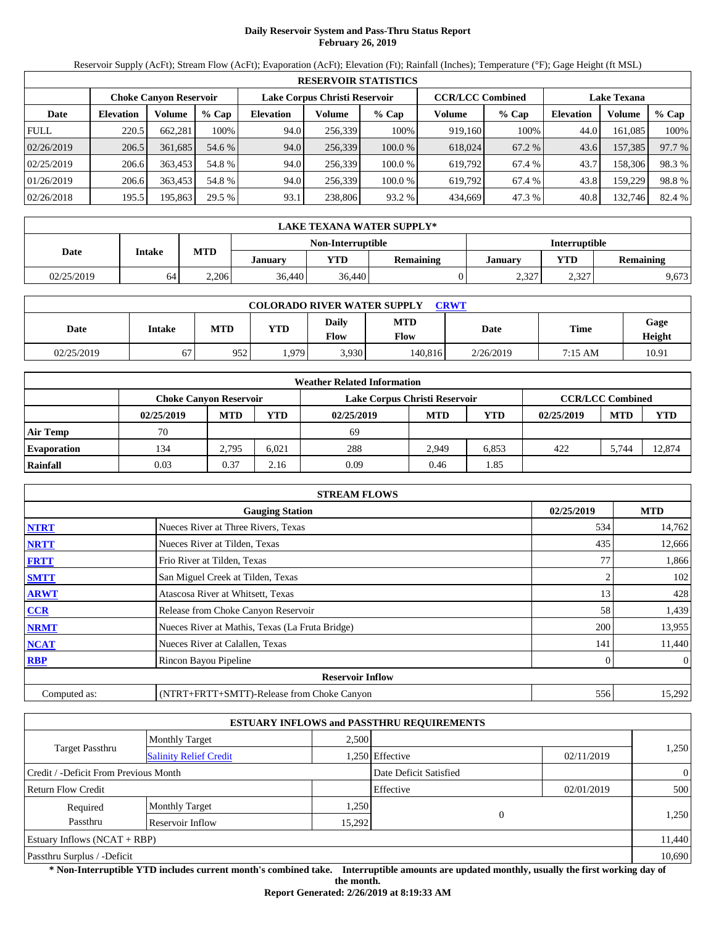## **Daily Reservoir System and Pass-Thru Status Report February 26, 2019**

Reservoir Supply (AcFt); Stream Flow (AcFt); Evaporation (AcFt); Elevation (Ft); Rainfall (Inches); Temperature (°F); Gage Height (ft MSL)

|             | <b>RESERVOIR STATISTICS</b> |                               |         |                  |                               |         |                         |         |                    |         |        |  |  |
|-------------|-----------------------------|-------------------------------|---------|------------------|-------------------------------|---------|-------------------------|---------|--------------------|---------|--------|--|--|
|             |                             | <b>Choke Canyon Reservoir</b> |         |                  | Lake Corpus Christi Reservoir |         | <b>CCR/LCC Combined</b> |         | <b>Lake Texana</b> |         |        |  |  |
| Date        | <b>Elevation</b>            | Volume                        | $%$ Cap | <b>Elevation</b> | Volume                        | $%$ Cap | Volume                  | $%$ Cap | <b>Elevation</b>   | Volume  | % Cap  |  |  |
| <b>FULL</b> | 220.5                       | 662.281                       | 100%    | 94.0             | 256,339                       | 100%    | 919,160                 | 100%    | 44.0               | 161.085 | 100%   |  |  |
| 02/26/2019  | 206.5                       | 361.685                       | 54.6 %  | 94.0             | 256,339                       | 100.0%  | 618,024                 | 67.2 %  | 43.6               | 157,385 | 97.7 % |  |  |
| 02/25/2019  | 206.6                       | 363,453                       | 54.8 %  | 94.0             | 256.339                       | 100.0 % | 619.792                 | 67.4 %  | 43.7               | 158,306 | 98.3%  |  |  |
| 01/26/2019  | 206.6                       | 363,453                       | 54.8 %  | 94.0             | 256.339                       | 100.0 % | 619.792                 | 67.4 %  | 43.8               | 159.229 | 98.8%  |  |  |
| 02/26/2018  | 195.5                       | 195,863                       | 29.5 %  | 93.1             | 238,806                       | 93.2 %  | 434,669                 | 47.3 %  | 40.8               | 132,746 | 82.4 % |  |  |

|            | LAKE TEXANA WATER SUPPLY*                     |       |        |                   |         |                      |                  |       |  |  |  |  |
|------------|-----------------------------------------------|-------|--------|-------------------|---------|----------------------|------------------|-------|--|--|--|--|
|            |                                               |       |        | Non-Interruptible |         | <b>Interruptible</b> |                  |       |  |  |  |  |
| Date       | <b>MTD</b><br>Intake<br><b>YTD</b><br>January |       |        | <b>Remaining</b>  | Januarv | <b>YTD</b>           | <b>Remaining</b> |       |  |  |  |  |
| 02/25/2019 | 64                                            | 2.206 | 36,440 | 36,440            |         | 2,327                | 2,327            | 9,673 |  |  |  |  |

| <b>COLORADO RIVER WATER SUPPLY</b><br><b>CRWT</b> |        |            |            |                      |                    |           |         |                |  |  |  |
|---------------------------------------------------|--------|------------|------------|----------------------|--------------------|-----------|---------|----------------|--|--|--|
| Date                                              | Intake | <b>MTD</b> | <b>YTD</b> | <b>Daily</b><br>Flow | <b>MTD</b><br>Flow | Date      | Time    | Gage<br>Height |  |  |  |
| 02/25/2019                                        | 67     | 952        | 1,979      | 3,930                | 140,816            | 2/26/2019 | 7:15 AM | 10.91          |  |  |  |

|                    |                               |            |       | <b>Weather Related Information</b> |                         |            |            |            |            |
|--------------------|-------------------------------|------------|-------|------------------------------------|-------------------------|------------|------------|------------|------------|
|                    | <b>Choke Canyon Reservoir</b> |            |       | Lake Corpus Christi Reservoir      | <b>CCR/LCC Combined</b> |            |            |            |            |
|                    | 02/25/2019                    | <b>MTD</b> | YTD   | 02/25/2019                         | <b>MTD</b>              | <b>YTD</b> | 02/25/2019 | <b>MTD</b> | <b>YTD</b> |
| <b>Air Temp</b>    | 70                            |            |       | 69                                 |                         |            |            |            |            |
| <b>Evaporation</b> | 134                           | 2.795      | 6.021 | 288                                | 2.949                   | 6,853      | 422        | 5.744      | 12,874     |
| Rainfall           | 0.03                          | 0.37       | 2.16  | 0.09                               | 0.46                    | 1.85       |            |            |            |

|              | <b>STREAM FLOWS</b>                             |     |                |  |  |  |  |  |
|--------------|-------------------------------------------------|-----|----------------|--|--|--|--|--|
|              | <b>Gauging Station</b>                          |     |                |  |  |  |  |  |
| <b>NTRT</b>  | Nueces River at Three Rivers, Texas             | 534 | 14,762         |  |  |  |  |  |
| <b>NRTT</b>  | Nueces River at Tilden, Texas                   | 435 | 12,666         |  |  |  |  |  |
| <b>FRTT</b>  | Frio River at Tilden, Texas                     | 77  | 1,866          |  |  |  |  |  |
| <b>SMTT</b>  | San Miguel Creek at Tilden, Texas               |     | 102            |  |  |  |  |  |
| <b>ARWT</b>  | Atascosa River at Whitsett, Texas               | 13  | 428            |  |  |  |  |  |
| <b>CCR</b>   | Release from Choke Canyon Reservoir             | 58  | 1,439          |  |  |  |  |  |
| <b>NRMT</b>  | Nueces River at Mathis, Texas (La Fruta Bridge) | 200 | 13,955         |  |  |  |  |  |
| <b>NCAT</b>  | Nueces River at Calallen, Texas                 | 141 | 11,440         |  |  |  |  |  |
| <b>RBP</b>   | Rincon Bayou Pipeline                           | 0   | $\overline{0}$ |  |  |  |  |  |
|              | <b>Reservoir Inflow</b>                         |     |                |  |  |  |  |  |
| Computed as: | (NTRT+FRTT+SMTT)-Release from Choke Canyon      | 556 | 15,292         |  |  |  |  |  |

|                                       |                               |        | <b>ESTUARY INFLOWS and PASSTHRU REQUIREMENTS</b> |            |                |
|---------------------------------------|-------------------------------|--------|--------------------------------------------------|------------|----------------|
|                                       | <b>Monthly Target</b>         | 2,500  |                                                  |            |                |
| Target Passthru                       | <b>Salinity Relief Credit</b> |        | 1,250 Effective<br>02/11/2019                    |            | 1,250          |
| Credit / -Deficit From Previous Month |                               |        | Date Deficit Satisfied                           |            | $\overline{0}$ |
| <b>Return Flow Credit</b>             |                               |        | Effective                                        | 02/01/2019 | 500            |
| Required                              | <b>Monthly Target</b>         | 1,250  |                                                  |            |                |
| Passthru                              | Reservoir Inflow              | 15,292 | $\Omega$                                         |            | 1,250          |
| Estuary Inflows $(NCAT + RBP)$        |                               |        |                                                  |            | 11,440         |
| Passthru Surplus / -Deficit           |                               |        |                                                  |            | 10,690         |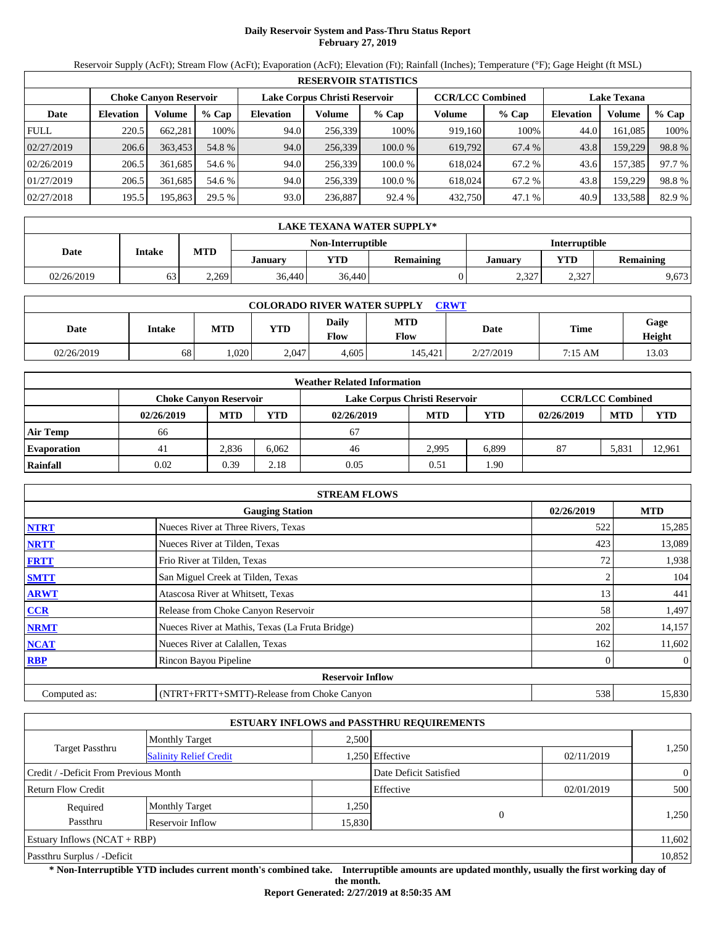## **Daily Reservoir System and Pass-Thru Status Report February 27, 2019**

Reservoir Supply (AcFt); Stream Flow (AcFt); Evaporation (AcFt); Elevation (Ft); Rainfall (Inches); Temperature (°F); Gage Height (ft MSL)

|             | <b>RESERVOIR STATISTICS</b> |                               |         |                               |         |         |                         |         |                    |         |        |  |  |
|-------------|-----------------------------|-------------------------------|---------|-------------------------------|---------|---------|-------------------------|---------|--------------------|---------|--------|--|--|
|             |                             | <b>Choke Canyon Reservoir</b> |         | Lake Corpus Christi Reservoir |         |         | <b>CCR/LCC Combined</b> |         | <b>Lake Texana</b> |         |        |  |  |
| Date        | <b>Elevation</b>            | Volume                        | $%$ Cap | <b>Elevation</b>              | Volume  | $%$ Cap | Volume                  | $%$ Cap | <b>Elevation</b>   | Volume  | % Cap  |  |  |
| <b>FULL</b> | 220.5                       | 662,281                       | 100%    | 94.0                          | 256.339 | 100%    | 919,160                 | 100%    | 44.0               | 161.085 | 100%   |  |  |
| 02/27/2019  | 206.6                       | 363,453                       | 54.8 %  | 94.0                          | 256,339 | 100.0 % | 619,792                 | 67.4 %  | 43.8               | 159,229 | 98.8%  |  |  |
| 02/26/2019  | 206.5                       | 361.685                       | 54.6 %  | 94.0                          | 256.339 | 100.0 % | 618,024                 | 67.2 %  | 43.6               | 157.385 | 97.7 % |  |  |
| 01/27/2019  | 206.5                       | 361.685                       | 54.6 %  | 94.0                          | 256.339 | 100.0 % | 618,024                 | 67.2 %  | 43.8               | 159,229 | 98.8%  |  |  |
| 02/27/2018  | 195.5                       | 195,863                       | 29.5 %  | 93.0                          | 236,887 | 92.4 %  | 432,750                 | 47.1%   | 40.9               | 133,588 | 82.9 % |  |  |

|            | LAKE TEXANA WATER SUPPLY* |            |         |                   |                  |                      |                                |       |  |  |  |  |
|------------|---------------------------|------------|---------|-------------------|------------------|----------------------|--------------------------------|-------|--|--|--|--|
|            |                           |            |         | Non-Interruptible |                  | <b>Interruptible</b> |                                |       |  |  |  |  |
| Date       | Intake                    | <b>MTD</b> | January | YTD               | <b>Remaining</b> | Januarv              | <b>YTD</b><br><b>Remaining</b> |       |  |  |  |  |
| 02/26/2019 | 63                        | 2,269      | 36,440  | 36,440            |                  | 2,327                | 2,327                          | 9,673 |  |  |  |  |

| <b>COLORADO RIVER WATER SUPPLY</b><br><b>CRWT</b> |        |            |       |               |                    |           |             |                       |  |  |  |
|---------------------------------------------------|--------|------------|-------|---------------|--------------------|-----------|-------------|-----------------------|--|--|--|
| Date                                              | Intake | <b>MTD</b> | YTD   | Daily<br>Flow | <b>MTD</b><br>Flow | Date      | <b>Time</b> | Gage<br><b>Height</b> |  |  |  |
| 02/26/2019                                        | 68     | .020       | 2.047 | 4.605         | 145.421            | 2/27/2019 | 7:15 AM     | 13.03                 |  |  |  |

|                    | <b>Weather Related Information</b> |            |            |                               |            |                         |            |            |            |  |  |  |
|--------------------|------------------------------------|------------|------------|-------------------------------|------------|-------------------------|------------|------------|------------|--|--|--|
|                    | <b>Choke Canvon Reservoir</b>      |            |            | Lake Corpus Christi Reservoir |            | <b>CCR/LCC Combined</b> |            |            |            |  |  |  |
|                    | 02/26/2019                         | <b>MTD</b> | <b>YTD</b> | 02/26/2019                    | <b>MTD</b> | <b>YTD</b>              | 02/26/2019 | <b>MTD</b> | <b>YTD</b> |  |  |  |
| <b>Air Temp</b>    | 66                                 |            |            | 67                            |            |                         |            |            |            |  |  |  |
| <b>Evaporation</b> | 41                                 | 2.836      | 6.062      | 46                            | 2.995      | 6.899                   | 87         | 5,831      | 12.961     |  |  |  |
| Rainfall           | 0.02                               | 0.39       | 2.18       | 0.05                          | 0.51       | . 90                    |            |            |            |  |  |  |

|              | <b>STREAM FLOWS</b>                             |            |                |
|--------------|-------------------------------------------------|------------|----------------|
|              | <b>Gauging Station</b>                          | 02/26/2019 | <b>MTD</b>     |
| <b>NTRT</b>  | Nueces River at Three Rivers, Texas             | 522        | 15,285         |
| <b>NRTT</b>  | Nueces River at Tilden, Texas                   | 423        | 13,089         |
| <b>FRTT</b>  | Frio River at Tilden, Texas                     | 72         | 1,938          |
| <b>SMTT</b>  | San Miguel Creek at Tilden, Texas               |            | 104            |
| <b>ARWT</b>  | Atascosa River at Whitsett, Texas               | 13         | 441            |
| <b>CCR</b>   | Release from Choke Canyon Reservoir             | 58         | 1,497          |
| <b>NRMT</b>  | Nueces River at Mathis, Texas (La Fruta Bridge) | 202        | 14,157         |
| <b>NCAT</b>  | Nueces River at Calallen, Texas                 | 162        | 11,602         |
| <b>RBP</b>   | Rincon Bayou Pipeline                           | 0          | $\overline{0}$ |
|              | <b>Reservoir Inflow</b>                         |            |                |
| Computed as: | (NTRT+FRTT+SMTT)-Release from Choke Canyon      | 538        | 15,830         |

|                                                  |                       |        | <b>ESTUARY INFLOWS and PASSTHRU REQUIREMENTS</b> |            |                |
|--------------------------------------------------|-----------------------|--------|--------------------------------------------------|------------|----------------|
|                                                  | <b>Monthly Target</b> | 2,500  |                                                  |            |                |
| Target Passthru<br><b>Salinity Relief Credit</b> |                       |        | 1,250 Effective                                  | 02/11/2019 | 1,250          |
| Credit / -Deficit From Previous Month            |                       |        | Date Deficit Satisfied                           |            | $\overline{0}$ |
| <b>Return Flow Credit</b>                        |                       |        | Effective                                        | 02/01/2019 | 500            |
| Required                                         | <b>Monthly Target</b> | 1,250  |                                                  |            |                |
| Passthru                                         | Reservoir Inflow      | 15,830 | $\Omega$                                         |            | 1,250          |
| Estuary Inflows $(NCAT + RBP)$                   |                       |        |                                                  |            | 11,602         |
| Passthru Surplus / -Deficit                      |                       |        |                                                  |            | 10,852         |